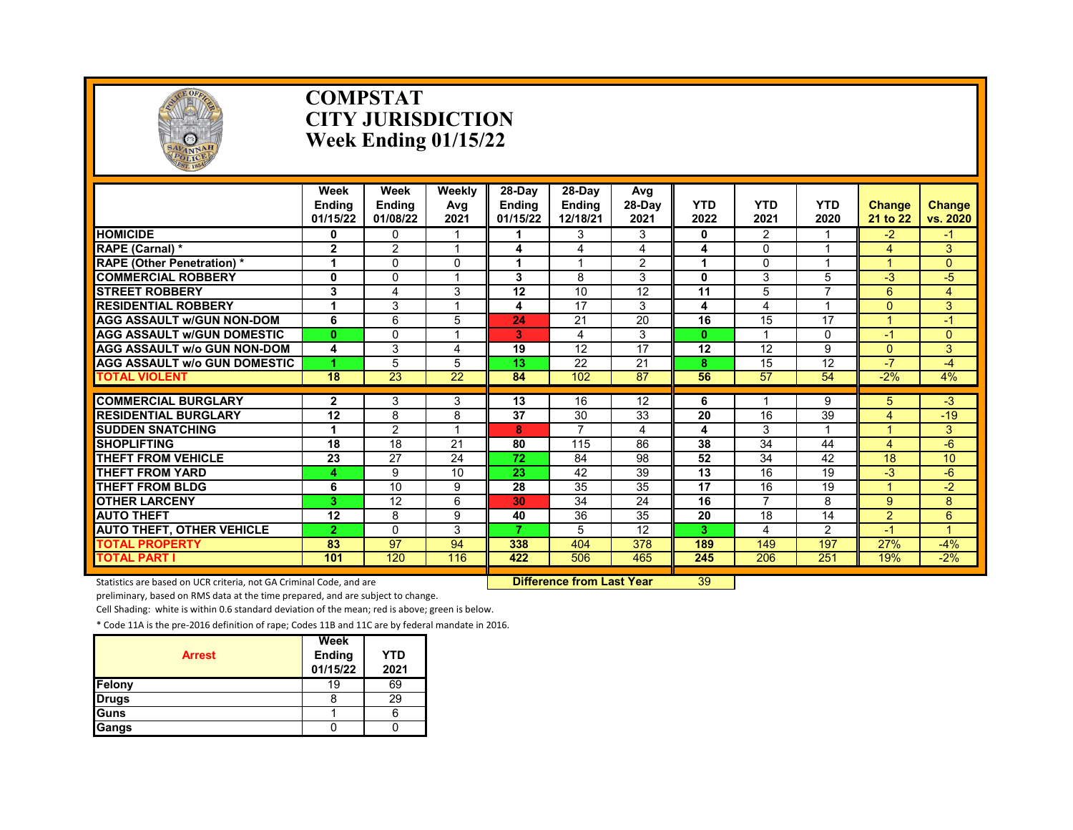

#### **COMPSTAT CITY JURISDICTION Week Ending 01/15/22**

|                                     | Week<br><b>Endina</b><br>01/15/22 | Week<br><b>Endina</b><br>01/08/22 | Weekly<br>Avg<br>2021 | 28-Day<br><b>Endina</b><br>01/15/22 | 28-Day<br><b>Ending</b><br>12/18/21 | Avg<br>28-Day<br>2021 | <b>YTD</b><br>2022 | <b>YTD</b><br>2021      | <b>YTD</b><br>2020      | <b>Change</b><br>21 to 22 | Change<br>vs. 2020 |
|-------------------------------------|-----------------------------------|-----------------------------------|-----------------------|-------------------------------------|-------------------------------------|-----------------------|--------------------|-------------------------|-------------------------|---------------------------|--------------------|
| <b>HOMICIDE</b>                     | 0                                 | <sup>0</sup>                      |                       |                                     | 3                                   | 3                     | $\mathbf{0}$       | 2                       |                         | $-2$                      | -1                 |
| RAPE (Carnal) *                     | $\overline{2}$                    | $\overline{2}$                    | 4                     | 4                                   | 4                                   | 4                     | 4                  | $\Omega$                | -1                      | 4                         | 3                  |
| <b>RAPE (Other Penetration) *</b>   | 1                                 | $\Omega$                          | 0                     | 1                                   |                                     | $\overline{2}$        | 1                  | 0                       | $\overline{\mathbf{A}}$ |                           | $\Omega$           |
| <b>COMMERCIAL ROBBERY</b>           | $\mathbf{0}$                      | $\Omega$                          | 4                     | 3                                   | 8                                   | 3                     | $\mathbf{0}$       | 3                       | 5                       | -3                        | $-5$               |
| <b>STREET ROBBERY</b>               | 3                                 | 4                                 | 3                     | 12                                  | 10                                  | 12                    | $\overline{11}$    | 5                       | $\overline{7}$          | 6                         | $\overline{4}$     |
| <b>RESIDENTIAL ROBBERY</b>          | 1                                 | 3                                 | 1                     | 4                                   | 17                                  | 3                     | 4                  | 4                       | 1                       | $\Omega$                  | 3                  |
| <b>AGG ASSAULT w/GUN NON-DOM</b>    | 6                                 | 6                                 | 5                     | 24                                  | 21                                  | 20                    | 16                 | 15                      | 17                      |                           | $\cdot$            |
| <b>AGG ASSAULT W/GUN DOMESTIC</b>   | $\mathbf{0}$                      | $\Omega$                          | 4                     | 3                                   | 4                                   | 3                     | $\mathbf{0}$       | $\overline{\mathbf{A}}$ | $\Omega$                | $-1$                      | $\Omega$           |
| <b>AGG ASSAULT W/o GUN NON-DOM</b>  | 4                                 | 3                                 | 4                     | 19                                  | 12                                  | 17                    | 12                 | 12                      | 9                       | $\Omega$                  | 3                  |
| <b>AGG ASSAULT W/o GUN DOMESTIC</b> | 4                                 | 5                                 | 5                     | 13                                  | 22                                  | 21                    | 8                  | 15                      | 12                      | $-7$                      | -4                 |
| <b>TOTAL VIOLENT</b>                | 18                                | 23                                | 22                    | 84                                  | 102                                 | 87                    | 56                 | 57                      | 54                      | $-2%$                     | 4%                 |
|                                     |                                   |                                   |                       |                                     |                                     |                       |                    |                         |                         |                           |                    |
| <b>COMMERCIAL BURGLARY</b>          | 2                                 | 3                                 | 3                     | 13                                  | 16                                  | 12                    | 6                  |                         | 9                       | 5.                        | $-3$               |
| <b>RESIDENTIAL BURGLARY</b>         | 12                                | 8                                 | 8                     | $\overline{37}$                     | 30                                  | 33                    | 20                 | 16                      | 39                      | 4                         | $-19$              |
| <b>SUDDEN SNATCHING</b>             |                                   | 2                                 |                       | 8                                   |                                     | 4                     | 4                  | 3                       |                         |                           | 3                  |
| <b>SHOPLIFTING</b>                  | 18                                | $\overline{18}$                   | 21                    | 80                                  | 115                                 | 86                    | 38                 | 34                      | 44                      | 4                         | $-6$               |
| <b>THEFT FROM VEHICLE</b>           | 23                                | 27                                | 24                    | 72                                  | 84                                  | 98                    | 52                 | 34                      | 42                      | 18                        | 10                 |
| THEFT FROM YARD                     | 4                                 | 9                                 | 10                    | $\overline{23}$                     | 42                                  | 39                    | $\overline{13}$    | 16                      | 19                      | $-3$                      | $-6$               |
| <b>THEFT FROM BLDG</b>              | 6                                 | 10                                | 9                     | 28                                  | 35                                  | 35                    | 17                 | 16                      | 19                      |                           | $-2$               |
| <b>OTHER LARCENY</b>                | 3                                 | 12                                | 6                     | 30                                  | 34                                  | 24                    | 16                 | $\overline{7}$          | 8                       | 9                         | 8                  |
| <b>AUTO THEFT</b>                   | 12                                | 8                                 | 9                     | 40                                  | 36                                  | 35                    | 20                 | 18                      | 14                      | 2                         | 6                  |
| <b>AUTO THEFT, OTHER VEHICLE</b>    | $\overline{2}$                    | $\Omega$                          | 3                     | 7.                                  | 5                                   | 12                    | 3                  | 4                       | $\overline{2}$          | $-1$                      | $\overline{A}$     |
| <b>TOTAL PROPERTY</b>               | 83                                | 97                                | 94                    | 338                                 | 404                                 | 378                   | 189                | 149                     | 197                     | 27%                       | $-4%$              |
| <b>TOTAL PART I</b>                 | 101                               | 120                               | 116                   | 422                                 | 506                                 | 465                   | 245                | 206                     | 251                     | 19%                       | $-2%$              |

Statistics are based on UCR criteria, not GA Criminal Code, and are **Difference from Last Year** 39

preliminary, based on RMS data at the time prepared, and are subject to change.

Cell Shading: white is within 0.6 standard deviation of the mean; red is above; green is below.

| <b>Arrest</b> | Week<br><b>Ending</b><br>01/15/22 | <b>YTD</b><br>2021 |
|---------------|-----------------------------------|--------------------|
| Felony        | 19                                | 69                 |
| <b>Drugs</b>  |                                   | 29                 |
| Guns          |                                   |                    |
| Gangs         |                                   |                    |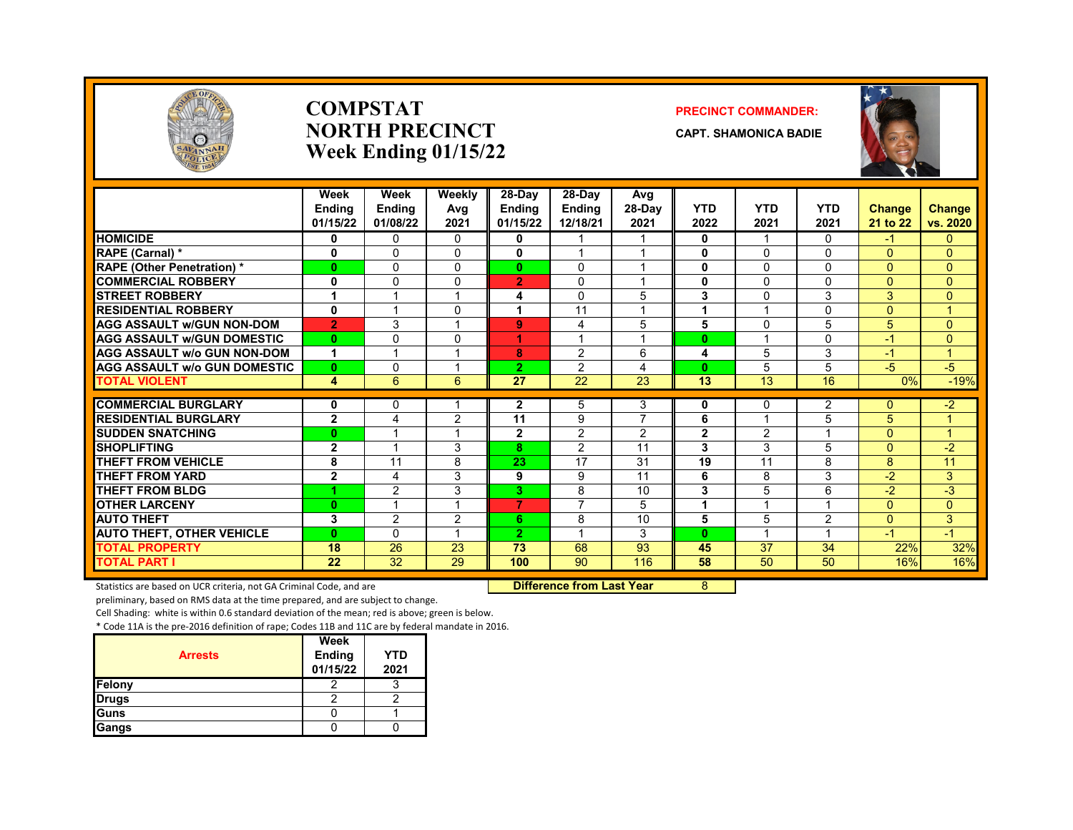

#### **COMPSTAT PRECINCT COMMANDER: NORTH PRECINCT CAPT. SHAMONICA BADIE Week Ending 01/15/22**



|                                     | Week<br><b>Endina</b><br>01/15/22 | Week<br><b>Endina</b><br>01/08/22 | Weekly<br>Avg<br>2021 | 28-Day<br><b>Ending</b><br>01/15/22 | 28-Dav<br><b>Ending</b><br>12/18/21 | Avg<br>$28-Dav$<br>2021 | <b>YTD</b><br>2022 | <b>YTD</b><br>2021 | <b>YTD</b><br>2021 | <b>Change</b><br>21 to 22 | <b>Change</b><br>vs. 2020 |
|-------------------------------------|-----------------------------------|-----------------------------------|-----------------------|-------------------------------------|-------------------------------------|-------------------------|--------------------|--------------------|--------------------|---------------------------|---------------------------|
| <b>HOMICIDE</b>                     | 0                                 | $\Omega$                          | $\Omega$              | 0                                   |                                     |                         | 0                  | -1                 | $\Omega$           | $-1$                      | $\overline{0}$            |
| RAPE (Carnal) *                     | 0                                 | 0                                 | $\Omega$              | 0                                   |                                     |                         | 0                  | $\mathbf{0}$       | $\Omega$           | $\Omega$                  | $\overline{0}$            |
| <b>RAPE (Other Penetration)*</b>    | $\bf{0}$                          | $\Omega$                          | $\Omega$              | $\mathbf{0}$                        | $\mathbf{0}$                        |                         | 0                  | $\Omega$           | $\Omega$           | $\Omega$                  | $\Omega$                  |
| <b>COMMERCIAL ROBBERY</b>           | 0                                 | $\Omega$                          | $\Omega$              | $\overline{2}$                      | $\mathbf{0}$                        |                         | 0                  | $\mathbf{0}$       | $\Omega$           | $\Omega$                  | $\Omega$                  |
| <b>STREET ROBBERY</b>               | 1                                 |                                   |                       | 4                                   | $\Omega$                            | 5                       | 3                  | $\Omega$           | 3                  | 3                         | $\overline{0}$            |
| <b>RESIDENTIAL ROBBERY</b>          | 0                                 |                                   | $\Omega$              | 1                                   | 11                                  |                         | 1                  |                    | $\Omega$           | $\Omega$                  | 4                         |
| <b>AGG ASSAULT w/GUN NON-DOM</b>    | $\overline{2}$                    | 3                                 |                       | 9                                   | 4                                   | 5                       | 5                  | $\Omega$           | 5                  | 5                         | $\Omega$                  |
| <b>AGG ASSAULT w/GUN DOMESTIC</b>   | $\bf{0}$                          | 0                                 | $\Omega$              | 1                                   |                                     | $\overline{A}$          | $\bf{0}$           |                    | $\Omega$           | $-1$                      | $\overline{0}$            |
| <b>AGG ASSAULT w/o GUN NON-DOM</b>  | 1                                 | $\overline{\mathbf{A}}$           |                       | 8                                   | 2                                   | 6                       | 4                  | 5                  | 3                  | $-1$                      | $\mathbf{1}$              |
| <b>AGG ASSAULT w/o GUN DOMESTIC</b> | $\bf{0}$                          | $\Omega$                          |                       | $\overline{2}$                      | $\overline{2}$                      | 4                       | $\bf{0}$           | 5                  | 5                  | $-5$                      | $-5$                      |
| <b>TOTAL VIOLENT</b>                | 4                                 | 6                                 | 6                     | 27                                  | 22                                  | 23                      | $\overline{13}$    | 13                 | 16                 | 0%                        | $-19%$                    |
| <b>COMMERCIAL BURGLARY</b>          | 0                                 | $\Omega$                          |                       | $\mathbf{2}$                        | 5                                   | 3                       | 0                  | $\mathbf{0}$       | 2                  | $\Omega$                  | $-2$                      |
| <b>RESIDENTIAL BURGLARY</b>         | $\overline{2}$                    | 4                                 | 2                     | 11                                  | 9                                   | $\overline{7}$          | 6                  |                    | 5                  | 5                         |                           |
| <b>SUDDEN SNATCHING</b>             | $\bf{0}$                          |                                   |                       | $\mathbf 2$                         | $\overline{c}$                      | 2                       | $\overline{2}$     | 2                  |                    | 0                         | $\overline{A}$            |
| <b>SHOPLIFTING</b>                  | $\overline{2}$                    | $\overline{\mathbf{A}}$           | 3                     | 8                                   | 2                                   | 11                      | 3                  | 3                  | 5                  | $\Omega$                  | $-2$                      |
| <b>THEFT FROM VEHICLE</b>           | 8                                 | 11                                | 8                     | 23                                  | 17                                  | 31                      | 19                 | 11                 | 8                  | 8                         | 11                        |
| <b>THEFT FROM YARD</b>              | $\overline{2}$                    | 4                                 | 3                     | 9                                   | 9                                   | 11                      | 6                  | 8                  | 3                  | $-2$                      | 3                         |
| <b>THEFT FROM BLDG</b>              |                                   | $\overline{2}$                    | 3                     | 3                                   | 8                                   | 10                      | 3                  | 5                  | 6                  | $-2$                      | $-3$                      |
| <b>OTHER LARCENY</b>                | $\bf{0}$                          | ٠                                 |                       | 7                                   | $\overline{ }$                      | 5                       | 1                  |                    | $\overline{A}$     | $\Omega$                  | $\overline{0}$            |
| <b>AUTO THEFT</b>                   | 3                                 | 2                                 | 2                     | 6.                                  | 8                                   | 10                      | 5                  | 5                  | 2                  | $\Omega$                  | 3                         |
| <b>AUTO THEFT, OTHER VEHICLE</b>    | $\bf{0}$                          | $\Omega$                          |                       | $\overline{2}$                      |                                     | 3                       | $\mathbf{0}$       |                    |                    | $-1$                      | $-1$                      |
| <b>TOTAL PROPERTY</b>               | 18                                | 26                                | 23                    | 73                                  | 68                                  | 93                      | 45                 | 37                 | 34                 | 22%                       | 32%                       |
| <b>TOTAL PART I</b>                 | 22                                | 32                                | 29                    | 100                                 | 90                                  | 116                     | 58                 | 50                 | 50                 | 16%                       | 16%                       |

Statistics are based on UCR criteria, not GA Criminal Code, and are **Dulfierence from Last Year** 8

preliminary, based on RMS data at the time prepared, and are subject to change.

Cell Shading: white is within 0.6 standard deviation of the mean; red is above; green is below.

| <b>Arrests</b> | Week<br><b>Ending</b> | <b>YTD</b> |
|----------------|-----------------------|------------|
|                | 01/15/22              | 2021       |
| Felony         |                       |            |
| <b>Drugs</b>   |                       |            |
| Guns           |                       |            |
| Gangs          |                       |            |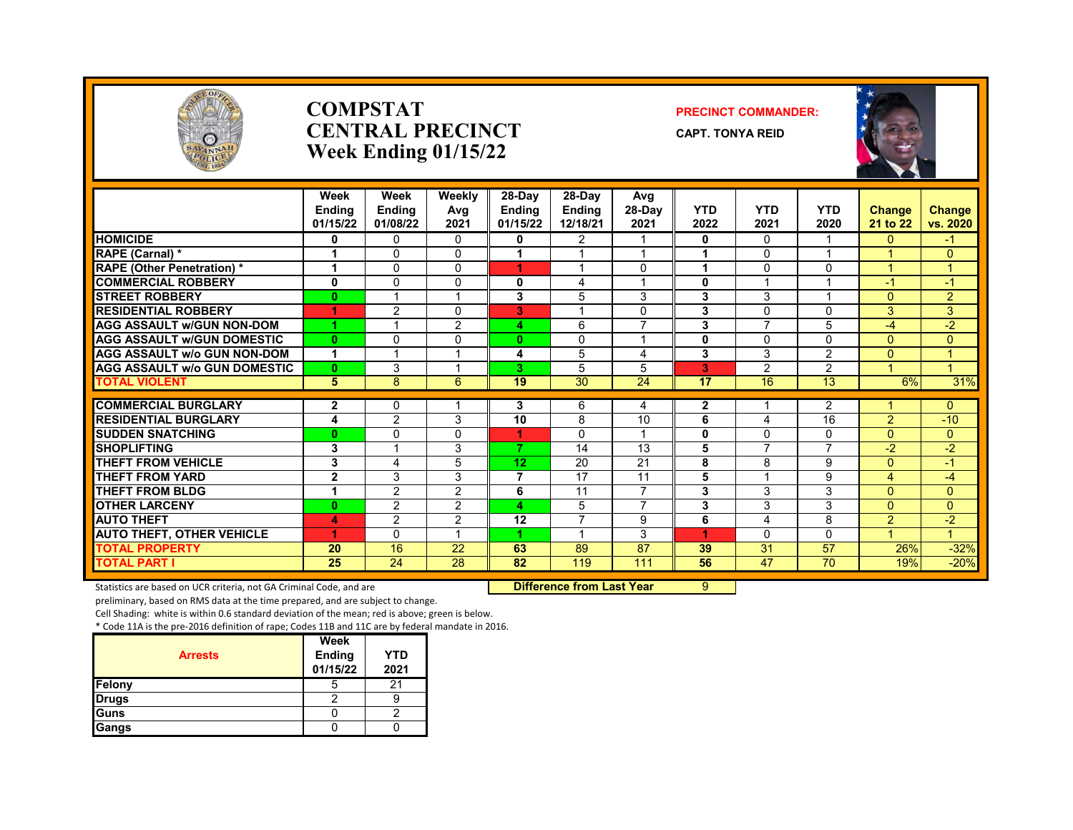

#### **COMPSTAT PRECINCT COMMANDER: CENTRAL PRECINCT** CAPT. TONYA REID **Week Ending 01/15/22**



|                                     | Week           | Week                     | Weekly          | 28-Day         | 28-Day         | Avg             |                 |                |                 |                |                      |
|-------------------------------------|----------------|--------------------------|-----------------|----------------|----------------|-----------------|-----------------|----------------|-----------------|----------------|----------------------|
|                                     | <b>Ending</b>  | <b>Ending</b>            | Avg             | <b>Ending</b>  | <b>Endina</b>  | $28-Dav$        | <b>YTD</b>      | <b>YTD</b>     | <b>YTD</b>      | <b>Change</b>  | <b>Change</b>        |
|                                     | 01/15/22       | 01/08/22                 | 2021            | 01/15/22       | 12/18/21       | 2021            | 2022            | 2021           | 2020            | 21 to 22       | vs. 2020             |
| <b>HOMICIDE</b>                     | 0              | $\mathbf{0}$             | $\mathbf{0}$    | 0              | $\overline{2}$ |                 | 0               | $\Omega$       |                 | $\Omega$       | $-1$                 |
| RAPE (Carnal) *                     |                | 0                        | $\Omega$        |                |                |                 |                 | $\Omega$       |                 |                | $\Omega$             |
| <b>RAPE (Other Penetration) *</b>   | 1              | $\Omega$                 | $\Omega$        | 4              |                | $\Omega$        |                 | 0              | $\Omega$        |                | $\mathbf{1}$         |
| <b>COMMERCIAL ROBBERY</b>           | 0              | $\Omega$                 | $\Omega$        | 0              | 4              | 4               | 0               |                |                 | $-1$           | $-1$                 |
| <b>ISTREET ROBBERY</b>              | 0              |                          |                 | 3              | 5              | 3               | 3               | 3              |                 | $\Omega$       | $\overline{2}$       |
| <b>RESIDENTIAL ROBBERY</b>          | 4              | 2                        | $\Omega$        | 3              |                | 0               | 3               | 0              | $\Omega$        | 3              | 3                    |
| <b>AGG ASSAULT w/GUN NON-DOM</b>    | 4              |                          | $\overline{2}$  | 4.             | 6              |                 | 3               | $\overline{7}$ | 5               | $-4$           | $-2$                 |
| <b>AGG ASSAULT W/GUN DOMESTIC</b>   | 0              | $\Omega$                 | 0               | $\mathbf{0}$   | 0              | 1               | $\mathbf 0$     | $\Omega$       | $\Omega$        | $\Omega$       | $\overline{0}$       |
| <b>AGG ASSAULT w/o GUN NON-DOM</b>  | 1              |                          |                 | 4              | 5              | 4               | 3               | 3              | $\overline{2}$  | $\Omega$       | $\mathbf{1}$         |
| <b>AGG ASSAULT W/o GUN DOMESTIC</b> | 0              | 3                        |                 | 3.             | 5              | 5               | 3               | $\overline{2}$ | $\mathcal{P}$   |                | $\blacktriangleleft$ |
| <b>TOTAL VIOLENT</b>                | 5              | 8                        | 6               | 19             | 30             | $\overline{24}$ | $\overline{17}$ | 16             | $\overline{13}$ | 6%             | 31%                  |
| <b>COMMERCIAL BURGLARY</b>          | 2              | 0                        |                 | 3              | 6              | 4               | $\mathbf{2}$    |                | 2               |                | $\Omega$             |
| <b>RESIDENTIAL BURGLARY</b>         | 4              | $\overline{2}$           | 3               | 10             | 8              | 10              | 6               | 4              | 16              | $\overline{2}$ | $-10$                |
| <b>SUDDEN SNATCHING</b>             | 0              | 0                        | $\mathbf 0$     |                | 0              | $\overline{ }$  | $\mathbf 0$     | $\mathbf 0$    | $\Omega$        | $\Omega$       | $\overline{0}$       |
| <b>SHOPLIFTING</b>                  | 3              | $\overline{\phantom{a}}$ | 3               | $\overline{7}$ | 14             | 13              | 5               | $\overline{7}$ | 7               | $-2$           | $-2$                 |
| <b>THEFT FROM VEHICLE</b>           | 3              | 4                        | 5               | 12             | 20             | 21              | 8               | 8              | 9               | $\Omega$       | $-1$                 |
| <b>THEFT FROM YARD</b>              | $\overline{2}$ | 3                        | 3               | 7              | 17             | 11              | 5               | -1             | 9               | 4              | $-4$                 |
| <b>THEFT FROM BLDG</b>              | 1              | $\overline{2}$           | 2               | 6              | 11             | $\overline{7}$  | 3               | 3              | 3               | $\Omega$       | $\Omega$             |
| <b>OTHER LARCENY</b>                | $\bf{0}$       | $\overline{2}$           | 2               | 4              | 5              | $\overline{7}$  | 3               | 3              | 3               | $\Omega$       | $\Omega$             |
| <b>AUTO THEFT</b>                   | 4              | 2                        | 2               | 12             | 7              | 9               | 6               | 4              | 8               | $\overline{2}$ | $-2$                 |
| <b>AUTO THEFT, OTHER VEHICLE</b>    | 4              | $\Omega$                 |                 |                |                | 3               | 4               | $\Omega$       | U               |                | $\mathbf{1}$         |
| <b>TOTAL PROPERTY</b>               | 20             | 16                       | 22              | 63             | 89             | 87              | 39              | 31             | 57              | 26%            | $-32%$               |
| <b>TOTAL PART I</b>                 | 25             | $\overline{24}$          | $\overline{28}$ | 82             | 119            | 111             | 56              | 47             | 70              | 19%            | $-20%$               |

Statistics are based on UCR criteria, not GA Criminal Code, and are **Difference from Last Year** 9

preliminary, based on RMS data at the time prepared, and are subject to change.

Cell Shading: white is within 0.6 standard deviation of the mean; red is above; green is below.

| <b>Arrests</b> | Week<br>Ending<br>01/15/22 | <b>YTD</b><br>2021 |
|----------------|----------------------------|--------------------|
| Felony         |                            |                    |
| <b>Drugs</b>   |                            |                    |
| Guns           |                            |                    |
| Gangs          |                            |                    |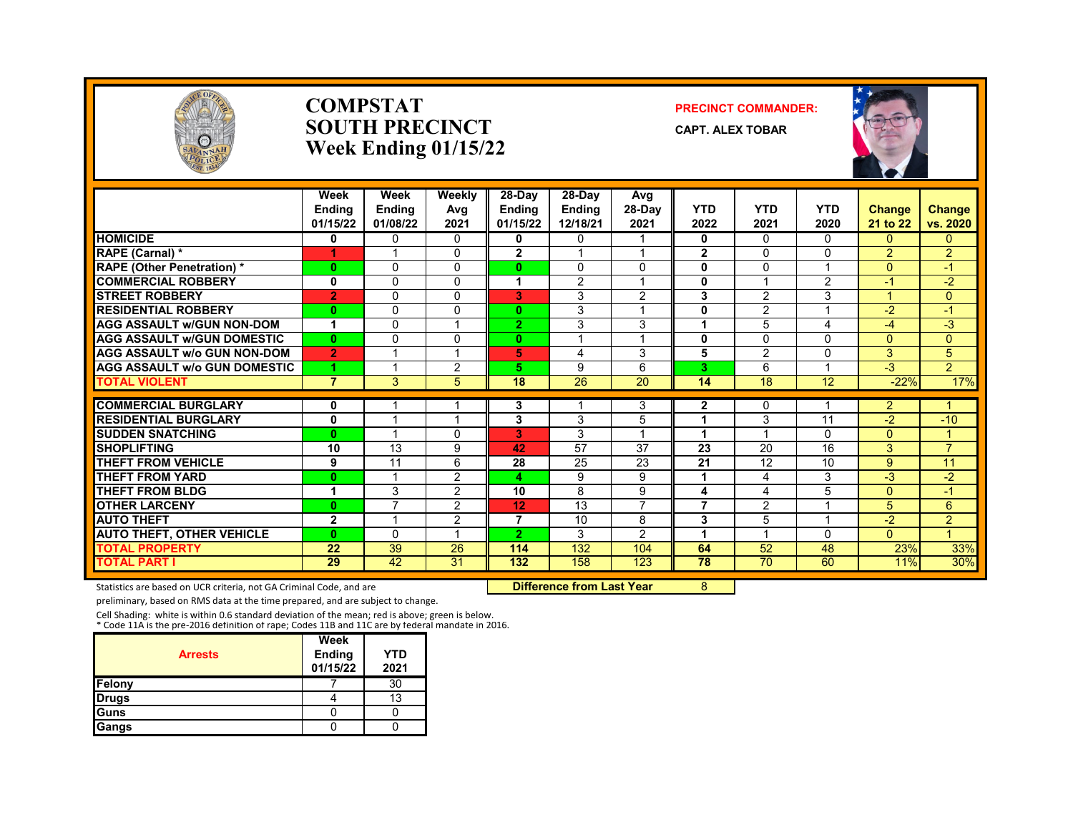

#### **COMPSTAT PRECINCT COMMANDER: SOUTH PRECINCT CAPT. ALEX TOBAR Week Ending 01/15/22**



|                                     | Week<br>Endina<br>01/15/22 | Week<br>Ending<br>01/08/22 | Weekly<br>Avg<br>2021 | 28-Day<br><b>Ending</b><br>01/15/22 | $28-Dav$<br><b>Ending</b><br>12/18/21 | Avg<br>$28-Dav$<br>2021 | <b>YTD</b><br>2022 | <b>YTD</b><br>2021 | <b>YTD</b><br>2020 | <b>Change</b><br>21 to 22 | Change<br>vs. 2020 |
|-------------------------------------|----------------------------|----------------------------|-----------------------|-------------------------------------|---------------------------------------|-------------------------|--------------------|--------------------|--------------------|---------------------------|--------------------|
| <b>HOMICIDE</b>                     | 0                          | $\Omega$                   | $\Omega$              | 0                                   | $\mathbf{0}$                          | $\overline{ }$          | 0                  | $\Omega$           | 0                  | $\Omega$                  | $\mathbf{0}$       |
| RAPE (Carnal) *                     | 4                          |                            | $\Omega$              | $\mathbf{2}$                        |                                       |                         | $\mathbf{2}$       | $\Omega$           | 0                  | $\overline{2}$            | $\overline{2}$     |
| <b>RAPE (Other Penetration) *</b>   | $\bf{0}$                   | $\Omega$                   | $\Omega$              | $\mathbf{0}$                        | $\Omega$                              | $\mathbf 0$             | $\mathbf 0$        | $\Omega$           |                    | $\Omega$                  | $\blacksquare$     |
| <b>COMMERCIAL ROBBERY</b>           | 0                          | $\Omega$                   | $\Omega$              | 1                                   | 2                                     | $\overline{ }$          | 0                  | $\overline{ }$     | $\overline{2}$     | $-1$                      | $-2$               |
| <b>STREET ROBBERY</b>               | $\overline{2}$             | $\Omega$                   | $\Omega$              | 3                                   | 3                                     | 2                       | 3                  | $\overline{2}$     | 3                  |                           | $\overline{0}$     |
| <b>RESIDENTIAL ROBBERY</b>          | $\bf{0}$                   | $\Omega$                   | $\Omega$              | $\mathbf{0}$                        | 3                                     | $\overline{ }$          | $\bf{0}$           | $\overline{2}$     |                    | $-2$                      | $\blacktriangle$   |
| <b>AGG ASSAULT w/GUN NON-DOM</b>    | 1                          | $\Omega$                   |                       | $\overline{2}$                      | 3                                     | 3                       | 1                  | 5                  | 4                  | $-4$                      | $-3$               |
| <b>AGG ASSAULT W/GUN DOMESTIC</b>   | 0                          | $\Omega$                   | $\Omega$              | $\mathbf{0}$                        |                                       | $\overline{ }$          | 0                  | $\Omega$           | U                  | $\Omega$                  | $\Omega$           |
| <b>AGG ASSAULT W/o GUN NON-DOM</b>  | $\overline{2}$             |                            |                       | 5                                   | 4                                     | 3                       | 5                  | 2                  | 0                  | 3                         | 5                  |
| <b>AGG ASSAULT W/o GUN DOMESTIC</b> |                            |                            | 2                     | 5.                                  | 9                                     | 6                       | 3                  | 6                  |                    | $\overline{\cdot}$        | $\overline{2}$     |
| <b>TOTAL VIOLENT</b>                | $\overline{7}$             | 3                          | 5                     | 18                                  | 26                                    | 20                      | 14                 | 18                 | 12                 | $-22%$                    | 17%                |
| <b>COMMERCIAL BURGLARY</b>          | 0                          |                            |                       | 3                                   |                                       | 3                       | 2                  | 0                  |                    | $\mathbf{2}$              |                    |
| <b>RESIDENTIAL BURGLARY</b>         | $\mathbf{0}$               |                            |                       | 3                                   | 3                                     | 5                       | 1                  | 3                  | 11                 | $-2$                      | $-10$              |
| <b>SUDDEN SNATCHING</b>             | 0                          |                            | $\Omega$              | 3                                   | 3                                     | $\overline{ }$          | 1                  |                    | 0                  | $\Omega$                  | и                  |
| <b>SHOPLIFTING</b>                  | 10                         | 13                         | 9                     | 42                                  | 57                                    | 37                      | 23                 | 20                 | 16                 | 3                         | $\overline{7}$     |
| <b>THEFT FROM VEHICLE</b>           | 9                          | 11                         | 6                     | 28                                  | 25                                    | 23                      | 21                 | 12                 | 10                 | 9                         | 11                 |
| <b>THEFT FROM YARD</b>              | $\bf{0}$                   |                            | 2                     | 4                                   | 9                                     | 9                       | 1                  | 4                  | 3                  | $-3$                      | $-2$               |
| <b>THEFT FROM BLDG</b>              | 1                          | 3                          | 2                     | 10                                  | 8                                     | 9                       | 4                  | 4                  | 5                  | $\Omega$                  | $-1$               |
| <b>OTHER LARCENY</b>                | 0                          | 7                          | 2                     | 12                                  | 13                                    | $\overline{7}$          | 7                  | 2                  |                    | 5                         | 6                  |
| <b>AUTO THEFT</b>                   | $\overline{2}$             | 4                          | 2                     | 7                                   | 10                                    | 8                       | 3                  | 5                  |                    | $-2$                      | $\overline{2}$     |
| <b>AUTO THEFT, OTHER VEHICLE</b>    | 0                          | $\Omega$                   |                       | $\overline{2}$                      | 3                                     | $\overline{2}$          | 1                  |                    | 0                  | $\Omega$                  | $\overline{A}$     |
| <b>TOTAL PROPERTY</b>               | 22                         | 39                         | 26                    | 114                                 | 132                                   | 104                     | 64                 | 52                 | 48                 | 23%                       | 33%                |
| TOTAL PART I                        | 29                         | 42                         | 31                    | 132                                 | 158                                   | 123                     | 78                 | 70                 | 60                 | 11%                       | 30%                |

Statistics are based on UCR criteria, not GA Criminal Code, and are **Difference from Last Year** 8

preliminary, based on RMS data at the time prepared, and are subject to change.

Cell Shading: white is within 0.6 standard deviation of the mean; red is above; green is below. \* Code 11A is the pre-2016 definition of rape; Codes 11B and 11C are by federal mandate in 2016.

| <b>Arrests</b> | Week<br><b>Ending</b><br>01/15/22 | YTD<br>2021 |
|----------------|-----------------------------------|-------------|
| Felony         |                                   | 30          |
| <b>Drugs</b>   |                                   | 13          |
| <b>Guns</b>    |                                   |             |
| Gangs          |                                   |             |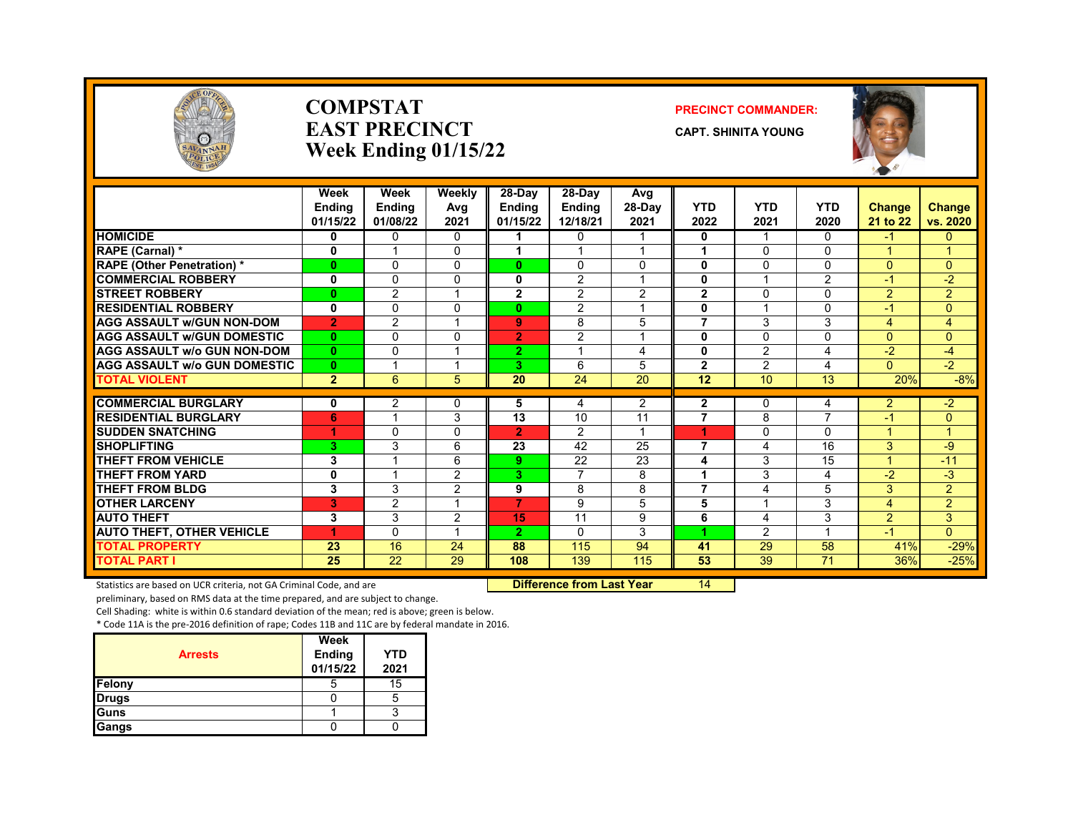

#### **COMPSTAT PRECINCT COMMANDER: EAST PRECINCT CAPT. SHINITA YOUNG Week Ending 01/15/22**



|                                     | Week<br><b>Endina</b><br>01/15/22 | Week<br><b>Ending</b><br>01/08/22 | Weekly<br>Avg<br>2021 | 28-Day<br><b>Endina</b><br>01/15/22 | 28-Day<br><b>Ending</b><br>12/18/21 | Avg<br>$28-Dav$<br>2021 | <b>YTD</b><br>2022 | <b>YTD</b><br>2021 | <b>YTD</b><br>2020 | <b>Change</b><br>21 to 22 | Change<br>vs. 2020 |
|-------------------------------------|-----------------------------------|-----------------------------------|-----------------------|-------------------------------------|-------------------------------------|-------------------------|--------------------|--------------------|--------------------|---------------------------|--------------------|
| <b>HOMICIDE</b>                     | 0                                 | $\Omega$                          | $\mathbf{0}$          |                                     | $\Omega$                            | 1                       | 0                  | 1                  | $\Omega$           | -1                        | $\Omega$           |
| RAPE (Carnal) *                     | 0                                 |                                   | $\Omega$              |                                     |                                     | $\overline{ }$          |                    | $\Omega$           | $\Omega$           |                           |                    |
| <b>RAPE (Other Penetration) *</b>   | $\mathbf{0}$                      | $\Omega$                          | $\Omega$              | O.                                  | $\Omega$                            | $\Omega$                | $\mathbf{0}$       | $\Omega$           | $\Omega$           | $\Omega$                  | $\Omega$           |
| <b>COMMERCIAL ROBBERY</b>           | $\mathbf 0$                       | $\Omega$                          | $\Omega$              | 0                                   | $\overline{2}$                      | 1                       | 0                  |                    | $\overline{2}$     | $-1$                      | $-2$               |
| <b>STREET ROBBERY</b>               | $\bf{0}$                          | $\overline{2}$                    | 1                     | $\mathbf{2}$                        | 2                                   | 2                       | $\mathbf{2}$       | $\Omega$           | $\Omega$           | 2                         | $\overline{2}$     |
| <b>RESIDENTIAL ROBBERY</b>          | $\mathbf 0$                       | $\Omega$                          | $\Omega$              | 0                                   | 2                                   | 1                       | 0                  |                    | $\Omega$           | $-1$                      | $\overline{0}$     |
| <b>AGG ASSAULT w/GUN NON-DOM</b>    | $\overline{2}$                    | $\overline{2}$                    |                       | 9                                   | 8                                   | 5                       | 7                  | 3                  | 3                  | 4                         | 4                  |
| <b>AGG ASSAULT w/GUN DOMESTIC</b>   | $\mathbf{0}$                      | $\mathbf 0$                       | $\mathbf{0}$          | $\overline{2}$                      | $\overline{2}$                      | $\overline{\mathbf{A}}$ | 0                  | $\Omega$           | $\mathbf{0}$       | $\overline{0}$            | $\overline{0}$     |
| <b>AGG ASSAULT w/o GUN NON-DOM</b>  | $\mathbf{0}$                      | $\Omega$                          | -1                    | $\overline{2}$                      |                                     | 4                       | 0                  | $\overline{2}$     | 4                  | $-2$                      | -4                 |
| <b>AGG ASSAULT w/o GUN DOMESTIC</b> | $\mathbf{0}$                      |                                   |                       | 3.                                  | 6                                   | 5                       | $\overline{2}$     | $\overline{2}$     | 4                  | $\Omega$                  | $-2$               |
| <b>TOTAL VIOLENT</b>                | $\overline{2}$                    | 6                                 | 5                     | 20                                  | 24                                  | 20                      | 12                 | 10                 | 13                 | 20%                       | $-8%$              |
| <b>COMMERCIAL BURGLARY</b>          | 0                                 | 2                                 | $\Omega$              | 5                                   | 4                                   | 2                       | $\mathbf{2}$       | $\Omega$           | 4                  | $\overline{2}$            | $-2$               |
| <b>RESIDENTIAL BURGLARY</b>         | 6                                 |                                   | 3                     | 13                                  | 10                                  | 11                      | 7                  | 8                  |                    | $-1$                      | $\mathbf{0}$       |
| <b>SUDDEN SNATCHING</b>             | 1                                 | $\Omega$                          | $\Omega$              | $\overline{2}$                      | 2                                   | 1                       | 4                  | $\mathbf{0}$       | $\Omega$           |                           |                    |
| <b>SHOPLIFTING</b>                  | 3.                                | 3                                 | 6                     | 23                                  | 42                                  | 25                      | 7                  | $\overline{4}$     | 16                 | 3                         | -9                 |
| <b>THEFT FROM VEHICLE</b>           | 3                                 |                                   | 6                     | 9                                   | 22                                  | 23                      | 4                  | 3                  | 15                 | 4                         | $-11$              |
| <b>THEFT FROM YARD</b>              | 0                                 |                                   | $\overline{2}$        | 3                                   | 7                                   | 8                       |                    | 3                  | 4                  | $-2$                      | $-3$               |
| <b>THEFT FROM BLDG</b>              | 3                                 | 3                                 | $\overline{2}$        | 9                                   | 8                                   | 8                       | $\overline{7}$     | $\overline{4}$     | 5                  | 3                         | $\overline{2}$     |
| <b>OTHER LARCENY</b>                | 3                                 | 2                                 |                       | 7                                   | 9                                   | 5                       | 5                  |                    | 3                  | 4                         | $\overline{2}$     |
| <b>AUTO THEFT</b>                   | 3                                 | 3                                 | $\overline{2}$        | 15                                  | 11                                  | 9                       | 6                  | $\overline{4}$     | 3                  | $\overline{2}$            | 3                  |
| <b>AUTO THEFT, OTHER VEHICLE</b>    |                                   | $\Omega$                          |                       | $\overline{2}$                      | $\Omega$                            | 3                       |                    | $\mathfrak{p}$     |                    | $-1$                      | $\Omega$           |
| <b>TOTAL PROPERTY</b>               | 23                                | 16                                | 24                    | 88                                  | 115                                 | 94                      | 41                 | 29                 | 58                 | 41%                       | $-29%$             |
| <b>TOTAL PART I</b>                 | 25                                | 22                                | 29                    | 108                                 | 139                                 | 115                     | 53                 | 39                 | 71                 | 36%                       | $-25%$             |

Statistics are based on UCR criteria, not GA Criminal Code, and are **Difference from Last Year** 14

preliminary, based on RMS data at the time prepared, and are subject to change.

Cell Shading: white is within 0.6 standard deviation of the mean; red is above; green is below.

| <b>Arrests</b> | Week<br><b>Ending</b><br>01/15/22 | YTD<br>2021 |
|----------------|-----------------------------------|-------------|
| Felony         | b                                 | 15          |
| <b>Drugs</b>   |                                   | 5           |
| <b>Guns</b>    |                                   |             |
| Gangs          |                                   |             |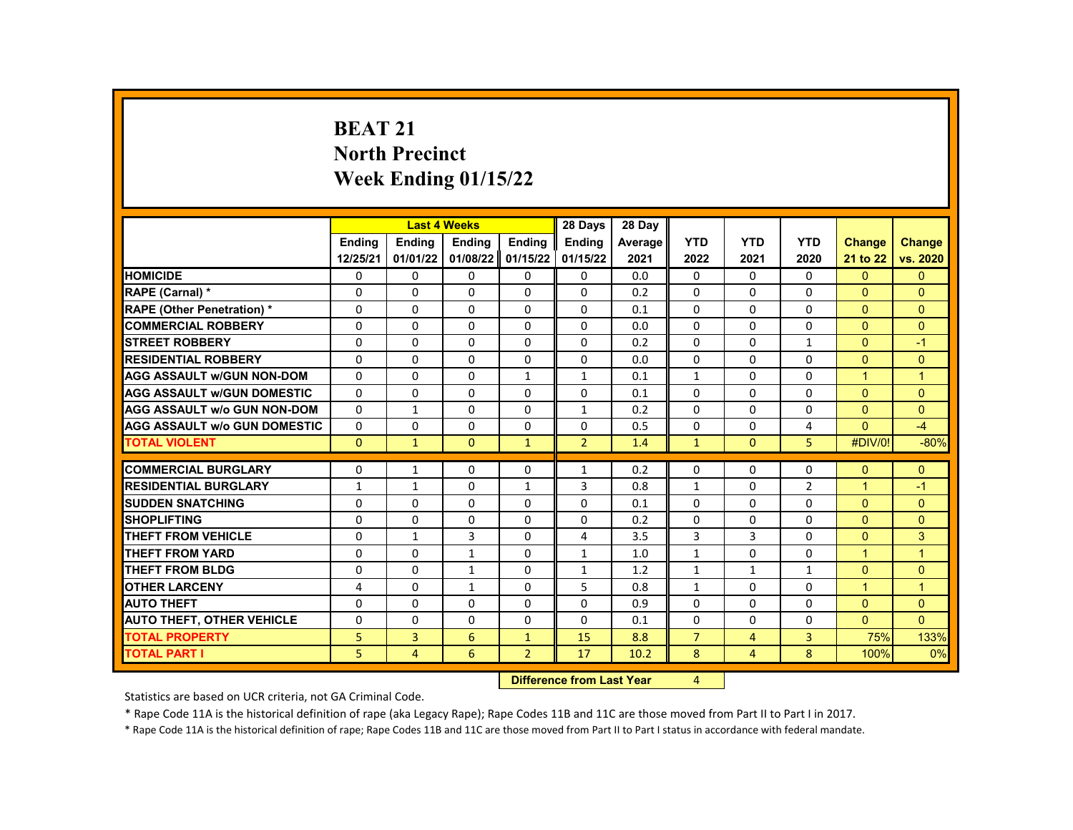# **BEAT 21 North Precinct Week Ending 01/15/22**

|                                     |                                                                |              | <b>Last 4 Weeks</b> |                | 28 Days        | 28 Day  |                |                |                |                      |                |
|-------------------------------------|----------------------------------------------------------------|--------------|---------------------|----------------|----------------|---------|----------------|----------------|----------------|----------------------|----------------|
|                                     | <b>Endina</b>                                                  | Ending       | Ending              | Ending         | Ending         | Average | <b>YTD</b>     | <b>YTD</b>     | <b>YTD</b>     | <b>Change</b>        | <b>Change</b>  |
|                                     | 12/25/21                                                       | 01/01/22     | 01/08/22            | 01/15/22       | 01/15/22       | 2021    | 2022           | 2021           | 2020           | 21 to 22             | vs. 2020       |
| <b>HOMICIDE</b>                     | 0                                                              | $\mathbf{0}$ | 0                   | 0              | 0              | 0.0     | $\mathbf{0}$   | 0              | $\mathbf{0}$   | $\mathbf{0}$         | $\mathbf{0}$   |
| RAPE (Carnal) *                     | $\Omega$                                                       | $\Omega$     | $\Omega$            | $\Omega$       | $\Omega$       | 0.2     | $\Omega$       | $\Omega$       | $\Omega$       | $\Omega$             | $\Omega$       |
| RAPE (Other Penetration) *          | $\Omega$                                                       | $\Omega$     | $\Omega$            | $\Omega$       | $\Omega$       | 0.1     | $\Omega$       | $\Omega$       | $\Omega$       | $\Omega$             | $\Omega$       |
| <b>COMMERCIAL ROBBERY</b>           | 0                                                              | 0            | 0                   | $\Omega$       | 0              | 0.0     | $\mathbf{0}$   | 0              | 0              | $\Omega$             | $\Omega$       |
| <b>STREET ROBBERY</b>               | $\Omega$                                                       | $\Omega$     | $\Omega$            | $\Omega$       | $\Omega$       | 0.2     | $\Omega$       | $\Omega$       | $\mathbf{1}$   | $\Omega$             | $-1$           |
| <b>RESIDENTIAL ROBBERY</b>          | $\Omega$                                                       | $\Omega$     | $\Omega$            | $\Omega$       | $\Omega$       | 0.0     | $\Omega$       | $\Omega$       | $\Omega$       | $\Omega$             | $\Omega$       |
| <b>AGG ASSAULT w/GUN NON-DOM</b>    | 0                                                              | 0            | 0                   | $\mathbf{1}$   | $\mathbf{1}$   | 0.1     | $\mathbf{1}$   | 0              | 0              | $\blacktriangleleft$ | $\overline{1}$ |
| <b>AGG ASSAULT w/GUN DOMESTIC</b>   | $\Omega$                                                       | $\Omega$     | $\Omega$            | $\Omega$       | $\Omega$       | 0.1     | $\Omega$       | $\Omega$       | $\Omega$       | $\Omega$             | $\Omega$       |
| <b>AGG ASSAULT w/o GUN NON-DOM</b>  | $\Omega$                                                       | $\mathbf{1}$ | $\Omega$            | $\Omega$       | $\mathbf{1}$   | 0.2     | $\Omega$       | $\Omega$       | $\Omega$       | $\Omega$             | $\Omega$       |
| <b>AGG ASSAULT w/o GUN DOMESTIC</b> | $\Omega$                                                       | $\Omega$     | $\Omega$            | $\Omega$       | $\Omega$       | 0.5     | 0              | 0              | 4              | $\Omega$             | $-4$           |
| <b>TOTAL VIOLENT</b>                | $\mathbf{0}$                                                   | $\mathbf{1}$ | $\mathbf{0}$        | $\mathbf{1}$   | $\overline{2}$ | 1.4     | $\mathbf{1}$   | $\mathbf{0}$   | 5              | #DIV/0!              | $-80%$         |
|                                     |                                                                |              |                     |                |                |         |                |                |                |                      |                |
| <b>COMMERCIAL BURGLARY</b>          | 0                                                              | 1            | 0                   | $\Omega$       | $\mathbf{1}$   | 0.2     | $\Omega$       | 0              | 0              | $\Omega$             | $\mathbf{0}$   |
| <b>RESIDENTIAL BURGLARY</b>         | $\mathbf{1}$                                                   | $\mathbf{1}$ | $\Omega$            | $\mathbf{1}$   | 3              | 0.8     | $\mathbf{1}$   | $\Omega$       | $\overline{2}$ | $\overline{1}$       | $-1$           |
| <b>SUDDEN SNATCHING</b>             | $\Omega$                                                       | $\Omega$     | $\Omega$            | $\Omega$       | $\Omega$       | 0.1     | $\Omega$       | $\Omega$       | $\Omega$       | $\Omega$             | $\Omega$       |
| <b>SHOPLIFTING</b>                  | 0                                                              | 0            | 0                   | $\Omega$       | 0              | 0.2     | $\mathbf{0}$   | 0              | 0              | $\Omega$             | $\Omega$       |
| <b>THEFT FROM VEHICLE</b>           | $\Omega$                                                       | $\mathbf{1}$ | 3                   | $\Omega$       | 4              | 3.5     | 3              | 3              | $\Omega$       | $\Omega$             | 3              |
| <b>THEFT FROM YARD</b>              | $\Omega$                                                       | $\Omega$     | $\mathbf{1}$        | $\Omega$       | $\mathbf{1}$   | 1.0     | $\mathbf{1}$   | $\Omega$       | $\Omega$       | $\blacktriangleleft$ | $\overline{1}$ |
| <b>THEFT FROM BLDG</b>              | 0                                                              | 0            | 1                   | $\Omega$       | $\mathbf{1}$   | 1.2     | $\mathbf{1}$   | $\mathbf{1}$   | $\mathbf{1}$   | $\Omega$             | $\Omega$       |
| <b>OTHER LARCENY</b>                | 4                                                              | $\Omega$     | $\mathbf{1}$        | $\Omega$       | 5              | 0.8     | $\mathbf{1}$   | $\Omega$       | $\Omega$       | $\mathbf{1}$         | $\overline{1}$ |
| <b>AUTO THEFT</b>                   | $\Omega$                                                       | $\Omega$     | $\Omega$            | $\Omega$       | 0              | 0.9     | $\Omega$       | $\Omega$       | $\Omega$       | $\Omega$             | $\Omega$       |
| <b>AUTO THEFT, OTHER VEHICLE</b>    | 0                                                              | 0            | 0                   | $\Omega$       | 0              | 0.1     | $\Omega$       | 0              | 0              | $\Omega$             | $\Omega$       |
| <b>TOTAL PROPERTY</b>               | 5                                                              | 3            | 6                   | $\mathbf{1}$   | 15             | 8.8     | $\overline{7}$ | 4              | 3              | 75%                  | 133%           |
| <b>TOTAL PART I</b>                 | 5                                                              | 4            | 6                   | $\overline{2}$ | 17             | 10.2    | 8              | $\overline{4}$ | 8              | 100%                 | 0%             |
|                                     | <b>INSECTION</b><br>an American Indian March<br>$\overline{a}$ |              |                     |                |                |         |                |                |                |                      |                |

**Difference from Last Year** 4

Statistics are based on UCR criteria, not GA Criminal Code.

\* Rape Code 11A is the historical definition of rape (aka Legacy Rape); Rape Codes 11B and 11C are those moved from Part II to Part I in 2017.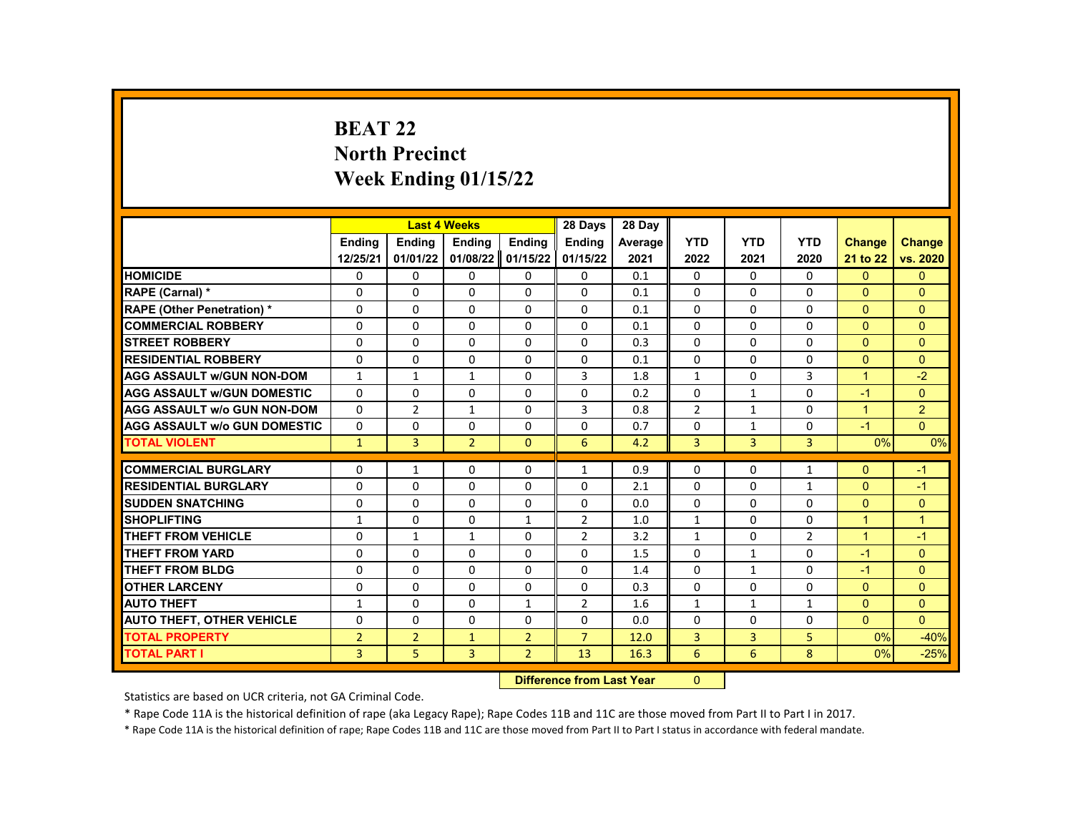# **BEAT 22 North Precinct Week Ending 01/15/22**

|                                     |                | <b>Last 4 Weeks</b> |                |                | 28 Days                   | 28 Dav  |                |              |              |                |                |
|-------------------------------------|----------------|---------------------|----------------|----------------|---------------------------|---------|----------------|--------------|--------------|----------------|----------------|
|                                     | <b>Endina</b>  | <b>Endina</b>       | Ending         | <b>Endina</b>  | <b>Endina</b>             | Average | <b>YTD</b>     | <b>YTD</b>   | <b>YTD</b>   | <b>Change</b>  | <b>Change</b>  |
|                                     | 12/25/21       | 01/01/22            | 01/08/22       | 01/15/22       | 01/15/22                  | 2021    | 2022           | 2021         | 2020         | 21 to 22       | vs. 2020       |
| <b>HOMICIDE</b>                     | 0              | 0                   | $\Omega$       | 0              | 0                         | 0.1     | $\mathbf{0}$   | $\Omega$     | 0            | $\mathbf{0}$   | $\mathbf{0}$   |
| RAPE (Carnal) *                     | $\Omega$       | $\Omega$            | $\Omega$       | $\Omega$       | $\Omega$                  | 0.1     | $\Omega$       | $\Omega$     | $\Omega$     | $\Omega$       | $\Omega$       |
| <b>RAPE (Other Penetration) *</b>   | 0              | 0                   | $\Omega$       | 0              | 0                         | 0.1     | 0              | $\Omega$     | 0            | $\mathbf{0}$   | $\mathbf{0}$   |
| <b>COMMERCIAL ROBBERY</b>           | 0              | $\Omega$            | $\Omega$       | $\Omega$       | $\Omega$                  | 0.1     | $\Omega$       | $\Omega$     | $\Omega$     | $\mathbf{0}$   | $\Omega$       |
| <b>STREET ROBBERY</b>               | $\Omega$       | $\Omega$            | $\Omega$       | $\Omega$       | $\Omega$                  | 0.3     | $\Omega$       | $\Omega$     | $\Omega$     | $\Omega$       | $\Omega$       |
| <b>RESIDENTIAL ROBBERY</b>          | 0              | 0                   | $\Omega$       | 0              | 0                         | 0.1     | $\Omega$       | $\Omega$     | 0            | $\mathbf{0}$   | $\Omega$       |
| <b>AGG ASSAULT w/GUN NON-DOM</b>    | $\mathbf{1}$   | $\mathbf{1}$        | 1              | 0              | 3                         | 1.8     | $\mathbf{1}$   | 0            | 3            | $\overline{1}$ | $-2$           |
| <b>AGG ASSAULT W/GUN DOMESTIC</b>   | $\Omega$       | $\Omega$            | $\Omega$       | $\Omega$       | $\Omega$                  | 0.2     | $\Omega$       | $\mathbf{1}$ | $\Omega$     | $-1$           | $\Omega$       |
| <b>AGG ASSAULT w/o GUN NON-DOM</b>  | 0              | $\overline{2}$      | $\mathbf{1}$   | 0              | 3                         | 0.8     | $\overline{2}$ | $\mathbf{1}$ | 0            | $\mathbf{1}$   | $\overline{2}$ |
| <b>AGG ASSAULT w/o GUN DOMESTIC</b> | 0              | 0                   | 0              | 0              | 0                         | 0.7     | 0              | $\mathbf{1}$ | 0            | $-1$           | $\Omega$       |
| <b>TOTAL VIOLENT</b>                | $\mathbf{1}$   | 3                   | $\overline{2}$ | $\Omega$       | 6                         | 4.2     | 3              | 3            | 3            | 0%             | 0%             |
| <b>COMMERCIAL BURGLARY</b>          | 0              | $\mathbf{1}$        | $\Omega$       | $\Omega$       | $\mathbf{1}$              | 0.9     | $\Omega$       | $\Omega$     | $\mathbf{1}$ | $\Omega$       | $-1$           |
| <b>RESIDENTIAL BURGLARY</b>         | 0              | $\Omega$            | 0              | 0              | $\Omega$                  | 2.1     | $\mathbf{0}$   | $\Omega$     | $\mathbf{1}$ | $\mathbf{0}$   | $-1$           |
| <b>SUDDEN SNATCHING</b>             | 0              | $\Omega$            | $\Omega$       | 0              | $\Omega$                  | 0.0     | $\Omega$       | $\Omega$     | $\Omega$     | $\mathbf{0}$   | $\mathbf{0}$   |
| <b>SHOPLIFTING</b>                  | $\mathbf{1}$   | $\Omega$            | $\Omega$       | $\mathbf{1}$   | $\overline{2}$            | 1.0     | $\mathbf{1}$   | $\Omega$     | $\Omega$     | $\overline{1}$ | $\overline{1}$ |
| <b>THEFT FROM VEHICLE</b>           | 0              | $\mathbf{1}$        | $\mathbf{1}$   | $\Omega$       | $\overline{2}$            | 3.2     | $\mathbf{1}$   | 0            | 2            | $\mathbf{1}$   | $-1$           |
| <b>THEFT FROM YARD</b>              | 0              | 0                   | $\Omega$       | 0              | 0                         | 1.5     | $\Omega$       | $\mathbf{1}$ | $\Omega$     | $-1$           | $\mathbf{0}$   |
| <b>THEFT FROM BLDG</b>              | 0              | $\Omega$            | $\Omega$       | $\Omega$       | $\Omega$                  | 1.4     | $\Omega$       | $\mathbf{1}$ | $\Omega$     | $-1$           | $\Omega$       |
| <b>OTHER LARCENY</b>                | 0              | $\Omega$            | $\Omega$       | $\Omega$       | 0                         | 0.3     | $\Omega$       | $\Omega$     | 0            | $\Omega$       | $\Omega$       |
| <b>AUTO THEFT</b>                   | $\mathbf{1}$   | $\Omega$            | $\Omega$       | $\mathbf{1}$   | $\overline{2}$            | 1.6     | $\mathbf{1}$   | $\mathbf{1}$ | $\mathbf{1}$ | $\Omega$       | $\mathbf{0}$   |
| <b>AUTO THEFT, OTHER VEHICLE</b>    | 0              | $\Omega$            | $\Omega$       | $\Omega$       | $\Omega$                  | 0.0     | $\Omega$       | $\Omega$     | $\Omega$     | $\mathbf{0}$   | $\Omega$       |
| <b>TOTAL PROPERTY</b>               | $\overline{2}$ | $\overline{2}$      | $\mathbf{1}$   | $\overline{2}$ | $\overline{7}$            | 12.0    | 3              | 3            | 5            | 0%             | $-40%$         |
| <b>TOTAL PART I</b>                 | $\overline{3}$ | 5                   | $\overline{3}$ | $\overline{2}$ | 13                        | 16.3    | 6              | 6            | 8            | 0%             | $-25%$         |
|                                     |                |                     |                |                | Difference from Last Year |         | $\mathbf{0}$   |              |              |                |                |

Statistics are based on UCR criteria, not GA Criminal Code.

\* Rape Code 11A is the historical definition of rape (aka Legacy Rape); Rape Codes 11B and 11C are those moved from Part II to Part I in 2017.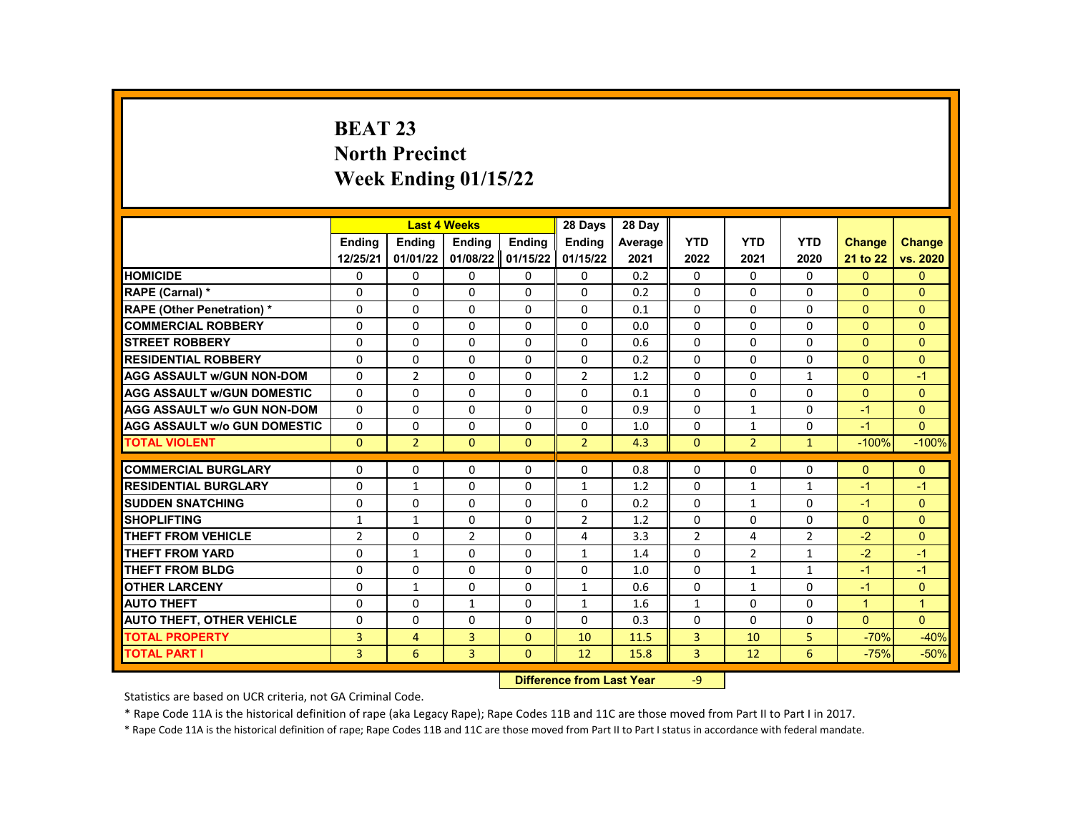# **BEAT 23 North Precinct Week Ending 01/15/22**

|                                     |                |                | <b>Last 4 Weeks</b> |               | 28 Days                   | 28 Day  |                |                |                |               |                |
|-------------------------------------|----------------|----------------|---------------------|---------------|---------------------------|---------|----------------|----------------|----------------|---------------|----------------|
|                                     | <b>Endina</b>  | <b>Endina</b>  | <b>Ending</b>       | <b>Ending</b> | <b>Endina</b>             | Average | <b>YTD</b>     | <b>YTD</b>     | <b>YTD</b>     | <b>Change</b> | <b>Change</b>  |
|                                     | 12/25/21       | 01/01/22       | 01/08/22            | 01/15/22      | 01/15/22                  | 2021    | 2022           | 2021           | 2020           | 21 to 22      | vs. 2020       |
| <b>HOMICIDE</b>                     | 0              | 0              | 0                   | 0             | 0                         | 0.2     | 0              | 0              | 0              | $\mathbf{0}$  | $\mathbf{0}$   |
| RAPE (Carnal) *                     | 0              | $\Omega$       | $\Omega$            | $\Omega$      | $\Omega$                  | 0.2     | $\Omega$       | $\Omega$       | $\Omega$       | $\Omega$      | $\Omega$       |
| <b>RAPE (Other Penetration) *</b>   | 0              | $\Omega$       | $\Omega$            | $\Omega$      | $\Omega$                  | 0.1     | $\Omega$       | $\Omega$       | $\Omega$       | $\Omega$      | $\Omega$       |
| <b>COMMERCIAL ROBBERY</b>           | 0              | $\mathbf{0}$   | $\Omega$            | 0             | $\Omega$                  | 0.0     | $\Omega$       | $\Omega$       | 0              | $\Omega$      | $\Omega$       |
| <b>STREET ROBBERY</b>               | 0              | $\Omega$       | $\Omega$            | $\Omega$      | $\Omega$                  | 0.6     | $\Omega$       | $\Omega$       | $\Omega$       | $\Omega$      | $\Omega$       |
| <b>RESIDENTIAL ROBBERY</b>          | $\Omega$       | $\Omega$       | $\Omega$            | $\Omega$      | $\Omega$                  | 0.2     | $\Omega$       | $\Omega$       | $\Omega$       | $\Omega$      | $\Omega$       |
| <b>AGG ASSAULT w/GUN NON-DOM</b>    | $\Omega$       | $\overline{2}$ | $\Omega$            | 0             | $\overline{2}$            | 1.2     | $\Omega$       | $\Omega$       | $\mathbf{1}$   | $\Omega$      | $-1$           |
| <b>AGG ASSAULT W/GUN DOMESTIC</b>   | $\Omega$       | $\Omega$       | $\Omega$            | $\Omega$      | $\Omega$                  | 0.1     | $\Omega$       | $\Omega$       | $\Omega$       | $\Omega$      | $\Omega$       |
| <b>AGG ASSAULT w/o GUN NON-DOM</b>  | $\Omega$       | $\Omega$       | $\Omega$            | $\Omega$      | $\Omega$                  | 0.9     | $\Omega$       | $\mathbf{1}$   | $\Omega$       | $-1$          | $\Omega$       |
| <b>AGG ASSAULT W/o GUN DOMESTIC</b> | $\Omega$       | $\mathbf{0}$   | $\Omega$            | 0             | $\Omega$                  | 1.0     | $\Omega$       | $\mathbf{1}$   | 0              | $-1$          | $\Omega$       |
| <b>TOTAL VIOLENT</b>                | $\mathbf{0}$   | $\overline{2}$ | $\mathbf{0}$        | $\mathbf{0}$  | $\overline{2}$            | 4.3     | $\mathbf{0}$   | $\overline{2}$ | $\mathbf{1}$   | $-100%$       | $-100%$        |
| <b>COMMERCIAL BURGLARY</b>          |                |                |                     |               |                           |         |                |                |                |               |                |
|                                     | 0              | 0              | 0                   | 0             | 0                         | 0.8     | $\mathbf{0}$   | $\Omega$       | 0              | $\mathbf{0}$  | $\mathbf{0}$   |
| <b>RESIDENTIAL BURGLARY</b>         | $\mathbf 0$    | $\mathbf{1}$   | $\Omega$            | $\Omega$      | $\mathbf{1}$              | 1.2     | $\Omega$       | $\mathbf{1}$   | $\mathbf{1}$   | $-1$          | $-1$           |
| <b>SUDDEN SNATCHING</b>             | 0              | $\Omega$       | $\Omega$            | $\Omega$      | $\Omega$                  | 0.2     | $\Omega$       | $\mathbf{1}$   | $\Omega$       | $-1$          | $\mathbf{0}$   |
| <b>SHOPLIFTING</b>                  | $\mathbf{1}$   | $\mathbf{1}$   | $\Omega$            | $\Omega$      | $\overline{2}$            | 1.2     | $\Omega$       | $\Omega$       | $\Omega$       | $\Omega$      | $\Omega$       |
| <b>THEFT FROM VEHICLE</b>           | $\overline{2}$ | $\Omega$       | $\overline{2}$      | $\Omega$      | 4                         | 3.3     | $\overline{2}$ | 4              | $\overline{2}$ | $-2$          | $\Omega$       |
| <b>THEFT FROM YARD</b>              | 0              | $\mathbf{1}$   | $\Omega$            | 0             | $\mathbf{1}$              | 1.4     | $\Omega$       | $\overline{2}$ | $\mathbf{1}$   | $-2$          | $-1$           |
| THEFT FROM BLDG                     | 0              | $\Omega$       | $\Omega$            | $\Omega$      | 0                         | 1.0     | $\Omega$       | $\mathbf{1}$   | $\mathbf{1}$   | $-1$          | $-1$           |
| <b>OTHER LARCENY</b>                | $\Omega$       | $\mathbf{1}$   | $\Omega$            | $\Omega$      | $\mathbf{1}$              | 0.6     | $\Omega$       | $\mathbf{1}$   | 0              | $-1$          | $\Omega$       |
| <b>AUTO THEFT</b>                   | 0              | 0              | $\mathbf{1}$        | 0             | $\mathbf{1}$              | 1.6     | $\mathbf{1}$   | $\Omega$       | $\Omega$       | $\mathbf{1}$  | $\overline{1}$ |
| <b>AUTO THEFT, OTHER VEHICLE</b>    | 0              | $\Omega$       | $\Omega$            | $\Omega$      | 0                         | 0.3     | $\Omega$       | $\Omega$       | 0              | $\Omega$      | $\Omega$       |
| <b>TOTAL PROPERTY</b>               | 3              | $\overline{4}$ | 3                   | $\Omega$      | 10                        | 11.5    | 3              | 10             | 5              | $-70%$        | $-40%$         |
| <b>TOTAL PART I</b>                 | 3              | 6              | 3                   | $\mathbf{0}$  | 12                        | 15.8    | 3              | 12             | 6              | $-75%$        | $-50%$         |
|                                     |                |                |                     |               | Difference from Lost Voor |         | $\Omega$       |                |                |               |                |

**Difference from Last Year** 

Statistics are based on UCR criteria, not GA Criminal Code.

\* Rape Code 11A is the historical definition of rape (aka Legacy Rape); Rape Codes 11B and 11C are those moved from Part II to Part I in 2017.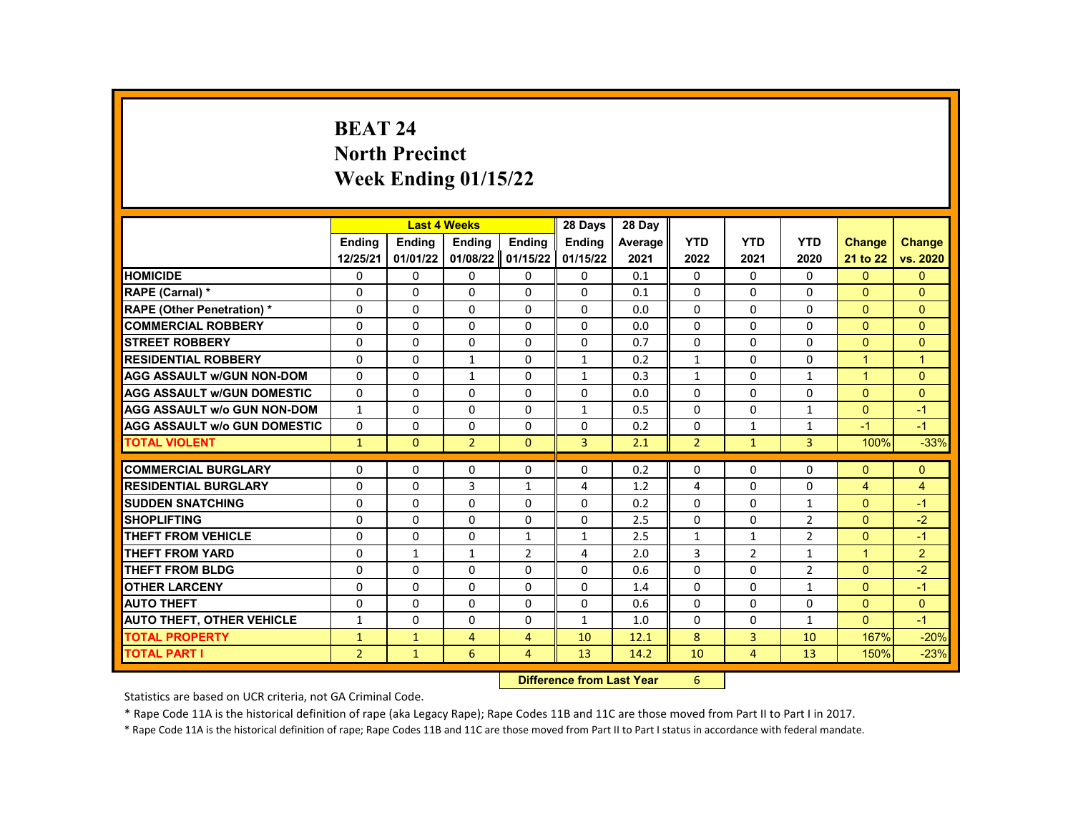# **BEAT 24 North Precinct Week Ending 01/15/22**

|                                     |                |               | <b>Last 4 Weeks</b> |                | 28 Days                   | 28 Day     |                |                |                |                |               |
|-------------------------------------|----------------|---------------|---------------------|----------------|---------------------------|------------|----------------|----------------|----------------|----------------|---------------|
|                                     | <b>Endina</b>  | <b>Ending</b> | <b>Ending</b>       | <b>Ending</b>  | <b>Endina</b>             | Average    | <b>YTD</b>     | <b>YTD</b>     | <b>YTD</b>     | <b>Change</b>  | <b>Change</b> |
|                                     | 12/25/21       | 01/01/22      | 01/08/22            | 01/15/22       | 01/15/22                  | 2021       | 2022           | 2021           | 2020           | 21 to 22       | vs. 2020      |
| <b>HOMICIDE</b>                     | 0              | 0             | 0                   | 0              | 0                         | 0.1        | 0              | 0              | 0              | $\mathbf{0}$   | $\mathbf{0}$  |
| RAPE (Carnal) *                     | 0              | $\Omega$      | $\Omega$            | $\Omega$       | $\Omega$                  | 0.1        | $\Omega$       | $\Omega$       | $\Omega$       | $\Omega$       | $\Omega$      |
| RAPE (Other Penetration) *          | 0              | $\Omega$      | $\Omega$            | $\Omega$       | $\Omega$                  | 0.0        | $\Omega$       | $\Omega$       | $\Omega$       | $\Omega$       | $\Omega$      |
| <b>COMMERCIAL ROBBERY</b>           | 0              | 0             | 0                   | 0              | 0                         | 0.0        | $\mathbf{0}$   | 0              | 0              | $\mathbf{0}$   | $\mathbf{0}$  |
| <b>STREET ROBBERY</b>               | $\Omega$       | $\Omega$      | $\Omega$            | $\Omega$       | $\Omega$                  | 0.7        | $\Omega$       | $\Omega$       | $\Omega$       | $\Omega$       | $\Omega$      |
| <b>RESIDENTIAL ROBBERY</b>          | 0              | $\Omega$      | $\mathbf{1}$        | $\Omega$       | $\mathbf{1}$              | 0.2        | $\mathbf{1}$   | $\Omega$       | $\Omega$       | $\overline{1}$ | $\mathbf{1}$  |
| <b>AGG ASSAULT w/GUN NON-DOM</b>    | 0              | 0             | $\mathbf{1}$        | 0              | $\mathbf{1}$              | 0.3        | $\mathbf{1}$   | 0              | $\mathbf{1}$   | $\mathbf{1}$   | $\mathbf{0}$  |
| <b>AGG ASSAULT W/GUN DOMESTIC</b>   | $\Omega$       | $\Omega$      | $\Omega$            | $\Omega$       | $\Omega$                  | 0.0        | $\Omega$       | $\Omega$       | $\Omega$       | $\Omega$       | $\mathbf{0}$  |
| <b>AGG ASSAULT w/o GUN NON-DOM</b>  | $\mathbf{1}$   | $\Omega$      | $\Omega$            | $\Omega$       | $\mathbf{1}$              | 0.5        | $\Omega$       | $\Omega$       | $\mathbf{1}$   | $\Omega$       | $-1$          |
| <b>AGG ASSAULT W/o GUN DOMESTIC</b> | $\Omega$       | $\Omega$      | $\Omega$            | $\Omega$       | $\Omega$                  | 0.2        | $\Omega$       | $\mathbf{1}$   | $\mathbf{1}$   | $-1$           | $-1$          |
| <b>TOTAL VIOLENT</b>                | $\mathbf{1}$   | $\mathbf{0}$  | $\overline{2}$      | $\mathbf{0}$   | 3                         | 2.1        | $\overline{2}$ | $\mathbf{1}$   | 3              | 100%           | $-33%$        |
|                                     |                |               |                     |                |                           |            |                |                |                |                |               |
| <b>COMMERCIAL BURGLARY</b>          | 0              | $\mathbf{0}$  | 0                   | 0              | 0                         | 0.2        | $\mathbf{0}$   | $\Omega$       | 0              | $\Omega$       | $\mathbf{0}$  |
| <b>RESIDENTIAL BURGLARY</b>         | 0              | 0             | 3                   | $\mathbf{1}$   | 4                         | 1.2        | 4              | 0              | 0              | $\overline{4}$ | 4             |
| <b>SUDDEN SNATCHING</b>             | 0              | $\Omega$      | $\Omega$            | $\Omega$       | $\Omega$                  | 0.2        | $\Omega$       | $\Omega$       | $\mathbf{1}$   | $\Omega$       | $-1$          |
| <b>SHOPLIFTING</b>                  | 0              | $\Omega$      | $\Omega$            | $\Omega$       | 0                         | 2.5        | $\Omega$       | $\Omega$       | $\overline{2}$ | $\Omega$       | $-2$          |
| <b>THEFT FROM VEHICLE</b>           | $\Omega$       | $\Omega$      | $\Omega$            | $\mathbf{1}$   | $\mathbf{1}$              | 2.5        | $\mathbf{1}$   | $\mathbf{1}$   | $\overline{2}$ | $\Omega$       | $-1$          |
| <b>THEFT FROM YARD</b>              | 0              | $\mathbf{1}$  | $\mathbf{1}$        | 2              | 4                         | 2.0        | $\overline{3}$ | $\overline{2}$ | $\mathbf{1}$   | $\mathbf{1}$   | 2             |
| <b>THEFT FROM BLDG</b>              | 0              | $\Omega$      | $\Omega$            | $\Omega$       | 0                         | 0.6        | $\Omega$       | $\Omega$       | $\overline{2}$ | $\mathbf{0}$   | $-2$          |
| <b>OTHER LARCENY</b>                | $\Omega$       | $\Omega$      | $\Omega$            | $\Omega$       | $\Omega$                  | 1.4        | $\Omega$       | $\Omega$       | $\mathbf{1}$   | $\mathbf{0}$   | $-1$          |
| <b>AUTO THEFT</b>                   | 0              | $\mathbf{0}$  | $\Omega$            | $\Omega$       | $\Omega$                  | 0.6        | $\Omega$       | $\Omega$       | $\Omega$       | $\mathbf{0}$   | $\mathbf{0}$  |
| <b>AUTO THEFT, OTHER VEHICLE</b>    | $\mathbf{1}$   | $\Omega$      | $\Omega$            | $\Omega$       | $\mathbf{1}$              | 1.0        | $\Omega$       | $\Omega$       | $\mathbf{1}$   | $\Omega$       | $-1$          |
| <b>TOTAL PROPERTY</b>               | $\mathbf{1}$   | $\mathbf{1}$  | $\overline{4}$      | $\overline{4}$ | 10                        | 12.1       | 8              | 3              | 10             | 167%           | $-20%$        |
| <b>TOTAL PART I</b>                 | $\overline{2}$ | $\mathbf{1}$  | 6                   | $\overline{4}$ | 13                        | 14.2       | 10             | $\overline{4}$ | 13             | 150%           | $-23%$        |
|                                     |                |               |                     |                | Difference from Loot Voor | $\epsilon$ |                |                |                |                |               |

**Difference from Last Year** 6

Statistics are based on UCR criteria, not GA Criminal Code.

\* Rape Code 11A is the historical definition of rape (aka Legacy Rape); Rape Codes 11B and 11C are those moved from Part II to Part I in 2017.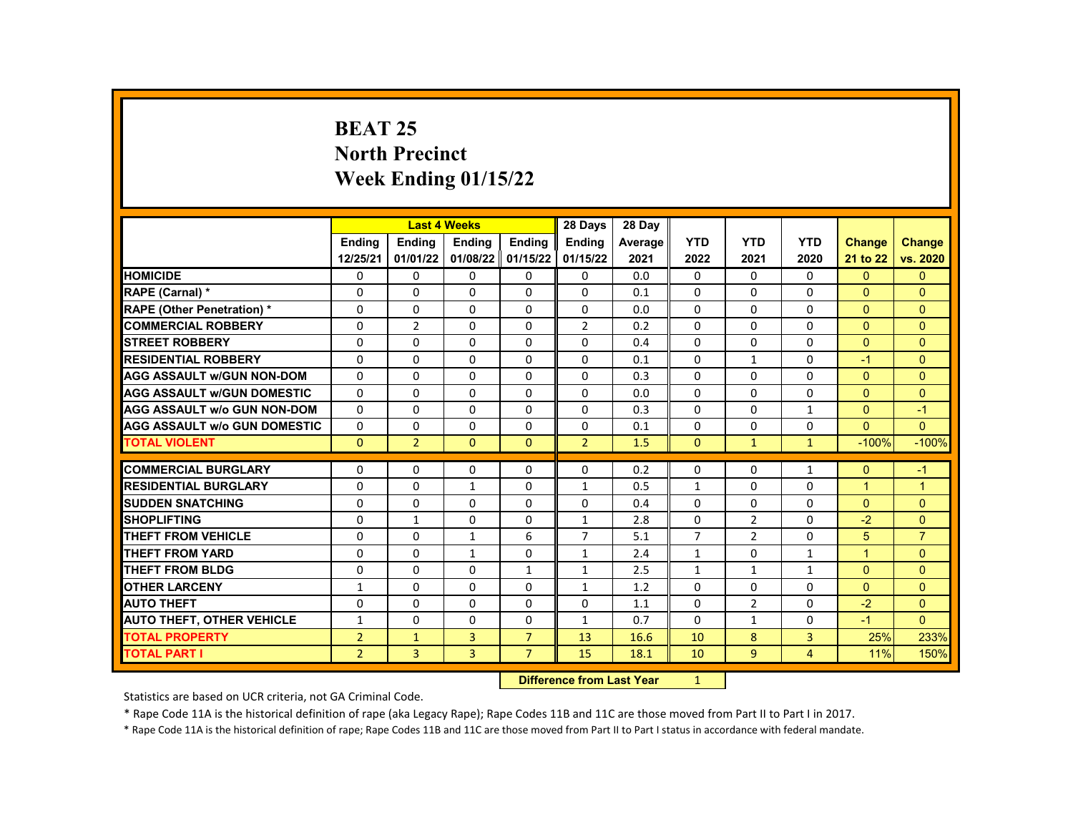# **BEAT 25 North Precinct Week Ending 01/15/22**

|                                     |                | <b>Last 4 Weeks</b>       |              |                | 28 Days        | 28 Dav  |                |                |                |                      |                |
|-------------------------------------|----------------|---------------------------|--------------|----------------|----------------|---------|----------------|----------------|----------------|----------------------|----------------|
|                                     | Ending         | Ending                    | Ending       | Ending         | <b>Ending</b>  | Average | <b>YTD</b>     | <b>YTD</b>     | <b>YTD</b>     | <b>Change</b>        | <b>Change</b>  |
|                                     | 12/25/21       | 01/01/22                  | 01/08/22     | 01/15/22       | 01/15/22       | 2021    | 2022           | 2021           | 2020           | 21 to 22             | vs. 2020       |
| <b>HOMICIDE</b>                     | 0              | 0                         | 0            | 0              | 0              | 0.0     | $\Omega$       | $\Omega$       | $\Omega$       | $\Omega$             | $\mathbf{0}$   |
| RAPE (Carnal) *                     | 0              | 0                         | $\Omega$     | $\Omega$       | 0              | 0.1     | $\Omega$       | $\Omega$       | $\Omega$       | $\Omega$             | $\mathbf{0}$   |
| <b>RAPE (Other Penetration) *</b>   | 0              | $\Omega$                  | $\Omega$     | $\Omega$       | 0              | 0.0     | $\Omega$       | $\Omega$       | $\Omega$       | $\Omega$             | $\Omega$       |
| <b>COMMERCIAL ROBBERY</b>           | 0              | $\overline{2}$            | 0            | $\mathbf{0}$   | $\overline{2}$ | 0.2     | $\Omega$       | $\mathbf{0}$   | $\Omega$       | $\Omega$             | $\mathbf{0}$   |
| <b>STREET ROBBERY</b>               | 0              | 0                         | $\Omega$     | $\Omega$       | 0              | 0.4     | $\Omega$       | $\Omega$       | $\Omega$       | $\Omega$             | $\mathbf{0}$   |
| <b>RESIDENTIAL ROBBERY</b>          | 0              | $\Omega$                  | $\Omega$     | $\Omega$       | $\Omega$       | 0.1     | $\Omega$       | $\mathbf{1}$   | $\Omega$       | $-1$                 | $\Omega$       |
| <b>AGG ASSAULT W/GUN NON-DOM</b>    | $\Omega$       | $\Omega$                  | $\Omega$     | $\mathbf{0}$   | 0              | 0.3     | $\Omega$       | $\mathbf{0}$   | $\Omega$       | $\mathbf{0}$         | $\Omega$       |
| <b>AGG ASSAULT W/GUN DOMESTIC</b>   | 0              | $\Omega$                  | $\Omega$     | $\Omega$       | $\Omega$       | 0.0     | $\Omega$       | $\Omega$       | $\Omega$       | $\Omega$             | $\Omega$       |
| <b>AGG ASSAULT w/o GUN NON-DOM</b>  | $\Omega$       | $\Omega$                  | $\Omega$     | $\Omega$       | 0              | 0.3     | $\Omega$       | $\Omega$       | $\mathbf{1}$   | $\Omega$             | $-1$           |
| <b>AGG ASSAULT W/o GUN DOMESTIC</b> | $\mathbf{0}$   | 0                         | 0            | $\mathbf{0}$   | 0              | 0.1     | $\mathbf{0}$   | $\mathbf{0}$   | $\mathbf{0}$   | $\Omega$             | $\mathbf{0}$   |
| <b>TOTAL VIOLENT</b>                | $\mathbf{0}$   | $\overline{2}$            | $\Omega$     | $\Omega$       | $\overline{2}$ | 1.5     | $\Omega$       | $\mathbf{1}$   | $\mathbf{1}$   | $-100%$              | $-100%$        |
|                                     |                |                           |              |                |                |         |                |                |                |                      |                |
| <b>COMMERCIAL BURGLARY</b>          | 0              | 0                         | 0            | $\mathbf{0}$   | 0              | 0.2     | $\Omega$       | $\Omega$       | $\mathbf{1}$   | $\mathbf{0}$         | $-1$           |
| <b>RESIDENTIAL BURGLARY</b>         | 0              | 0                         | $\mathbf{1}$ | $\mathbf{0}$   | $\mathbf{1}$   | 0.5     | $\mathbf{1}$   | $\Omega$       | $\Omega$       | $\overline{1}$       | $\overline{1}$ |
| <b>SUDDEN SNATCHING</b>             | 0              | $\Omega$                  | $\Omega$     | $\Omega$       | 0              | 0.4     | $\Omega$       | $\Omega$       | $\Omega$       | $\Omega$             | $\Omega$       |
| <b>SHOPLIFTING</b>                  | 0              | $\mathbf{1}$              | $\Omega$     | $\Omega$       | $\mathbf{1}$   | 2.8     | $\Omega$       | $\overline{2}$ | $\Omega$       | $-2$                 | $\Omega$       |
| <b>THEFT FROM VEHICLE</b>           | 0              | $\mathbf 0$               | $\mathbf{1}$ | 6              | $\overline{7}$ | 5.1     | $\overline{7}$ | $\overline{2}$ | $\mathbf{0}$   | 5                    | $\overline{7}$ |
| <b>THEFT FROM YARD</b>              | 0              | $\Omega$                  | $\mathbf{1}$ | $\Omega$       | $\mathbf{1}$   | 2.4     | $\mathbf{1}$   | $\Omega$       | $\mathbf{1}$   | $\blacktriangleleft$ | $\Omega$       |
| <b>THEFT FROM BLDG</b>              | 0              | $\Omega$                  | $\Omega$     | $\mathbf{1}$   | $\mathbf{1}$   | 2.5     | $\mathbf{1}$   | $\mathbf{1}$   | $\mathbf{1}$   | $\Omega$             | $\mathbf{0}$   |
| <b>OTHER LARCENY</b>                | 1              | 0                         | $\Omega$     | $\Omega$       | $\mathbf{1}$   | 1.2     | $\Omega$       | $\Omega$       | $\Omega$       | $\Omega$             | $\Omega$       |
| <b>AUTO THEFT</b>                   | $\Omega$       | $\Omega$                  | 0            | 0              | 0              | 1.1     | $\Omega$       | $\overline{2}$ | $\Omega$       | $-2$                 | $\mathbf{0}$   |
| <b>AUTO THEFT, OTHER VEHICLE</b>    | $\mathbf{1}$   | 0                         | $\Omega$     | $\Omega$       | $\mathbf{1}$   | 0.7     | $\Omega$       | $\mathbf{1}$   | $\Omega$       | $-1$                 | $\Omega$       |
| <b>TOTAL PROPERTY</b>               | $\overline{2}$ | $\mathbf{1}$              | 3            | $\overline{7}$ | 13             | 16.6    | 10             | 8              | 3              | 25%                  | 233%           |
| <b>TOTAL PART I</b>                 | $\overline{2}$ | 3                         | 3            | $\overline{7}$ | 15             | 18.1    | 10             | 9              | $\overline{4}$ | 11%                  | 150%           |
|                                     |                | Difference from Lost Voor |              | $\sim$         |                |         |                |                |                |                      |                |

**Difference from Last Year** 

Statistics are based on UCR criteria, not GA Criminal Code.

\* Rape Code 11A is the historical definition of rape (aka Legacy Rape); Rape Codes 11B and 11C are those moved from Part II to Part I in 2017.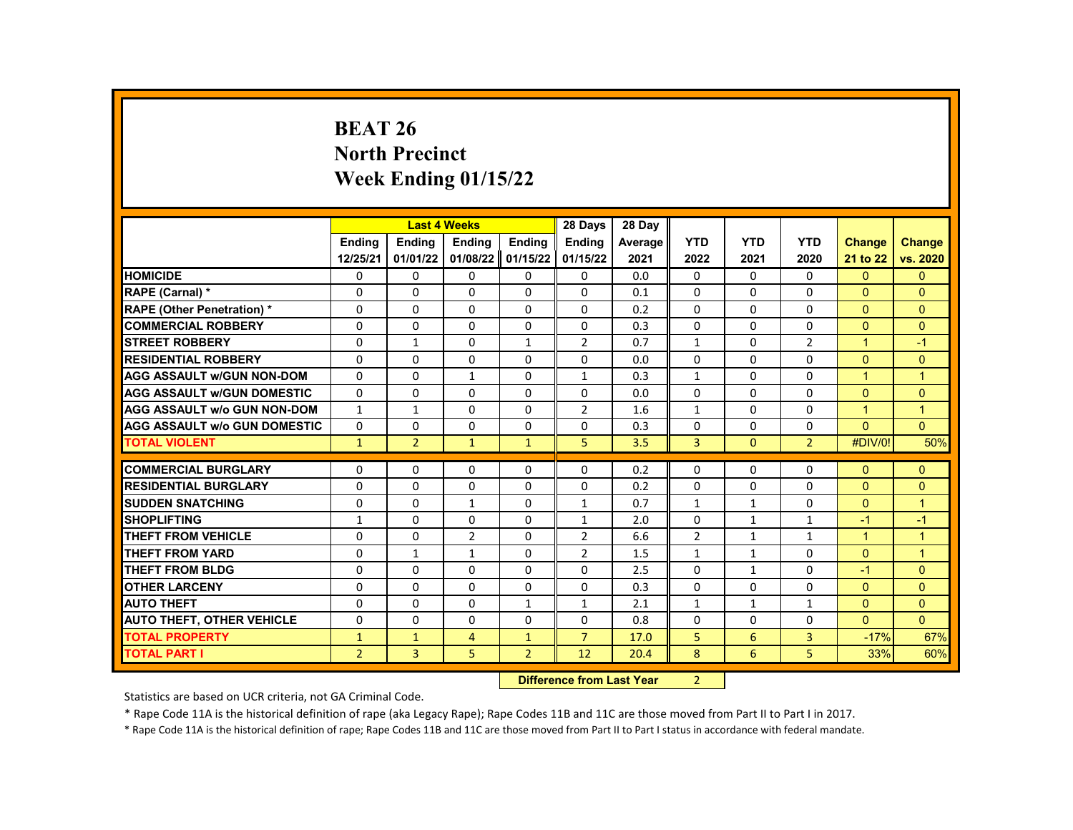# **BEAT 26 North Precinct Week Ending 01/15/22**

|                                     |                | <b>Last 4 Weeks</b> |                |                | 28 Days                   | 28 Day  |                |              |                |                |                |
|-------------------------------------|----------------|---------------------|----------------|----------------|---------------------------|---------|----------------|--------------|----------------|----------------|----------------|
|                                     | <b>Endina</b>  | <b>Ending</b>       | <b>Ending</b>  | <b>Ending</b>  | <b>Endina</b>             | Average | <b>YTD</b>     | <b>YTD</b>   | <b>YTD</b>     | <b>Change</b>  | <b>Change</b>  |
|                                     | 12/25/21       | 01/01/22            | 01/08/22       | 01/15/22       | 01/15/22                  | 2021    | 2022           | 2021         | 2020           | 21 to 22       | vs. 2020       |
| <b>HOMICIDE</b>                     | 0              | 0                   | 0              | 0              | 0                         | 0.0     | 0              | 0            | 0              | $\mathbf{0}$   | $\mathbf{0}$   |
| RAPE (Carnal) *                     | 0              | $\Omega$            | $\Omega$       | $\Omega$       | $\Omega$                  | 0.1     | $\Omega$       | $\Omega$     | $\Omega$       | $\Omega$       | $\Omega$       |
| RAPE (Other Penetration) *          | 0              | $\Omega$            | $\Omega$       | $\Omega$       | $\Omega$                  | 0.2     | $\Omega$       | $\Omega$     | $\Omega$       | $\Omega$       | $\Omega$       |
| <b>COMMERCIAL ROBBERY</b>           | 0              | 0                   | $\Omega$       | 0              | 0                         | 0.3     | $\mathbf{0}$   | 0            | 0              | $\Omega$       | $\Omega$       |
| <b>STREET ROBBERY</b>               | $\Omega$       | $\mathbf{1}$        | $\Omega$       | $\mathbf{1}$   | $\overline{2}$            | 0.7     | $\mathbf{1}$   | $\Omega$     | $\overline{2}$ | $\mathbf{1}$   | $-1$           |
| <b>RESIDENTIAL ROBBERY</b>          | $\Omega$       | $\Omega$            | $\Omega$       | $\Omega$       | 0                         | 0.0     | $\Omega$       | $\Omega$     | $\Omega$       | $\Omega$       | $\Omega$       |
| <b>AGG ASSAULT w/GUN NON-DOM</b>    | 0              | 0                   | $\mathbf{1}$   | 0              | $\mathbf{1}$              | 0.3     | $\mathbf{1}$   | 0            | 0              | $\mathbf{1}$   | $\mathbf{1}$   |
| <b>AGG ASSAULT W/GUN DOMESTIC</b>   | $\Omega$       | 0                   | $\Omega$       | $\Omega$       | $\Omega$                  | 0.0     | $\Omega$       | $\Omega$     | $\Omega$       | $\Omega$       | $\mathbf{0}$   |
| <b>AGG ASSAULT w/o GUN NON-DOM</b>  | $\mathbf{1}$   | $\mathbf{1}$        | $\Omega$       | $\Omega$       | $\overline{2}$            | 1.6     | $\mathbf{1}$   | $\Omega$     | $\Omega$       | $\mathbf{1}$   | $\overline{1}$ |
| <b>AGG ASSAULT W/o GUN DOMESTIC</b> | $\Omega$       | $\Omega$            | $\Omega$       | $\Omega$       | $\Omega$                  | 0.3     | $\Omega$       | $\Omega$     | $\Omega$       | $\Omega$       | $\Omega$       |
| <b>TOTAL VIOLENT</b>                | $\mathbf{1}$   | $\overline{2}$      | $\mathbf{1}$   | $\mathbf{1}$   | 5                         | 3.5     | 3              | $\mathbf{0}$ | $\overline{2}$ | #DIV/0!        | 50%            |
|                                     |                |                     |                |                |                           |         |                |              |                |                |                |
| <b>COMMERCIAL BURGLARY</b>          | 0              | $\mathbf{0}$        | 0              | 0              | 0                         | 0.2     | $\mathbf{0}$   | $\Omega$     | 0              | $\mathbf{0}$   | $\mathbf{0}$   |
| <b>RESIDENTIAL BURGLARY</b>         | $\mathbf 0$    | 0                   | 0              | 0              | $\mathbf 0$               | 0.2     | 0              | 0            | 0              | $\overline{0}$ | $\mathbf{0}$   |
| <b>SUDDEN SNATCHING</b>             | 0              | $\Omega$            | $\mathbf{1}$   | $\Omega$       | $\mathbf{1}$              | 0.7     | $\mathbf{1}$   | $\mathbf{1}$ | $\Omega$       | $\Omega$       | $\overline{1}$ |
| <b>SHOPLIFTING</b>                  | $\mathbf{1}$   | $\Omega$            | $\Omega$       | $\Omega$       | $\mathbf{1}$              | 2.0     | $\Omega$       | $\mathbf{1}$ | $\mathbf{1}$   | $-1$           | $-1$           |
| <b>THEFT FROM VEHICLE</b>           | 0              | $\Omega$            | $\overline{2}$ | $\Omega$       | $\overline{2}$            | 6.6     | $\overline{2}$ | $\mathbf{1}$ | $\mathbf{1}$   | $\mathbf{1}$   | $\mathbf{1}$   |
| <b>THEFT FROM YARD</b>              | 0              | $\mathbf{1}$        | $\mathbf{1}$   | $\Omega$       | $\overline{2}$            | 1.5     | $\mathbf{1}$   | $\mathbf{1}$ | $\Omega$       | $\Omega$       | $\overline{1}$ |
| <b>THEFT FROM BLDG</b>              | 0              | $\Omega$            | $\Omega$       | $\Omega$       | 0                         | 2.5     | $\Omega$       | $\mathbf{1}$ | 0              | $-1$           | $\Omega$       |
| <b>OTHER LARCENY</b>                | $\Omega$       | $\Omega$            | $\Omega$       | $\Omega$       | $\Omega$                  | 0.3     | $\Omega$       | $\Omega$     | $\Omega$       | $\Omega$       | $\Omega$       |
| <b>AUTO THEFT</b>                   | 0              | $\Omega$            | $\Omega$       | $\mathbf{1}$   | $\mathbf{1}$              | 2.1     | $\mathbf{1}$   | $\mathbf{1}$ | $\mathbf{1}$   | $\Omega$       | $\mathbf{0}$   |
| <b>AUTO THEFT, OTHER VEHICLE</b>    | 0              | $\Omega$            | $\Omega$       | $\Omega$       | 0                         | 0.8     | $\Omega$       | $\Omega$     | 0              | $\Omega$       | $\Omega$       |
| <b>TOTAL PROPERTY</b>               | $\mathbf{1}$   | $\mathbf{1}$        | $\overline{4}$ | $\mathbf{1}$   | $\overline{7}$            | 17.0    | 5              | 6            | 3              | $-17%$         | 67%            |
| <b>TOTAL PART I</b>                 | $\overline{2}$ | 3                   | 5              | $\overline{2}$ | 12                        | 20.4    | 8              | 6            | 5              | 33%            | 60%            |
|                                     |                |                     |                |                | Difference from Loot Voor |         | $\mathcal{L}$  |              |                |                |                |

**Difference from Last Year** 

Statistics are based on UCR criteria, not GA Criminal Code.

\* Rape Code 11A is the historical definition of rape (aka Legacy Rape); Rape Codes 11B and 11C are those moved from Part II to Part I in 2017.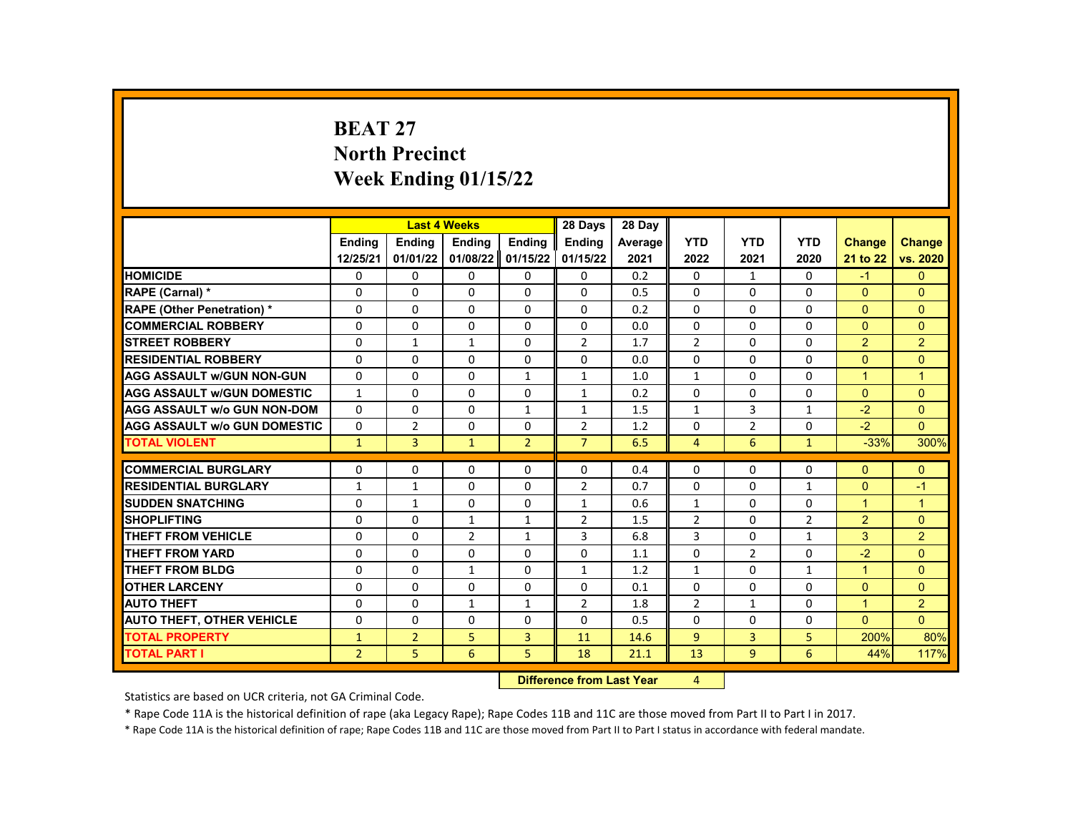# **BEAT 27 North Precinct Week Ending 01/15/22**

|                                     |                |                | <b>Last 4 Weeks</b> |                | 28 Days                   | 28 Day  |                |                |                |                      |                      |
|-------------------------------------|----------------|----------------|---------------------|----------------|---------------------------|---------|----------------|----------------|----------------|----------------------|----------------------|
|                                     | <b>Ending</b>  | <b>Ending</b>  | <b>Ending</b>       | <b>Ending</b>  | <b>Endina</b>             | Average | <b>YTD</b>     | <b>YTD</b>     | <b>YTD</b>     | <b>Change</b>        | <b>Change</b>        |
|                                     | 12/25/21       | 01/01/22       | 01/08/22            | 01/15/22       | 01/15/22                  | 2021    | 2022           | 2021           | 2020           | 21 to 22             | vs. 2020             |
| <b>HOMICIDE</b>                     | 0              | 0              | 0                   | 0              | 0                         | 0.2     | 0              | $\mathbf{1}$   | 0              | $-1$                 | $\mathbf{0}$         |
| RAPE (Carnal) *                     | 0              | $\Omega$       | $\Omega$            | $\Omega$       | $\Omega$                  | 0.5     | $\Omega$       | $\Omega$       | $\Omega$       | $\mathbf{0}$         | $\Omega$             |
| <b>RAPE (Other Penetration) *</b>   | $\Omega$       | $\Omega$       | $\Omega$            | $\Omega$       | $\Omega$                  | 0.2     | $\Omega$       | $\Omega$       | $\Omega$       | $\Omega$             | $\Omega$             |
| <b>COMMERCIAL ROBBERY</b>           | 0              | 0              | 0                   | 0              | 0                         | 0.0     | 0              | $\mathbf{0}$   | $\Omega$       | $\Omega$             | $\Omega$             |
| <b>STREET ROBBERY</b>               | $\Omega$       | $\mathbf{1}$   | $\mathbf{1}$        | $\Omega$       | $\overline{2}$            | 1.7     | $\overline{2}$ | $\Omega$       | $\Omega$       | 2                    | $\overline{2}$       |
| <b>RESIDENTIAL ROBBERY</b>          | $\Omega$       | $\Omega$       | $\Omega$            | $\Omega$       | $\Omega$                  | 0.0     | $\Omega$       | $\Omega$       | $\Omega$       | $\Omega$             | $\Omega$             |
| <b>AGG ASSAULT W/GUN NON-GUN</b>    | 0              | 0              | 0                   | $\mathbf{1}$   | $\mathbf{1}$              | 1.0     | $\mathbf{1}$   | 0              | 0              | $\mathbf{1}$         | $\mathbf{1}$         |
| <b>AGG ASSAULT W/GUN DOMESTIC</b>   | $\mathbf{1}$   | $\Omega$       | $\Omega$            | $\Omega$       | $\mathbf{1}$              | 0.2     | $\Omega$       | $\Omega$       | $\Omega$       | $\Omega$             | $\Omega$             |
| <b>AGG ASSAULT W/o GUN NON-DOM</b>  | $\Omega$       | $\Omega$       | $\Omega$            | $\mathbf{1}$   | $\mathbf{1}$              | 1.5     | $\mathbf{1}$   | 3              | $\mathbf{1}$   | $-2$                 | $\Omega$             |
| <b>AGG ASSAULT W/o GUN DOMESTIC</b> | $\Omega$       | $\overline{2}$ | $\Omega$            | $\Omega$       | $\overline{2}$            | 1.2     | $\Omega$       | $\overline{2}$ | $\Omega$       | $-2$                 | $\Omega$             |
| <b>TOTAL VIOLENT</b>                | $\mathbf{1}$   | 3              | $\mathbf{1}$        | $\overline{2}$ | $\overline{7}$            | 6.5     | $\overline{4}$ | 6              | $\mathbf{1}$   | $-33%$               | 300%                 |
|                                     |                |                |                     |                |                           |         |                |                |                |                      |                      |
| <b>COMMERCIAL BURGLARY</b>          | 0              | $\Omega$       | 0                   | 0              | 0                         | 0.4     | $\Omega$       | 0              | $\Omega$       | $\Omega$             | $\Omega$             |
| <b>RESIDENTIAL BURGLARY</b>         | $\mathbf{1}$   | $\mathbf{1}$   | $\Omega$            | 0              | $\overline{2}$            | 0.7     | 0              | $\Omega$       | $\mathbf{1}$   | $\Omega$             | $-1$                 |
| <b>SUDDEN SNATCHING</b>             | $\Omega$       | $\mathbf{1}$   | $\Omega$            | $\Omega$       | $\mathbf{1}$              | 0.6     | $\mathbf{1}$   | $\Omega$       | $\Omega$       | $\blacktriangleleft$ | $\blacktriangleleft$ |
| <b>SHOPLIFTING</b>                  | 0              | $\Omega$       | $\mathbf{1}$        | $\mathbf{1}$   | $\overline{2}$            | 1.5     | $\overline{2}$ | $\Omega$       | $\overline{2}$ | $\overline{2}$       | $\Omega$             |
| <b>THEFT FROM VEHICLE</b>           | $\Omega$       | $\Omega$       | $\overline{2}$      | $\mathbf{1}$   | 3                         | 6.8     | 3              | $\Omega$       | $\mathbf{1}$   | 3                    | $\overline{2}$       |
| <b>THEFT FROM YARD</b>              | $\Omega$       | $\Omega$       | $\Omega$            | $\Omega$       | $\Omega$                  | 1.1     | $\Omega$       | $\overline{2}$ | $\Omega$       | $-2$                 | $\Omega$             |
| <b>THEFT FROM BLDG</b>              | 0              | $\Omega$       | $\mathbf{1}$        | $\Omega$       | $\mathbf{1}$              | 1.2     | $\mathbf{1}$   | $\Omega$       | $\mathbf{1}$   | $\blacktriangleleft$ | $\Omega$             |
| <b>OTHER LARCENY</b>                | $\Omega$       | $\Omega$       | $\Omega$            | $\Omega$       | $\Omega$                  | 0.1     | $\Omega$       | $\Omega$       | $\Omega$       | $\Omega$             | $\Omega$             |
| <b>AUTO THEFT</b>                   | 0              | $\mathbf{0}$   | $\mathbf{1}$        | $\mathbf{1}$   | $\overline{2}$            | 1.8     | $\overline{2}$ | $\mathbf{1}$   | $\Omega$       | $\mathbf{1}$         | $\overline{2}$       |
| <b>AUTO THEFT, OTHER VEHICLE</b>    | 0              | $\Omega$       | $\Omega$            | $\Omega$       | $\Omega$                  | 0.5     | $\Omega$       | $\Omega$       | $\Omega$       | $\Omega$             | $\Omega$             |
| <b>TOTAL PROPERTY</b>               | $\mathbf{1}$   | $\overline{2}$ | 5                   | 3              | 11                        | 14.6    | 9              | $\overline{3}$ | 5              | 200%                 | 80%                  |
| <b>TOTAL PART I</b>                 | $\overline{2}$ | 5              | 6                   | 5              | 18                        | 21.1    | 13             | 9              | 6              | 44%                  | 117%                 |
|                                     |                |                |                     |                | Difference from Loot Voor |         | $\sqrt{ }$     |                |                |                      |                      |

**Difference from Last Year** 

Statistics are based on UCR criteria, not GA Criminal Code.

\* Rape Code 11A is the historical definition of rape (aka Legacy Rape); Rape Codes 11B and 11C are those moved from Part II to Part I in 2017.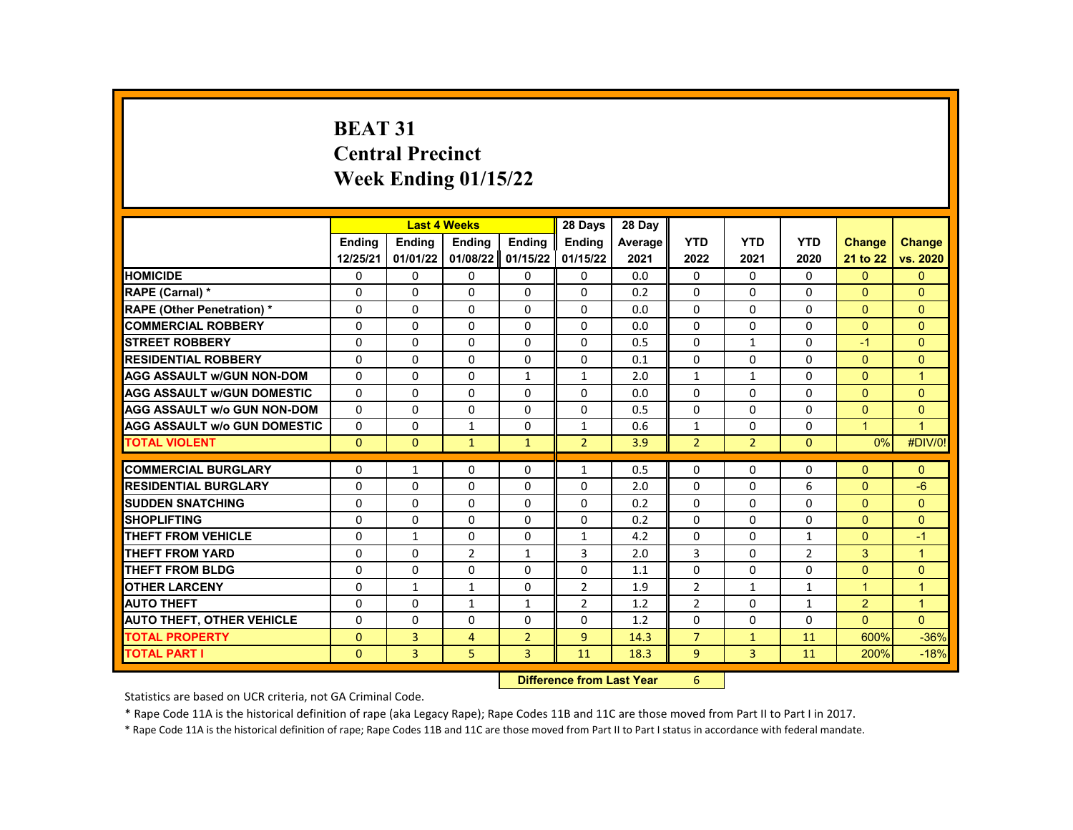# **BEAT 31 Central Precinct Week Ending 01/15/22**

|                                     |               | <b>Last 4 Weeks</b> |                |                | 28 Days                            | 28 Day  |                |                |              |                      |                      |
|-------------------------------------|---------------|---------------------|----------------|----------------|------------------------------------|---------|----------------|----------------|--------------|----------------------|----------------------|
|                                     | <b>Endina</b> | <b>Endina</b>       | <b>Endina</b>  | <b>Endina</b>  | <b>Endina</b>                      | Average | <b>YTD</b>     | <b>YTD</b>     | <b>YTD</b>   | <b>Change</b>        | <b>Change</b>        |
|                                     | 12/25/21      | 01/01/22            | 01/08/22       | 01/15/22       | 01/15/22                           | 2021    | 2022           | 2021           | 2020         | 21 to 22             | vs. 2020             |
| <b>HOMICIDE</b>                     | 0             | 0                   | 0              | 0              | 0                                  | 0.0     | 0              | 0              | 0            | $\mathbf{0}$         | $\mathbf{0}$         |
| RAPE (Carnal) *                     | $\Omega$      | $\Omega$            | $\Omega$       | $\Omega$       | $\Omega$                           | 0.2     | $\Omega$       | $\Omega$       | $\Omega$     | $\Omega$             | $\Omega$             |
| RAPE (Other Penetration) *          | $\Omega$      | $\Omega$            | $\Omega$       | $\Omega$       | $\Omega$                           | 0.0     | $\Omega$       | $\Omega$       | $\Omega$     | $\Omega$             | $\Omega$             |
| <b>COMMERCIAL ROBBERY</b>           | $\Omega$      | $\Omega$            | $\Omega$       | $\Omega$       | $\Omega$                           | 0.0     | $\Omega$       | $\Omega$       | $\Omega$     | $\Omega$             | $\Omega$             |
| <b>STREET ROBBERY</b>               | 0             | 0                   | $\Omega$       | $\Omega$       | $\Omega$                           | 0.5     | 0              | $\mathbf{1}$   | 0            | $-1$                 | $\mathbf{0}$         |
| <b>RESIDENTIAL ROBBERY</b>          | $\Omega$      | $\Omega$            | $\Omega$       | $\Omega$       | $\Omega$                           | 0.1     | $\Omega$       | $\Omega$       | $\Omega$     | $\Omega$             | $\Omega$             |
| <b>AGG ASSAULT w/GUN NON-DOM</b>    | 0             | 0                   | 0              | 1              | 1                                  | 2.0     | $\mathbf{1}$   | $\mathbf{1}$   | 0            | $\Omega$             | $\overline{1}$       |
| <b>AGG ASSAULT W/GUN DOMESTIC</b>   | $\Omega$      | $\Omega$            | $\Omega$       | $\Omega$       | $\Omega$                           | 0.0     | $\Omega$       | $\Omega$       | $\Omega$     | $\Omega$             | $\Omega$             |
| <b>AGG ASSAULT w/o GUN NON-DOM</b>  | $\Omega$      | $\Omega$            | $\Omega$       | $\Omega$       | $\Omega$                           | 0.5     | $\Omega$       | $\Omega$       | $\Omega$     | $\Omega$             | $\Omega$             |
| <b>AGG ASSAULT w/o GUN DOMESTIC</b> | 0             | 0                   | $\mathbf{1}$   | $\Omega$       | $\mathbf{1}$                       | 0.6     | $\mathbf{1}$   | 0              | 0            | $\blacktriangleleft$ | $\overline{1}$       |
| <b>TOTAL VIOLENT</b>                | $\mathbf{0}$  | $\mathbf{0}$        | $\mathbf{1}$   | $\mathbf{1}$   | $\overline{2}$                     | 3.9     | $\overline{2}$ | $\overline{2}$ | $\mathbf{0}$ | 0%                   | #DIV/0!              |
|                                     |               |                     |                |                |                                    |         |                |                |              |                      |                      |
| <b>COMMERCIAL BURGLARY</b>          | 0             | 1                   | 0              | $\Omega$       | $\mathbf{1}$                       | 0.5     | $\mathbf{0}$   | 0              | 0            | $\Omega$             | $\Omega$             |
| <b>RESIDENTIAL BURGLARY</b>         | $\Omega$      | $\Omega$            | $\Omega$       | $\Omega$       | $\Omega$                           | 2.0     | $\Omega$       | $\Omega$       | 6            | $\Omega$             | $-6$                 |
| <b>SUDDEN SNATCHING</b>             | 0             | $\Omega$            | $\Omega$       | $\Omega$       | $\Omega$                           | 0.2     | $\Omega$       | $\Omega$       | $\Omega$     | $\Omega$             | $\Omega$             |
| <b>SHOPLIFTING</b>                  | $\Omega$      | $\Omega$            | $\Omega$       | $\Omega$       | $\Omega$                           | 0.2     | $\Omega$       | $\Omega$       | $\Omega$     | $\Omega$             | $\Omega$             |
| <b>THEFT FROM VEHICLE</b>           | $\Omega$      | $\mathbf{1}$        | $\Omega$       | $\Omega$       | $\mathbf{1}$                       | 4.2     | $\Omega$       | $\Omega$       | $\mathbf{1}$ | $\Omega$             | $-1$                 |
| <b>THEFT FROM YARD</b>              | $\Omega$      | $\Omega$            | $\overline{2}$ | $\mathbf{1}$   | 3                                  | 2.0     | 3              | $\Omega$       | 2            | 3                    | $\mathbf{1}$         |
| <b>THEFT FROM BLDG</b>              | $\Omega$      | $\Omega$            | 0              | $\Omega$       | 0                                  | 1.1     | $\Omega$       | $\Omega$       | $\Omega$     | $\Omega$             | $\Omega$             |
| <b>OTHER LARCENY</b>                | 0             | $\mathbf{1}$        | $\mathbf{1}$   | 0              | $\overline{2}$                     | 1.9     | $\overline{2}$ | $\mathbf{1}$   | $\mathbf{1}$ | $\overline{1}$       | $\mathbf{1}$         |
| <b>AUTO THEFT</b>                   | $\Omega$      | 0                   | $\mathbf{1}$   | $\mathbf{1}$   | $\overline{2}$                     | 1.2     | $\overline{2}$ | $\Omega$       | $\mathbf{1}$ | 2                    | $\blacktriangleleft$ |
| <b>AUTO THEFT, OTHER VEHICLE</b>    | $\Omega$      | $\Omega$            | $\Omega$       | $\Omega$       | $\Omega$                           | 1.2     | $\Omega$       | $\Omega$       | $\Omega$     | $\Omega$             | $\Omega$             |
| <b>TOTAL PROPERTY</b>               | $\Omega$      | 3                   | $\overline{4}$ | $\overline{2}$ | 9                                  | 14.3    | $\overline{7}$ | $\mathbf{1}$   | 11           | 600%                 | $-36%$               |
| <b>TOTAL PART I</b>                 | $\Omega$      | 3                   | 5              | 3              | 11                                 | 18.3    | $\overline{9}$ | $\overline{3}$ | 11           | 200%                 | $-18%$               |
|                                     |               |                     |                |                | <b>Difference from Least Vance</b> |         | $\epsilon$     |                |              |                      |                      |

**Difference from Last Year** 6

Statistics are based on UCR criteria, not GA Criminal Code.

\* Rape Code 11A is the historical definition of rape (aka Legacy Rape); Rape Codes 11B and 11C are those moved from Part II to Part I in 2017.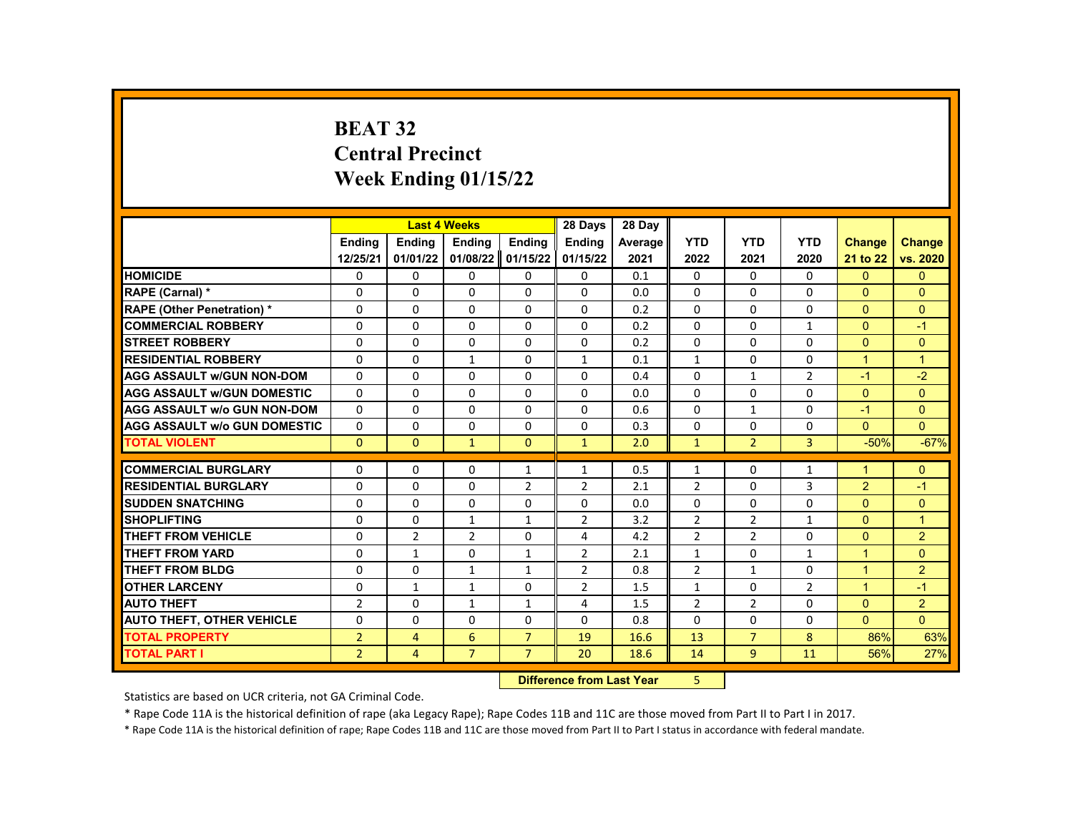# **BEAT 32 Central Precinct Week Ending 01/15/22**

|                                     |                |                | <b>Last 4 Weeks</b> |                                 | 28 Days        | 28 Day  |                |                |                |                |                |
|-------------------------------------|----------------|----------------|---------------------|---------------------------------|----------------|---------|----------------|----------------|----------------|----------------|----------------|
|                                     | <b>Endina</b>  | <b>Ending</b>  | <b>Ending</b>       | <b>Ending</b>                   | <b>Endina</b>  | Average | <b>YTD</b>     | <b>YTD</b>     | <b>YTD</b>     | <b>Change</b>  | <b>Change</b>  |
|                                     | 12/25/21       | 01/01/22       | 01/08/22            | 01/15/22                        | 01/15/22       | 2021    | 2022           | 2021           | 2020           | 21 to 22       | vs. 2020       |
| <b>HOMICIDE</b>                     | 0              | 0              | 0                   | 0                               | 0              | 0.1     | 0              | 0              | 0              | $\mathbf{0}$   | $\mathbf{0}$   |
| RAPE (Carnal) *                     | 0              | $\Omega$       | $\Omega$            | $\Omega$                        | $\Omega$       | 0.0     | $\Omega$       | $\Omega$       | $\Omega$       | $\Omega$       | $\Omega$       |
| RAPE (Other Penetration) *          | 0              | $\Omega$       | $\Omega$            | $\Omega$                        | $\Omega$       | 0.2     | $\Omega$       | $\Omega$       | $\Omega$       | $\Omega$       | $\Omega$       |
| <b>COMMERCIAL ROBBERY</b>           | 0              | 0              | 0                   | 0                               | 0              | 0.2     | $\mathbf{0}$   | 0              | $\mathbf{1}$   | $\mathbf{0}$   | $-1$           |
| <b>STREET ROBBERY</b>               | $\Omega$       | $\Omega$       | $\Omega$            | $\Omega$                        | $\Omega$       | 0.2     | $\Omega$       | $\Omega$       | $\Omega$       | $\Omega$       | $\mathbf{0}$   |
| <b>RESIDENTIAL ROBBERY</b>          | 0              | $\Omega$       | $\mathbf{1}$        | $\Omega$                        | $\mathbf{1}$   | 0.1     | $\mathbf{1}$   | $\Omega$       | $\Omega$       | $\overline{1}$ | $\mathbf{1}$   |
| <b>AGG ASSAULT w/GUN NON-DOM</b>    | 0              | 0              | 0                   | 0                               | 0              | 0.4     | 0              | $\mathbf{1}$   | $\overline{2}$ | $-1$           | $-2$           |
| <b>AGG ASSAULT W/GUN DOMESTIC</b>   | $\Omega$       | $\Omega$       | $\Omega$            | $\Omega$                        | $\Omega$       | 0.0     | $\Omega$       | $\Omega$       | $\Omega$       | $\Omega$       | $\Omega$       |
| <b>AGG ASSAULT w/o GUN NON-DOM</b>  | $\Omega$       | $\Omega$       | $\Omega$            | $\Omega$                        | $\Omega$       | 0.6     | $\Omega$       | $\mathbf{1}$   | $\Omega$       | $-1$           | $\Omega$       |
| <b>AGG ASSAULT W/o GUN DOMESTIC</b> | $\Omega$       | $\Omega$       | $\Omega$            | $\Omega$                        | $\Omega$       | 0.3     | $\Omega$       | $\Omega$       | $\Omega$       | $\Omega$       | $\Omega$       |
| <b>TOTAL VIOLENT</b>                | $\mathbf{0}$   | $\mathbf{0}$   | $\mathbf{1}$        | $\mathbf{0}$                    | $\mathbf{1}$   | 2.0     | $\mathbf{1}$   | $\overline{2}$ | 3              | $-50%$         | $-67%$         |
|                                     |                |                |                     |                                 |                |         |                |                |                |                |                |
| <b>COMMERCIAL BURGLARY</b>          | 0              | 0              | 0                   | $\mathbf{1}$                    | $\mathbf{1}$   | 0.5     | $\mathbf{1}$   | $\Omega$       | $\mathbf{1}$   | 1              | $\mathbf{0}$   |
| <b>RESIDENTIAL BURGLARY</b>         | 0              | 0              | 0                   | $\overline{2}$                  | $\overline{2}$ | 2.1     | $\overline{2}$ | 0              | 3              | $\overline{2}$ | $-1$           |
| <b>SUDDEN SNATCHING</b>             | 0              | $\Omega$       | $\Omega$            | $\Omega$                        | $\Omega$       | 0.0     | $\Omega$       | $\Omega$       | $\Omega$       | $\Omega$       | $\Omega$       |
| <b>SHOPLIFTING</b>                  | 0              | $\Omega$       | $\mathbf{1}$        | $\mathbf{1}$                    | $\overline{2}$ | 3.2     | $\overline{2}$ | $\overline{2}$ | $\mathbf{1}$   | $\Omega$       | $\overline{1}$ |
| <b>THEFT FROM VEHICLE</b>           | $\Omega$       | $\overline{2}$ | $\overline{2}$      | $\Omega$                        | 4              | 4.2     | $\overline{2}$ | $\overline{2}$ | $\Omega$       | $\Omega$       | $\overline{2}$ |
| <b>THEFT FROM YARD</b>              | 0              | $\mathbf{1}$   | $\Omega$            | $\mathbf{1}$                    | $\overline{2}$ | 2.1     | $\mathbf{1}$   | $\Omega$       | $\mathbf{1}$   | $\mathbf{1}$   | $\Omega$       |
| <b>THEFT FROM BLDG</b>              | 0              | $\Omega$       | $\mathbf{1}$        | $\mathbf{1}$                    | $\overline{2}$ | 0.8     | $\overline{2}$ | $\mathbf{1}$   | 0              | $\mathbf{1}$   | $\overline{2}$ |
| <b>OTHER LARCENY</b>                | $\mathbf 0$    | $\mathbf{1}$   | $\mathbf{1}$        | 0                               | $\overline{2}$ | 1.5     | $\mathbf{1}$   | $\Omega$       | $\overline{2}$ | $\mathbf{1}$   | $-1$           |
| <b>AUTO THEFT</b>                   | $\overline{2}$ | $\Omega$       | $\mathbf{1}$        | $\mathbf{1}$                    | 4              | 1.5     | $\overline{2}$ | $\overline{2}$ | $\Omega$       | $\Omega$       | $\overline{2}$ |
| <b>AUTO THEFT, OTHER VEHICLE</b>    | 0              | $\Omega$       | $\Omega$            | $\Omega$                        | $\Omega$       | 0.8     | $\Omega$       | $\Omega$       | 0              | $\Omega$       | $\Omega$       |
| <b>TOTAL PROPERTY</b>               | $\overline{2}$ | $\overline{4}$ | 6                   | $\overline{7}$                  | 19             | 16.6    | 13             | $\overline{7}$ | 8              | 86%            | 63%            |
| <b>TOTAL PART I</b>                 | $\overline{2}$ | $\overline{4}$ | $\overline{7}$      | $\overline{7}$                  | 20             | 18.6    | 14             | 9              | 11             | 56%            | 27%            |
|                                     |                |                |                     | Difference from Loot Voor<br>E. |                |         |                |                |                |                |                |

**Difference from Last Year** 

Statistics are based on UCR criteria, not GA Criminal Code.

\* Rape Code 11A is the historical definition of rape (aka Legacy Rape); Rape Codes 11B and 11C are those moved from Part II to Part I in 2017.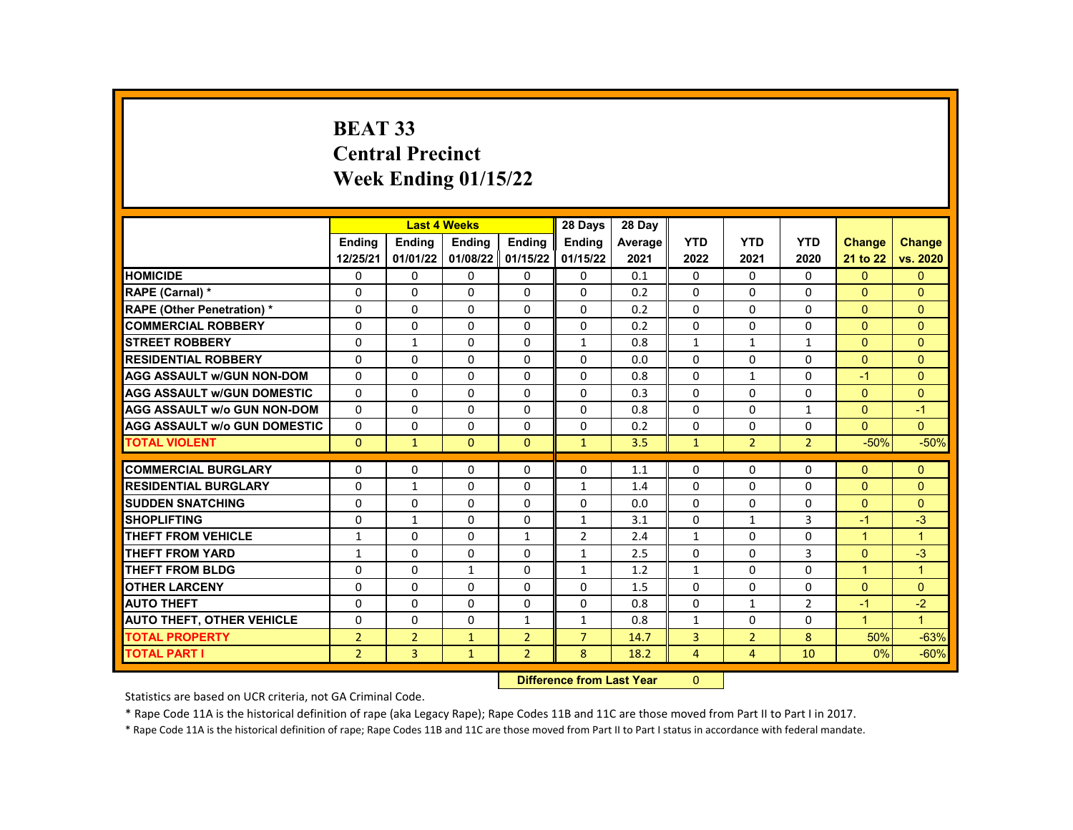# **BEAT 33 Central Precinct Week Ending 01/15/22**

|                                     |                          | <b>Last 4 Weeks</b> |               |                | 28 Days                      | 28 Day     |                |                          |                |                      |                      |
|-------------------------------------|--------------------------|---------------------|---------------|----------------|------------------------------|------------|----------------|--------------------------|----------------|----------------------|----------------------|
|                                     | <b>Endina</b>            | <b>Ending</b>       | Ending        | <b>Ending</b>  | <b>Endina</b>                | Average    | <b>YTD</b>     | <b>YTD</b>               | <b>YTD</b>     | <b>Change</b>        | <b>Change</b>        |
|                                     | 12/25/21                 | 01/01/22            | 01/08/22      | 01/15/22       | 01/15/22                     | 2021       | 2022           | 2021                     | 2020           | 21 to 22             | vs. 2020             |
| <b>HOMICIDE</b>                     | 0                        | 0                   | 0             | 0              | 0                            | 0.1        | 0              | 0                        | 0              | $\mathbf{0}$         | $\mathbf{0}$         |
| RAPE (Carnal) *                     | 0                        | $\mathbf{0}$        | $\Omega$      | $\mathbf{0}$   | $\Omega$                     | 0.2        | $\Omega$       | $\Omega$                 | $\Omega$       | $\Omega$             | $\Omega$             |
| <b>RAPE (Other Penetration) *</b>   | $\Omega$                 | $\Omega$            | $\Omega$      | $\Omega$       | $\Omega$                     | 0.2        | $\Omega$       | $\Omega$                 | $\Omega$       | $\Omega$             | $\Omega$             |
| <b>COMMERCIAL ROBBERY</b>           | 0                        | 0                   | 0             | 0              | $\Omega$                     | 0.2        | 0              | 0                        | 0              | $\Omega$             | $\Omega$             |
| <b>STREET ROBBERY</b>               | 0                        | $\mathbf{1}$        | $\Omega$      | $\Omega$       | $\mathbf{1}$                 | 0.8        | $\mathbf{1}$   | $\mathbf{1}$             | $\mathbf{1}$   | $\Omega$             | $\Omega$             |
| <b>RESIDENTIAL ROBBERY</b>          | $\Omega$                 | $\Omega$            | $\Omega$      | $\Omega$       | $\Omega$                     | 0.0        | $\Omega$       | $\Omega$                 | $\Omega$       | $\Omega$             | $\Omega$             |
| <b>AGG ASSAULT W/GUN NON-DOM</b>    | $\Omega$                 | 0                   | 0             | 0              | $\Omega$                     | 0.8        | $\Omega$       | 1                        | $\Omega$       | $-1$                 | $\Omega$             |
| <b>AGG ASSAULT W/GUN DOMESTIC</b>   | $\Omega$                 | $\mathbf 0$         | $\Omega$      | $\Omega$       | $\Omega$                     | 0.3        | $\Omega$       | $\Omega$                 | $\Omega$       | $\Omega$             | $\Omega$             |
| <b>AGG ASSAULT w/o GUN NON-DOM</b>  | $\Omega$                 | $\Omega$            | $\Omega$      | $\Omega$       | $\Omega$                     | 0.8        | $\Omega$       | $\Omega$                 | $\mathbf{1}$   | $\Omega$             | $-1$                 |
| <b>AGG ASSAULT W/o GUN DOMESTIC</b> | $\Omega$                 | 0                   | 0             | 0              | 0                            | 0.2        | 0              | 0                        | $\Omega$       | $\Omega$             | $\Omega$             |
| <b>TOTAL VIOLENT</b>                | $\mathbf{0}$             | $\mathbf{1}$        | $\mathbf{0}$  | $\mathbf{0}$   | $\mathbf{1}$                 | 3.5        | $\mathbf{1}$   | $\overline{2}$           | $\overline{2}$ | $-50%$               | $-50%$               |
| <b>COMMERCIAL BURGLARY</b>          | 0                        |                     | 0             | 0              | 0                            | 1.1        | 0              | 0                        | 0              | $\Omega$             | $\mathbf{0}$         |
| <b>RESIDENTIAL BURGLARY</b>         | $\Omega$                 | 0<br>$\mathbf{1}$   | $\Omega$      | $\mathbf{0}$   | $\mathbf{1}$                 | 1.4        | $\Omega$       | $\Omega$                 | $\Omega$       | $\Omega$             | $\Omega$             |
| <b>SUDDEN SNATCHING</b>             | $\Omega$                 | $\mathbf{0}$        |               |                | 0                            |            | $\Omega$       | $\Omega$                 | $\Omega$       | $\Omega$             | $\Omega$             |
| <b>SHOPLIFTING</b>                  | $\Omega$                 | 1                   | 0<br>$\Omega$ | 0<br>$\Omega$  | $\mathbf{1}$                 | 0.0        | $\Omega$       |                          | 3              | $-1$                 | $-3$                 |
| <b>THEFT FROM VEHICLE</b>           |                          | $\mathbf{0}$        | $\Omega$      | $\mathbf{1}$   |                              | 3.1<br>2.4 | $\mathbf{1}$   | $\mathbf{1}$<br>$\Omega$ | $\Omega$       | $\mathbf{1}$         | $\mathbf{1}$         |
| <b>THEFT FROM YARD</b>              | $\mathbf{1}$             |                     |               |                | $\overline{2}$               |            | $\Omega$       |                          | 3              | $\Omega$             | $-3$                 |
| <b>THEFT FROM BLDG</b>              | $\mathbf{1}$<br>$\Omega$ | 0<br>$\Omega$       | 0<br>1        | 0              | $\mathbf{1}$<br>$\mathbf{1}$ | 2.5        |                | 0<br>$\Omega$            | $\Omega$       | $\blacktriangleleft$ | $\mathbf{1}$         |
|                                     |                          |                     |               | $\Omega$       |                              | 1.2        | $\mathbf{1}$   |                          |                |                      |                      |
| <b>OTHER LARCENY</b>                | $\Omega$                 | $\Omega$            | $\Omega$      | $\Omega$       | $\Omega$                     | 1.5        | $\Omega$       | $\Omega$                 | $\Omega$       | $\Omega$             | $\Omega$             |
| <b>AUTO THEFT</b>                   | 0                        | 0                   | 0             | 0              | 0                            | 0.8        | $\Omega$       | $\mathbf{1}$             | $\overline{2}$ | $-1$                 | $-2$<br>$\mathbf{1}$ |
| <b>AUTO THEFT, OTHER VEHICLE</b>    | $\Omega$                 | 0                   | 0             | $\mathbf{1}$   | $\mathbf{1}$                 | 0.8        | $\mathbf{1}$   | 0                        | $\Omega$       | $\mathbf{1}$         |                      |
| <b>TOTAL PROPERTY</b>               | $\overline{2}$           | $\overline{2}$      | $\mathbf{1}$  | $\overline{2}$ | $\overline{7}$               | 14.7       | 3              | $\overline{2}$           | 8              | 50%                  | $-63%$               |
| TOTAL PART I                        | $\overline{2}$           | 3                   | $\mathbf{1}$  | $\overline{2}$ | 8                            | 18.2       | $\overline{4}$ | $\overline{4}$           | 10             | 0%                   | $-60%$               |
|                                     |                          |                     |               |                | Difference from Loot Vear    |            | $\Omega$       |                          |                |                      |                      |

**Difference from Last Year** 0

Statistics are based on UCR criteria, not GA Criminal Code.

\* Rape Code 11A is the historical definition of rape (aka Legacy Rape); Rape Codes 11B and 11C are those moved from Part II to Part I in 2017.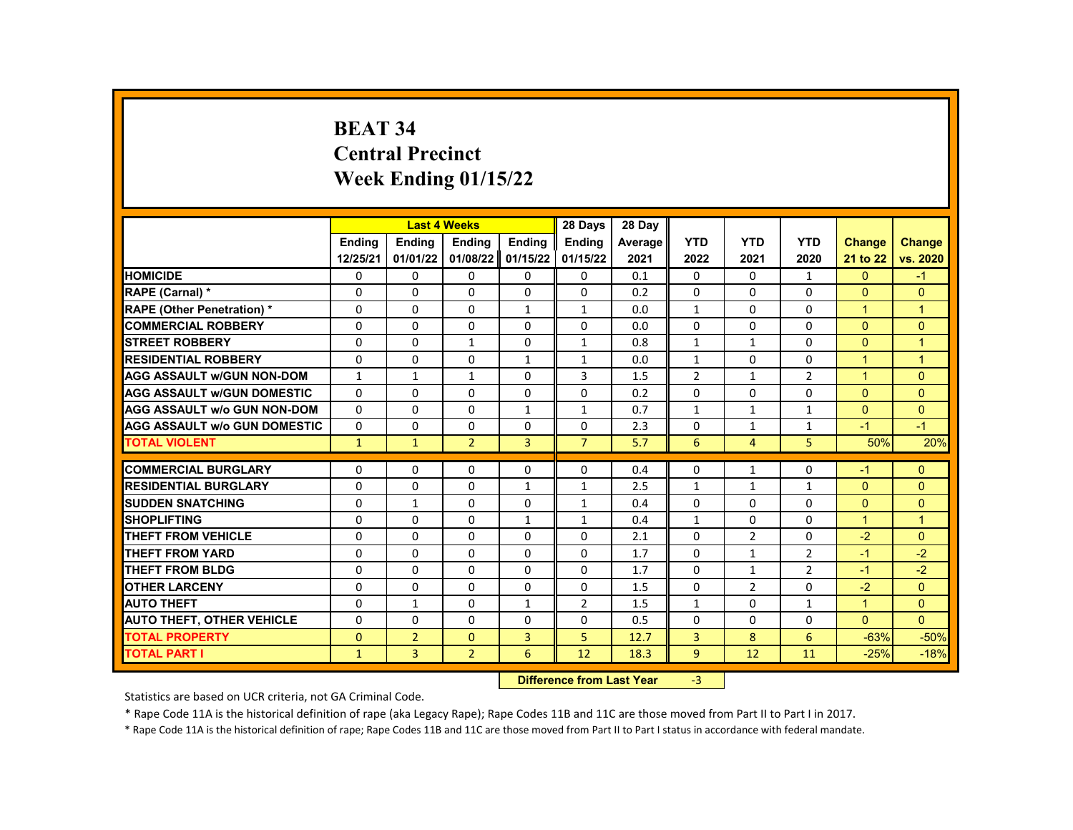# **BEAT 34 Central Precinct Week Ending 01/15/22**

|                                     |               |                | <b>Last 4 Weeks</b> |                | 28 Days                   | 28 Day  |                |                |                |                      |                |
|-------------------------------------|---------------|----------------|---------------------|----------------|---------------------------|---------|----------------|----------------|----------------|----------------------|----------------|
|                                     | <b>Endina</b> | <b>Endina</b>  | Ending              | Ending         | <b>Endina</b>             | Average | <b>YTD</b>     | <b>YTD</b>     | <b>YTD</b>     | <b>Change</b>        | <b>Change</b>  |
|                                     | 12/25/21      | 01/01/22       | 01/08/22            | 01/15/22       | 01/15/22                  | 2021    | 2022           | 2021           | 2020           | 21 to 22             | vs. 2020       |
| <b>HOMICIDE</b>                     | 0             | 0              | 0                   | 0              | 0                         | 0.1     | 0              | 0              | $\mathbf{1}$   | $\mathbf{0}$         | $-1$           |
| RAPE (Carnal) *                     | $\Omega$      | $\Omega$       | $\Omega$            | $\Omega$       | $\Omega$                  | 0.2     | $\Omega$       | $\Omega$       | $\Omega$       | $\Omega$             | $\Omega$       |
| <b>RAPE (Other Penetration) *</b>   | $\Omega$      | $\Omega$       | $\Omega$            | $\mathbf{1}$   | $\mathbf{1}$              | 0.0     | $\mathbf{1}$   | $\Omega$       | $\Omega$       | $\overline{1}$       | $\mathbf{1}$   |
| <b>COMMERCIAL ROBBERY</b>           | 0             | 0              | 0                   | 0              | 0                         | 0.0     | $\mathbf{0}$   | 0              | $\Omega$       | $\Omega$             | $\mathbf{0}$   |
| <b>STREET ROBBERY</b>               | $\Omega$      | $\Omega$       | $\mathbf{1}$        | $\Omega$       | $\mathbf{1}$              | 0.8     | $\mathbf{1}$   | $\mathbf{1}$   | $\Omega$       | $\Omega$             | $\overline{1}$ |
| <b>RESIDENTIAL ROBBERY</b>          | $\Omega$      | $\Omega$       | $\Omega$            | $\mathbf{1}$   | $\mathbf{1}$              | 0.0     | $\mathbf{1}$   | $\Omega$       | $\Omega$       | $\overline{1}$       | $\mathbf{1}$   |
| <b>AGG ASSAULT w/GUN NON-DOM</b>    | $\mathbf{1}$  | $\mathbf{1}$   | $\mathbf{1}$        | 0              | 3                         | 1.5     | $\overline{2}$ | $\mathbf{1}$   | $\overline{2}$ | $\blacktriangleleft$ | $\mathbf{0}$   |
| <b>AGG ASSAULT W/GUN DOMESTIC</b>   | $\Omega$      | $\Omega$       | $\Omega$            | $\Omega$       | $\Omega$                  | 0.2     | $\Omega$       | $\Omega$       | $\Omega$       | $\Omega$             | $\Omega$       |
| AGG ASSAULT w/o GUN NON-DOM         | $\Omega$      | $\Omega$       | $\Omega$            | $\mathbf{1}$   | $\mathbf{1}$              | 0.7     | $\mathbf{1}$   | $\mathbf{1}$   | $\mathbf{1}$   | $\Omega$             | $\Omega$       |
| <b>AGG ASSAULT w/o GUN DOMESTIC</b> | $\Omega$      | $\Omega$       | $\Omega$            | $\Omega$       | $\Omega$                  | 2.3     | $\Omega$       | $\mathbf{1}$   | $\mathbf{1}$   | $-1$                 | $-1$           |
| <b>TOTAL VIOLENT</b>                | $\mathbf{1}$  | $\mathbf{1}$   | $\overline{2}$      | $\overline{3}$ | $\overline{7}$            | 5.7     | 6              | $\overline{4}$ | 5              | 50%                  | 20%            |
|                                     |               |                |                     |                |                           |         |                |                |                |                      |                |
| <b>COMMERCIAL BURGLARY</b>          | 0             | 0              | 0                   | $\Omega$       | 0                         | 0.4     | $\mathbf{0}$   | $\mathbf{1}$   | $\Omega$       | $-1$                 | $\Omega$       |
| <b>RESIDENTIAL BURGLARY</b>         | 0             | 0              | $\Omega$            | $\mathbf{1}$   | $\mathbf{1}$              | 2.5     | $\mathbf{1}$   | $\mathbf{1}$   | $\mathbf{1}$   | $\Omega$             | $\mathbf{0}$   |
| <b>SUDDEN SNATCHING</b>             | $\Omega$      | $\mathbf{1}$   | $\Omega$            | $\Omega$       | $\mathbf{1}$              | 0.4     | $\Omega$       | $\Omega$       | $\Omega$       | $\Omega$             | $\Omega$       |
| <b>SHOPLIFTING</b>                  | $\Omega$      | $\Omega$       | 0                   | $\mathbf{1}$   | $\mathbf{1}$              | 0.4     | $\mathbf{1}$   | $\Omega$       | $\Omega$       | $\blacktriangleleft$ | $\overline{1}$ |
| <b>THEFT FROM VEHICLE</b>           | $\Omega$      | $\Omega$       | $\Omega$            | $\Omega$       | $\Omega$                  | 2.1     | $\Omega$       | $\overline{2}$ | $\Omega$       | $-2$                 | $\Omega$       |
| <b>THEFT FROM YARD</b>              | $\Omega$      | 0              | $\Omega$            | $\Omega$       | $\Omega$                  | 1.7     | $\Omega$       | $\mathbf{1}$   | $\overline{2}$ | $-1$                 | $-2$           |
| <b>THEFT FROM BLDG</b>              | $\Omega$      | $\Omega$       | $\Omega$            | $\Omega$       | $\Omega$                  | 1.7     | $\Omega$       | $\mathbf{1}$   | $\overline{2}$ | $-1$                 | $-2$           |
| <b>OTHER LARCENY</b>                | $\Omega$      | $\Omega$       | $\Omega$            | $\Omega$       | $\Omega$                  | 1.5     | $\Omega$       | $\overline{2}$ | $\Omega$       | $-2$                 | $\Omega$       |
| <b>AUTO THEFT</b>                   | 0             | $\mathbf{1}$   | 0                   | $\mathbf{1}$   | $\overline{2}$            | 1.5     | $\mathbf{1}$   | $\Omega$       | $\mathbf{1}$   | $\blacktriangleleft$ | $\Omega$       |
| <b>AUTO THEFT, OTHER VEHICLE</b>    | $\Omega$      | $\Omega$       | $\Omega$            | $\Omega$       | 0                         | 0.5     | $\Omega$       | $\Omega$       | $\Omega$       | $\Omega$             | $\Omega$       |
| <b>TOTAL PROPERTY</b>               | $\Omega$      | $\overline{2}$ | $\mathbf{0}$        | 3              | 5                         | 12.7    | 3              | 8              | 6              | $-63%$               | $-50%$         |
| <b>TOTAL PART I</b>                 | $\mathbf{1}$  | 3              | $\overline{2}$      | 6              | 12                        | 18.3    | 9              | 12             | 11             | $-25%$               | $-18%$         |
|                                     |               |                |                     |                | Difference from Loot Voor |         | $\mathcal{D}$  |                |                |                      |                |

**Difference from Last Year** 

Statistics are based on UCR criteria, not GA Criminal Code.

\* Rape Code 11A is the historical definition of rape (aka Legacy Rape); Rape Codes 11B and 11C are those moved from Part II to Part I in 2017.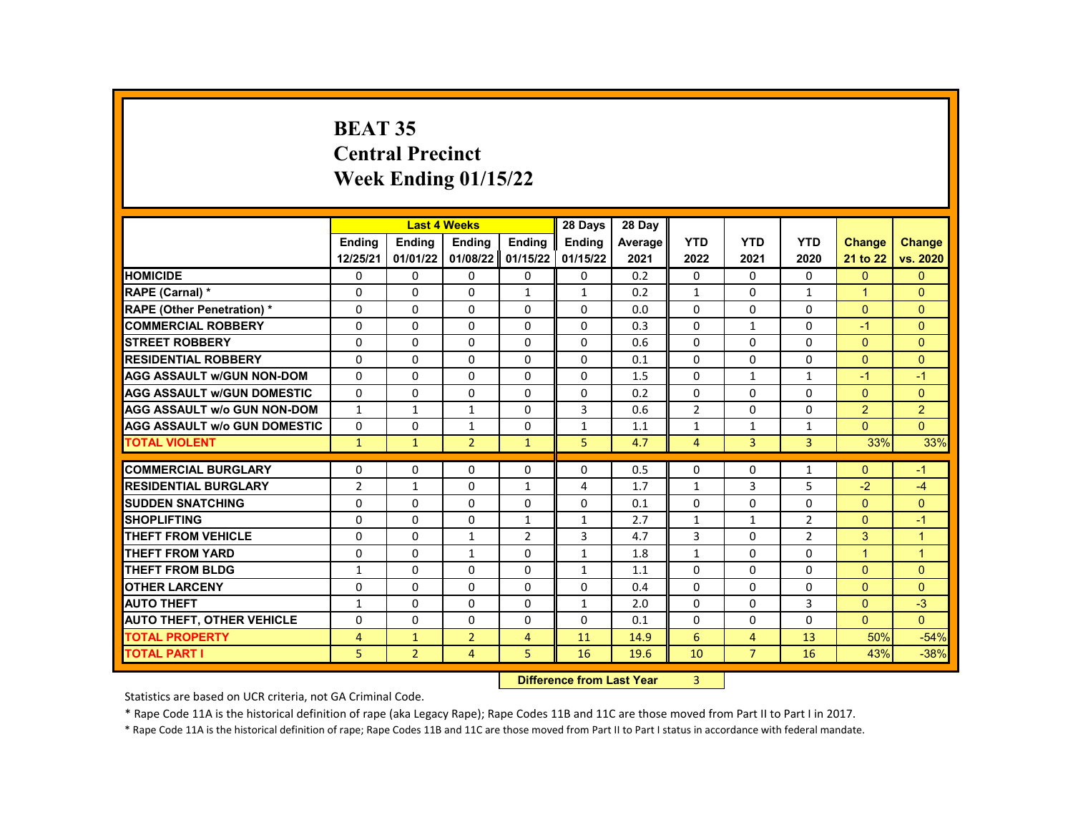# **BEAT 35 Central Precinct Week Ending 01/15/22**

|                                     |                | <b>Last 4 Weeks</b> |                |                                             | 28 Days       | 28 Day  |                |                |                |                |                |
|-------------------------------------|----------------|---------------------|----------------|---------------------------------------------|---------------|---------|----------------|----------------|----------------|----------------|----------------|
|                                     | <b>Endina</b>  | <b>Endina</b>       | <b>Endina</b>  | <b>Endina</b>                               | <b>Endina</b> | Average | <b>YTD</b>     | <b>YTD</b>     | <b>YTD</b>     | <b>Change</b>  | <b>Change</b>  |
|                                     | 12/25/21       | 01/01/22            | 01/08/22       | 01/15/22                                    | 01/15/22      | 2021    | 2022           | 2021           | 2020           | 21 to 22       | vs. 2020       |
| <b>HOMICIDE</b>                     | 0              | 0                   | 0              | 0                                           | 0             | 0.2     | 0              | 0              | 0              | $\mathbf{0}$   | $\mathbf{0}$   |
| RAPE (Carnal) *                     | $\Omega$       | $\Omega$            | $\Omega$       | $\mathbf{1}$                                | $\mathbf{1}$  | 0.2     | $\mathbf{1}$   | $\Omega$       | $\mathbf{1}$   | $\mathbf{1}$   | $\Omega$       |
| RAPE (Other Penetration) *          | $\Omega$       | $\Omega$            | $\Omega$       | $\Omega$                                    | $\Omega$      | 0.0     | $\Omega$       | $\Omega$       | $\Omega$       | $\Omega$       | $\Omega$       |
| <b>COMMERCIAL ROBBERY</b>           | $\Omega$       | $\Omega$            | $\Omega$       | $\Omega$                                    | $\Omega$      | 0.3     | $\Omega$       | $\mathbf{1}$   | $\Omega$       | $-1$           | $\Omega$       |
| <b>STREET ROBBERY</b>               | 0              | 0                   | $\Omega$       | $\Omega$                                    | $\Omega$      | 0.6     | 0              | 0              | $\Omega$       | $\overline{0}$ | $\overline{0}$ |
| <b>RESIDENTIAL ROBBERY</b>          | $\Omega$       | $\Omega$            | $\Omega$       | $\Omega$                                    | $\Omega$      | 0.1     | $\Omega$       | $\Omega$       | $\Omega$       | $\Omega$       | $\Omega$       |
| <b>AGG ASSAULT w/GUN NON-DOM</b>    | 0              | 0                   | 0              | $\Omega$                                    | 0             | 1.5     | $\Omega$       | $\mathbf{1}$   | $\mathbf{1}$   | $-1$           | $-1$           |
| <b>AGG ASSAULT W/GUN DOMESTIC</b>   | $\Omega$       | $\Omega$            | $\Omega$       | $\Omega$                                    | $\Omega$      | 0.2     | $\Omega$       | $\Omega$       | $\Omega$       | $\Omega$       | $\Omega$       |
| <b>AGG ASSAULT w/o GUN NON-DOM</b>  | $\mathbf{1}$   | $\mathbf{1}$        | $\mathbf{1}$   | $\Omega$                                    | 3             | 0.6     | $\overline{2}$ | $\Omega$       | $\Omega$       | $\overline{2}$ | $\overline{2}$ |
| <b>AGG ASSAULT w/o GUN DOMESTIC</b> | 0              | 0                   | $\mathbf{1}$   | $\Omega$                                    | $\mathbf{1}$  | 1.1     | $\mathbf{1}$   | $\mathbf{1}$   | $\mathbf{1}$   | $\Omega$       | $\overline{0}$ |
| <b>TOTAL VIOLENT</b>                | $\mathbf{1}$   | $\mathbf{1}$        | $\overline{2}$ | $\mathbf{1}$                                | 5             | 4.7     | $\overline{4}$ | 3              | 3              | 33%            | 33%            |
|                                     |                |                     |                |                                             |               |         |                |                |                |                |                |
| <b>COMMERCIAL BURGLARY</b>          | 0              | 0                   | 0              | $\Omega$                                    | 0             | 0.5     | $\mathbf{0}$   | 0              | 1              | $\Omega$       | -1             |
| <b>RESIDENTIAL BURGLARY</b>         | $\overline{2}$ | $\mathbf{1}$        | $\Omega$       | $\mathbf{1}$                                | 4             | 1.7     | $\mathbf{1}$   | 3              | 5              | $-2$           | $-4$           |
| <b>SUDDEN SNATCHING</b>             | $\Omega$       | 0                   | $\Omega$       | $\Omega$                                    | $\Omega$      | 0.1     | $\Omega$       | $\Omega$       | $\Omega$       | $\Omega$       | $\Omega$       |
| <b>SHOPLIFTING</b>                  | $\Omega$       | $\Omega$            | 0              | $\mathbf{1}$                                | $\mathbf{1}$  | 2.7     | $\mathbf{1}$   | $\mathbf{1}$   | 2              | $\Omega$       | $-1$           |
| <b>THEFT FROM VEHICLE</b>           | $\Omega$       | $\Omega$            | $\mathbf{1}$   | $\overline{2}$                              | 3             | 4.7     | 3              | $\Omega$       | $\overline{2}$ | 3              | $\mathbf{1}$   |
| <b>THEFT FROM YARD</b>              | $\Omega$       | $\Omega$            | $\mathbf{1}$   | $\Omega$                                    | $\mathbf{1}$  | 1.8     | $\mathbf{1}$   | $\Omega$       | $\Omega$       | $\overline{1}$ | $\overline{1}$ |
| <b>THEFT FROM BLDG</b>              | 1              | $\Omega$            | $\Omega$       | $\Omega$                                    | $\mathbf{1}$  | 1.1     | $\Omega$       | $\Omega$       | $\Omega$       | $\Omega$       | $\Omega$       |
| <b>OTHER LARCENY</b>                | 0              | 0                   | $\Omega$       | $\Omega$                                    | 0             | 0.4     | 0              | 0              | 0              | $\overline{0}$ | $\overline{0}$ |
| <b>AUTO THEFT</b>                   | $\mathbf{1}$   | 0                   | $\Omega$       | $\Omega$                                    | $\mathbf{1}$  | 2.0     | $\Omega$       | $\Omega$       | 3              | $\Omega$       | $-3$           |
| <b>AUTO THEFT, OTHER VEHICLE</b>    | $\Omega$       | $\Omega$            | $\Omega$       | $\Omega$                                    | $\Omega$      | 0.1     | $\Omega$       | $\Omega$       | $\Omega$       | $\mathbf{0}$   | $\Omega$       |
| <b>TOTAL PROPERTY</b>               | $\overline{4}$ | $\mathbf{1}$        | $\overline{2}$ | $\overline{4}$                              | 11            | 14.9    | 6              | $\overline{4}$ | 13             | 50%            | $-54%$         |
| <b>TOTAL PART I</b>                 | 5              | $\overline{2}$      | $\overline{4}$ | 5                                           | 16            | 19.6    | 10             | $\overline{7}$ | 16             | 43%            | $-38%$         |
|                                     |                |                     |                | <b>Difference from Look Vance</b><br>$\sim$ |               |         |                |                |                |                |                |

**Difference from Last Year** 3

Statistics are based on UCR criteria, not GA Criminal Code.

\* Rape Code 11A is the historical definition of rape (aka Legacy Rape); Rape Codes 11B and 11C are those moved from Part II to Part I in 2017.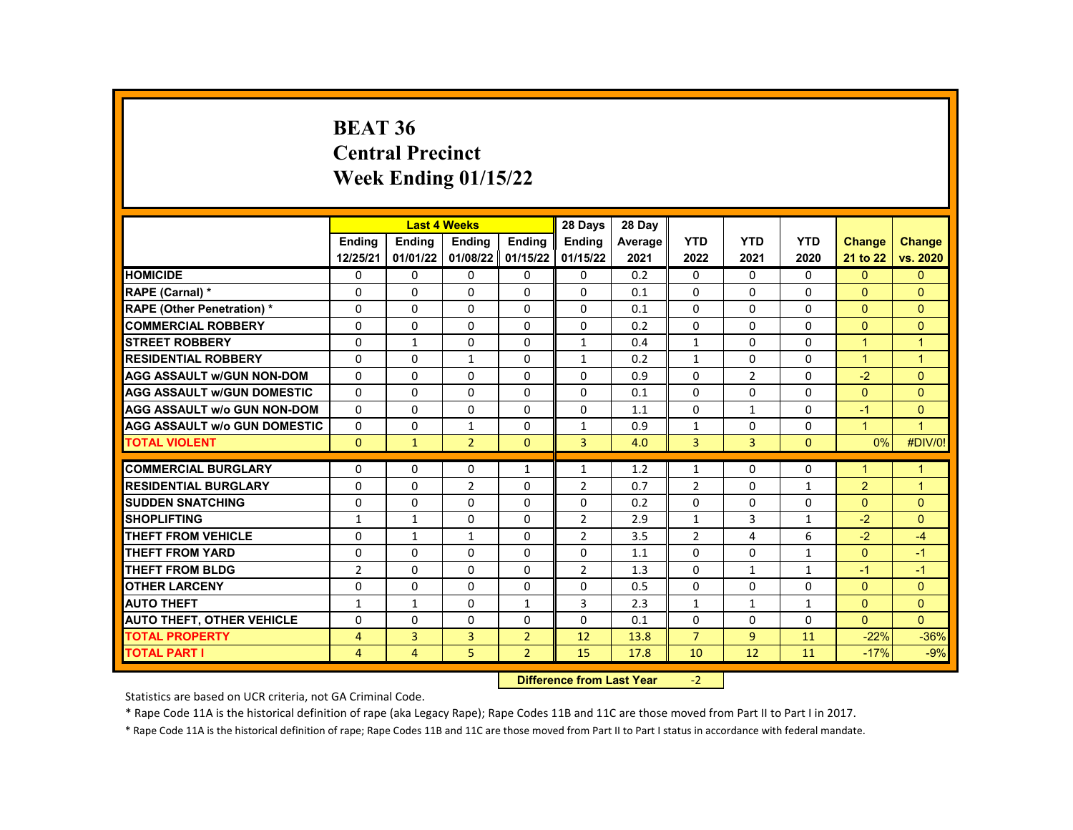#### **BEAT 36 Central Precinct Week Ending 01/15/22**

|                                     |                | <b>Last 4 Weeks</b> |                |                | 28 Days        | 28 Day  |                |              |              |                      |                |
|-------------------------------------|----------------|---------------------|----------------|----------------|----------------|---------|----------------|--------------|--------------|----------------------|----------------|
|                                     | <b>Endina</b>  | <b>Endina</b>       | <b>Endina</b>  | <b>Endina</b>  | <b>Ending</b>  | Average | <b>YTD</b>     | <b>YTD</b>   | <b>YTD</b>   | <b>Change</b>        | <b>Change</b>  |
|                                     | 12/25/21       | 01/01/22            | 01/08/22       | 01/15/22       | 01/15/22       | 2021    | 2022           | 2021         | 2020         | 21 to 22             | vs. 2020       |
| <b>HOMICIDE</b>                     | 0              | 0                   | 0              | 0              | $\mathbf{0}$   | 0.2     | 0              | 0            | 0            | $\Omega$             | $\Omega$       |
| RAPE (Carnal) *                     | 0              | $\Omega$            | $\Omega$       | $\Omega$       | 0              | 0.1     | $\Omega$       | $\Omega$     | $\Omega$     | $\Omega$             | $\Omega$       |
| <b>RAPE (Other Penetration) *</b>   | $\Omega$       | $\Omega$            | $\Omega$       | $\Omega$       | $\Omega$       | 0.1     | $\Omega$       | $\Omega$     | $\Omega$     | $\Omega$             | $\Omega$       |
| <b>COMMERCIAL ROBBERY</b>           | 0              | 0                   | 0              | 0              | 0              | 0.2     | 0              | 0            | $\Omega$     | $\Omega$             | $\Omega$       |
| <b>STREET ROBBERY</b>               | $\Omega$       | $\mathbf{1}$        | 0              | 0              | $\mathbf{1}$   | 0.4     | $\mathbf{1}$   | 0            | $\Omega$     | $\blacktriangleleft$ | $\mathbf{1}$   |
| <b>RESIDENTIAL ROBBERY</b>          | 0              | 0                   | 1              | 0              | $\mathbf{1}$   | 0.2     | $\mathbf{1}$   | 0            | $\Omega$     | $\mathbf{1}$         | $\mathbf{1}$   |
| <b>AGG ASSAULT W/GUN NON-DOM</b>    | $\Omega$       | 0                   | $\Omega$       | 0              | $\Omega$       | 0.9     | $\Omega$       | 2            | $\Omega$     | $-2$                 | $\Omega$       |
| <b>AGG ASSAULT w/GUN DOMESTIC</b>   | $\Omega$       | 0                   | 0              | 0              | $\mathbf{0}$   | 0.1     | 0              | 0            | $\Omega$     | $\Omega$             | $\Omega$       |
| <b>AGG ASSAULT w/o GUN NON-DOM</b>  | $\Omega$       | 0                   | $\Omega$       | $\Omega$       | $\Omega$       | 1.1     | $\Omega$       | $\mathbf{1}$ | $\Omega$     | $-1$                 | $\mathbf{0}$   |
| <b>AGG ASSAULT W/o GUN DOMESTIC</b> | $\Omega$       | $\Omega$            | $\mathbf{1}$   | $\Omega$       | $\mathbf{1}$   | 0.9     | $\mathbf{1}$   | $\Omega$     | $\Omega$     | $\mathbf{1}$         | $\overline{1}$ |
| <b>TOTAL VIOLENT</b>                | $\Omega$       | $\mathbf{1}$        | $\overline{2}$ | $\Omega$       | 3              | 4.0     | 3              | 3            | $\Omega$     | $0\%$                | #DIV/0!        |
|                                     |                |                     |                |                |                |         |                |              |              |                      |                |
| <b>COMMERCIAL BURGLARY</b>          | 0              | $\Omega$            | 0              | $\mathbf{1}$   | $\mathbf{1}$   | 1.2     | $\mathbf{1}$   | 0            | $\Omega$     | $\overline{1}$       | $\mathbf{1}$   |
| <b>RESIDENTIAL BURGLARY</b>         | $\Omega$       | $\Omega$            | $\overline{2}$ | 0              | $\overline{2}$ | 0.7     | $\overline{2}$ | 0            | $\mathbf{1}$ | 2                    | $\mathbf 1$    |
| <b>SUDDEN SNATCHING</b>             | 0              | $\mathbf 0$         | $\Omega$       | 0              | $\Omega$       | 0.2     | $\Omega$       | 0            | $\Omega$     | $\Omega$             | $\mathbf{0}$   |
| <b>SHOPLIFTING</b>                  | $\mathbf{1}$   | $\mathbf{1}$        | $\Omega$       | $\Omega$       | $\overline{2}$ | 2.9     | $\mathbf{1}$   | 3            | $\mathbf{1}$ | $-2$                 | $\Omega$       |
| <b>THEFT FROM VEHICLE</b>           | 0              | $\mathbf{1}$        | 1              | 0              | $\overline{2}$ | 3.5     | $\overline{2}$ | 4            | 6            | $-2$                 | $-4$           |
| <b>THEFT FROM YARD</b>              | 0              | 0                   | $\Omega$       | 0              | 0              | 1.1     | $\Omega$       | 0            | 1            | $\mathbf{0}$         | $-1$           |
| <b>THEFT FROM BLDG</b>              | $\overline{2}$ | $\Omega$            | $\Omega$       | $\Omega$       | $\overline{2}$ | 1.3     | $\Omega$       | $\mathbf{1}$ | $\mathbf{1}$ | $-1$                 | $-1$           |
| <b>OTHER LARCENY</b>                | 0              | $\Omega$            | 0              | 0              | $\Omega$       | 0.5     | $\Omega$       | 0            | $\Omega$     | $\Omega$             | $\Omega$       |
| <b>AUTO THEFT</b>                   | $\mathbf{1}$   | $\mathbf{1}$        | $\Omega$       | $\mathbf{1}$   | 3              | 2.3     | $\mathbf{1}$   | $\mathbf{1}$ | $\mathbf{1}$ | $\Omega$             | $\Omega$       |
| <b>AUTO THEFT, OTHER VEHICLE</b>    | $\Omega$       | $\Omega$            | $\Omega$       | $\Omega$       | $\Omega$       | 0.1     | $\Omega$       | $\Omega$     | $\Omega$     | $\Omega$             | $\Omega$       |
| <b>TOTAL PROPERTY</b>               | 4              | 3                   | 3              | $\overline{2}$ | 12             | 13.8    | $\overline{7}$ | 9            | 11           | $-22%$               | $-36%$         |
| <b>TOTAL PART I</b>                 | $\overline{4}$ | 4                   | 5              | $\overline{2}$ | 15             | 17.8    | 10             | 12           | 11           | $-17%$               | $-9%$          |
|                                     |                |                     |                |                |                |         |                |              |              |                      |                |

**Difference from Last Year** -2

Statistics are based on UCR criteria, not GA Criminal Code.

\* Rape Code 11A is the historical definition of rape (aka Legacy Rape); Rape Codes 11B and 11C are those moved from Part II to Part I in 2017.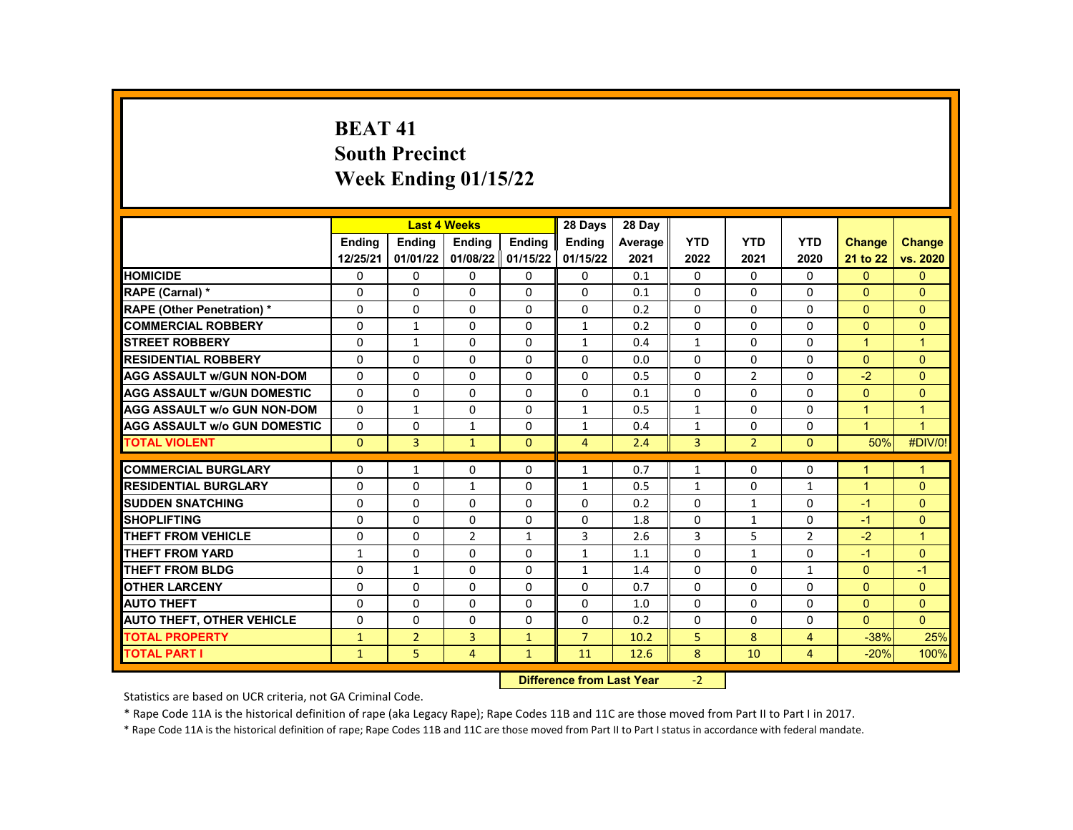# **BEAT 41 South Precinct Week Ending 01/15/22**

|                                     |               | <b>Last 4 Weeks</b>              |                |                | 28 Days        | 28 Day  |              |                |                |                      |                      |
|-------------------------------------|---------------|----------------------------------|----------------|----------------|----------------|---------|--------------|----------------|----------------|----------------------|----------------------|
|                                     | <b>Endina</b> | <b>Endina</b>                    | Ending         | Ending         | <b>Endina</b>  | Average | <b>YTD</b>   | <b>YTD</b>     | <b>YTD</b>     | <b>Change</b>        | <b>Change</b>        |
|                                     | 12/25/21      | 01/01/22                         | 01/08/22       | 01/15/22       | 01/15/22       | 2021    | 2022         | 2021           | 2020           | 21 to 22             | vs. 2020             |
| <b>HOMICIDE</b>                     | 0             | 0                                | 0              | $\Omega$       | 0              | 0.1     | 0            | $\Omega$       | 0              | $\mathbf{0}$         | $\mathbf{0}$         |
| RAPE (Carnal) *                     | 0             | $\Omega$                         | $\Omega$       | $\mathbf{0}$   | $\mathbf{0}$   | 0.1     | $\Omega$     | $\mathbf{0}$   | $\Omega$       | $\mathbf{0}$         | $\Omega$             |
| <b>RAPE (Other Penetration) *</b>   | 0             | $\Omega$                         | $\Omega$       | $\Omega$       | 0              | 0.2     | $\Omega$     | $\Omega$       | $\Omega$       | $\Omega$             | $\Omega$             |
| <b>COMMERCIAL ROBBERY</b>           | 0             | $\mathbf{1}$                     | 0              | $\mathbf{0}$   | $\mathbf{1}$   | 0.2     | $\Omega$     | $\mathbf{0}$   | $\mathbf{0}$   | $\Omega$             | $\Omega$             |
| <b>STREET ROBBERY</b>               | 0             | $\mathbf{1}$                     | $\Omega$       | $\Omega$       | $\mathbf{1}$   | 0.4     | $\mathbf{1}$ | $\Omega$       | $\Omega$       | $\blacktriangleleft$ | $\overline{1}$       |
| <b>RESIDENTIAL ROBBERY</b>          | 0             | $\Omega$                         | 0              | $\mathbf{0}$   | 0              | 0.0     | $\Omega$     | $\mathbf{0}$   | $\Omega$       | $\mathbf{0}$         | $\Omega$             |
| <b>AGG ASSAULT w/GUN NON-DOM</b>    | $\Omega$      | $\mathbf{0}$                     | $\Omega$       | $\Omega$       | 0              | 0.5     | $\Omega$     | $\overline{2}$ | $\Omega$       | $-2$                 | $\Omega$             |
| <b>AGG ASSAULT W/GUN DOMESTIC</b>   | 0             | $\Omega$                         | $\Omega$       | $\Omega$       | 0              | 0.1     | $\Omega$     | $\Omega$       | $\Omega$       | $\Omega$             | $\Omega$             |
| <b>AGG ASSAULT w/o GUN NON-DOM</b>  | 0             | $\mathbf{1}$                     | $\Omega$       | $\Omega$       | $\mathbf{1}$   | 0.5     | $\mathbf{1}$ | $\Omega$       | $\Omega$       | $\blacktriangleleft$ | $\mathbf 1$          |
| <b>AGG ASSAULT W/o GUN DOMESTIC</b> | 0             | $\Omega$                         | $\mathbf{1}$   | $\mathbf{0}$   | $\mathbf{1}$   | 0.4     | $\mathbf{1}$ | $\Omega$       | $\Omega$       | $\blacktriangleleft$ | $\overline{1}$       |
| <b>TOTAL VIOLENT</b>                | $\Omega$      | 3                                | $\mathbf{1}$   | $\overline{0}$ | $\overline{4}$ | 2.4     | 3            | $\overline{2}$ | $\Omega$       | 50%                  | #DIV/0!              |
| <b>COMMERCIAL BURGLARY</b>          |               |                                  |                |                |                | 0.7     |              | $\Omega$       | $\Omega$       | $\blacktriangleleft$ |                      |
|                                     | 0             | $\mathbf{1}$                     | 0              | 0              | $\mathbf{1}$   |         | $\mathbf{1}$ |                |                | $\blacktriangleleft$ | $\mathbf{1}$         |
| <b>RESIDENTIAL BURGLARY</b>         | 0             | $\Omega$                         | $\mathbf{1}$   | 0              | 1              | 0.5     | $\mathbf{1}$ | $\mathbf{0}$   | $\mathbf{1}$   |                      | $\Omega$             |
| <b>SUDDEN SNATCHING</b>             | 0             | $\Omega$                         | $\Omega$       | $\mathbf{0}$   | 0              | 0.2     | $\Omega$     | $\mathbf{1}$   | $\Omega$       | $-1$                 | $\Omega$             |
| <b>SHOPLIFTING</b>                  | 0             | $\Omega$                         | $\Omega$       | $\mathbf{0}$   | 0              | 1.8     | $\Omega$     | $\mathbf{1}$   | $\Omega$       | $-1$                 | $\Omega$             |
| <b>THEFT FROM VEHICLE</b>           | 0             | $\Omega$                         | $\overline{2}$ | $\mathbf{1}$   | 3              | 2.6     | 3            | 5              | $\overline{2}$ | $-2$                 | $\blacktriangleleft$ |
| <b>THEFT FROM YARD</b>              | $\mathbf{1}$  | $\Omega$                         | $\Omega$       | $\Omega$       | $\mathbf{1}$   | 1.1     | $\Omega$     | $\mathbf{1}$   | $\Omega$       | $-1$                 | $\Omega$             |
| <b>THEFT FROM BLDG</b>              | 0             | $\mathbf{1}$                     | 0              | $\mathbf{0}$   | $\mathbf{1}$   | 1.4     | $\mathbf{0}$ | $\mathbf{0}$   | $\mathbf{1}$   | $\Omega$             | $-1$                 |
| <b>OTHER LARCENY</b>                | 0             | $\Omega$                         | $\Omega$       | $\Omega$       | 0              | 0.7     | $\Omega$     | $\Omega$       | $\Omega$       | $\Omega$             | $\Omega$             |
| <b>AUTO THEFT</b>                   | $\Omega$      | $\Omega$                         | $\Omega$       | $\Omega$       | 0              | 1.0     | $\Omega$     | $\Omega$       | $\Omega$       | $\Omega$             | $\Omega$             |
| <b>AUTO THEFT, OTHER VEHICLE</b>    | 0             | $\Omega$                         | $\Omega$       | $\Omega$       | $\mathbf{0}$   | 0.2     | $\Omega$     | $\mathbf{0}$   | $\mathbf{0}$   | $\Omega$             | $\Omega$             |
| <b>TOTAL PROPERTY</b>               | $\mathbf{1}$  | $\overline{2}$                   | 3              | $\mathbf{1}$   | $\overline{7}$ | 10.2    | 5            | 8              | 4              | $-38%$               | 25%                  |
| <b>TOTAL PART I</b>                 | $\mathbf{1}$  | 5                                | $\overline{4}$ | $\mathbf{1}$   | 11             | 12.6    | 8            | 10             | $\overline{4}$ | $-20%$               | 100%                 |
|                                     |               | <b>Difference from Last Year</b> |                | $-2$           |                |         |              |                |                |                      |                      |

Statistics are based on UCR criteria, not GA Criminal Code.

\* Rape Code 11A is the historical definition of rape (aka Legacy Rape); Rape Codes 11B and 11C are those moved from Part II to Part I in 2017.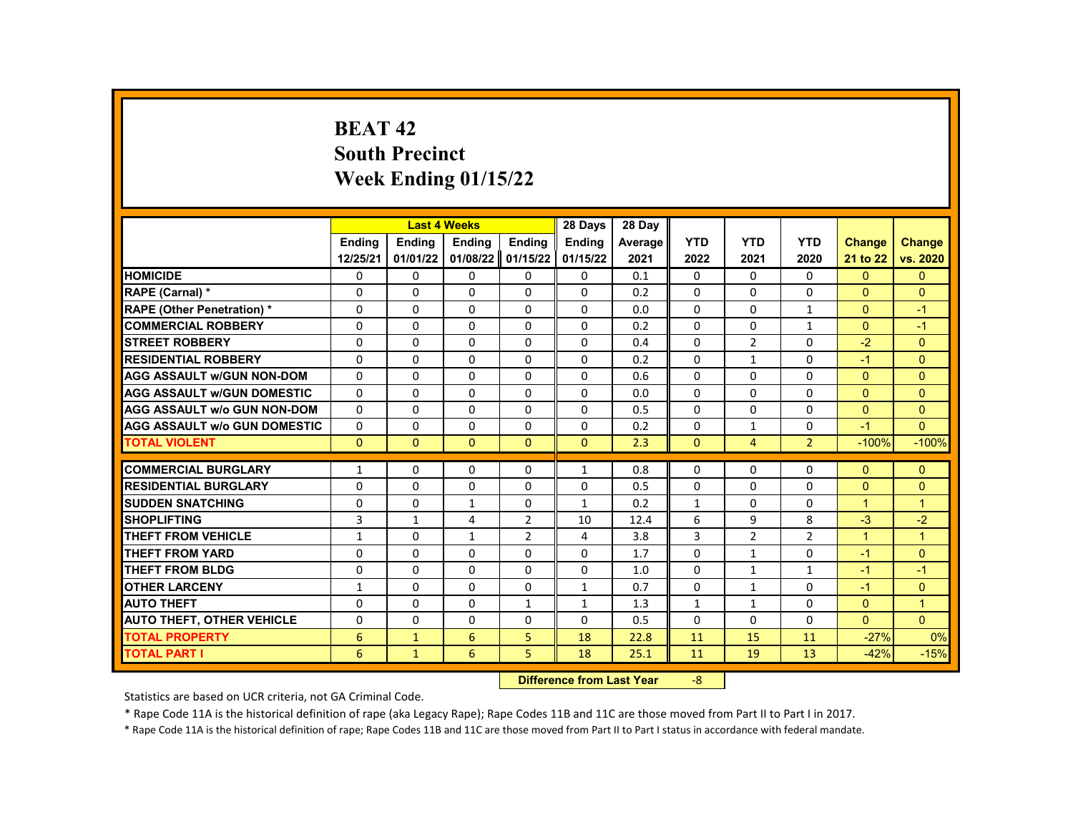# **BEAT 42 South Precinct Week Ending 01/15/22**

|                                     |               | <b>Last 4 Weeks</b> |               |                | 28 Days                   | 28 Day  |              |                |                |                |                |
|-------------------------------------|---------------|---------------------|---------------|----------------|---------------------------|---------|--------------|----------------|----------------|----------------|----------------|
|                                     | <b>Endina</b> | <b>Ending</b>       | <b>Ending</b> | <b>Ending</b>  | <b>Endina</b>             | Average | <b>YTD</b>   | <b>YTD</b>     | <b>YTD</b>     | <b>Change</b>  | <b>Change</b>  |
|                                     | 12/25/21      | 01/01/22            | 01/08/22      | 01/15/22       | 01/15/22                  | 2021    | 2022         | 2021           | 2020           | 21 to 22       | vs. 2020       |
| <b>HOMICIDE</b>                     | 0             | 0                   | 0             | 0              | 0                         | 0.1     | 0            | 0              | 0              | $\mathbf{0}$   | $\mathbf{0}$   |
| RAPE (Carnal) *                     | 0             | $\Omega$            | $\Omega$      | $\Omega$       | $\Omega$                  | 0.2     | $\Omega$     | $\Omega$       | $\Omega$       | $\Omega$       | $\Omega$       |
| RAPE (Other Penetration) *          | 0             | $\Omega$            | $\Omega$      | $\Omega$       | $\Omega$                  | 0.0     | $\Omega$     | $\Omega$       | $\mathbf{1}$   | $\Omega$       | $-1$           |
| <b>COMMERCIAL ROBBERY</b>           | 0             | 0                   | $\Omega$      | 0              | 0                         | 0.2     | $\mathbf{0}$ | 0              | $\mathbf{1}$   | $\mathbf{0}$   | $-1$           |
| <b>STREET ROBBERY</b>               | $\Omega$      | $\Omega$            | $\Omega$      | $\Omega$       | $\Omega$                  | 0.4     | $\Omega$     | $\overline{2}$ | $\Omega$       | $-2$           | $\Omega$       |
| <b>RESIDENTIAL ROBBERY</b>          | 0             | $\Omega$            | $\Omega$      | $\Omega$       | $\Omega$                  | 0.2     | $\Omega$     | $\mathbf{1}$   | $\Omega$       | $-1$           | $\Omega$       |
| <b>AGG ASSAULT w/GUN NON-DOM</b>    | 0             | 0                   | 0             | 0              | 0                         | 0.6     | 0            | 0              | 0              | $\overline{0}$ | $\mathbf{0}$   |
| <b>AGG ASSAULT W/GUN DOMESTIC</b>   | $\Omega$      | $\Omega$            | $\Omega$      | $\Omega$       | $\Omega$                  | 0.0     | $\Omega$     | $\Omega$       | $\Omega$       | $\Omega$       | $\Omega$       |
| <b>AGG ASSAULT w/o GUN NON-DOM</b>  | $\Omega$      | $\Omega$            | $\Omega$      | $\Omega$       | $\Omega$                  | 0.5     | $\Omega$     | $\Omega$       | $\Omega$       | $\Omega$       | $\Omega$       |
| <b>AGG ASSAULT W/o GUN DOMESTIC</b> | $\Omega$      | $\Omega$            | $\Omega$      | $\Omega$       | $\Omega$                  | 0.2     | $\Omega$     | $\mathbf{1}$   | $\Omega$       | $-1$           | $\Omega$       |
| <b>TOTAL VIOLENT</b>                | $\mathbf{0}$  | $\mathbf{0}$        | $\mathbf{0}$  | $\mathbf{0}$   | $\mathbf{0}$              | 2.3     | $\mathbf{0}$ | $\overline{4}$ | $\overline{2}$ | $-100%$        | $-100%$        |
|                                     |               |                     |               |                |                           |         |              |                |                |                |                |
| <b>COMMERCIAL BURGLARY</b>          | $\mathbf{1}$  | $\mathbf{0}$        | 0             | 0              | $\mathbf{1}$              | 0.8     | $\mathbf{0}$ | $\Omega$       | 0              | $\mathbf{0}$   | $\mathbf{0}$   |
| <b>RESIDENTIAL BURGLARY</b>         | $\mathbf 0$   | 0                   | 0             | 0              | 0                         | 0.5     | 0            | 0              | 0              | $\overline{0}$ | $\mathbf{0}$   |
| <b>SUDDEN SNATCHING</b>             | 0             | $\Omega$            | $\mathbf{1}$  | $\Omega$       | $\mathbf{1}$              | 0.2     | $\mathbf{1}$ | $\Omega$       | $\Omega$       | $\mathbf{1}$   | $\overline{1}$ |
| <b>SHOPLIFTING</b>                  | 3             | $\mathbf{1}$        | 4             | 2              | 10                        | 12.4    | 6            | 9              | 8              | $-3$           | $-2$           |
| <b>THEFT FROM VEHICLE</b>           | $\mathbf{1}$  | $\Omega$            | $\mathbf{1}$  | $\overline{2}$ | 4                         | 3.8     | 3            | $\overline{2}$ | $\overline{2}$ | $\mathbf{1}$   | $\mathbf{1}$   |
| <b>THEFT FROM YARD</b>              | 0             | $\Omega$            | $\Omega$      | $\Omega$       | $\Omega$                  | 1.7     | $\Omega$     | $\mathbf{1}$   | $\Omega$       | $-1$           | $\Omega$       |
| <b>THEFT FROM BLDG</b>              | 0             | $\Omega$            | $\Omega$      | $\Omega$       | 0                         | 1.0     | $\Omega$     | $\mathbf{1}$   | $\mathbf{1}$   | $-1$           | $-1$           |
| <b>OTHER LARCENY</b>                | $\mathbf{1}$  | $\Omega$            | $\Omega$      | $\Omega$       | $\mathbf{1}$              | 0.7     | $\Omega$     | $\mathbf{1}$   | $\Omega$       | $-1$           | $\mathbf{0}$   |
| <b>AUTO THEFT</b>                   | 0             | $\mathbf{0}$        | $\Omega$      | $\mathbf{1}$   | $\mathbf{1}$              | 1.3     | $\mathbf{1}$ | $\mathbf{1}$   | 0              | $\Omega$       | $\overline{1}$ |
| <b>AUTO THEFT, OTHER VEHICLE</b>    | 0             | $\Omega$            | $\Omega$      | $\Omega$       | $\Omega$                  | 0.5     | $\Omega$     | $\Omega$       | 0              | $\Omega$       | $\Omega$       |
| <b>TOTAL PROPERTY</b>               | 6             | $\mathbf{1}$        | 6             | 5              | 18                        | 22.8    | 11           | 15             | 11             | $-27%$         | 0%             |
| <b>TOTAL PART I</b>                 | 6             | $\mathbf{1}$        | 6             | 5              | 18                        | 25.1    | 11           | 19             | 13             | $-42%$         | $-15%$         |
|                                     |               |                     |               |                | Difference from Loot Voor |         | $\Omega$     |                |                |                |                |

**Difference from Last Year** -8

Statistics are based on UCR criteria, not GA Criminal Code.

\* Rape Code 11A is the historical definition of rape (aka Legacy Rape); Rape Codes 11B and 11C are those moved from Part II to Part I in 2017.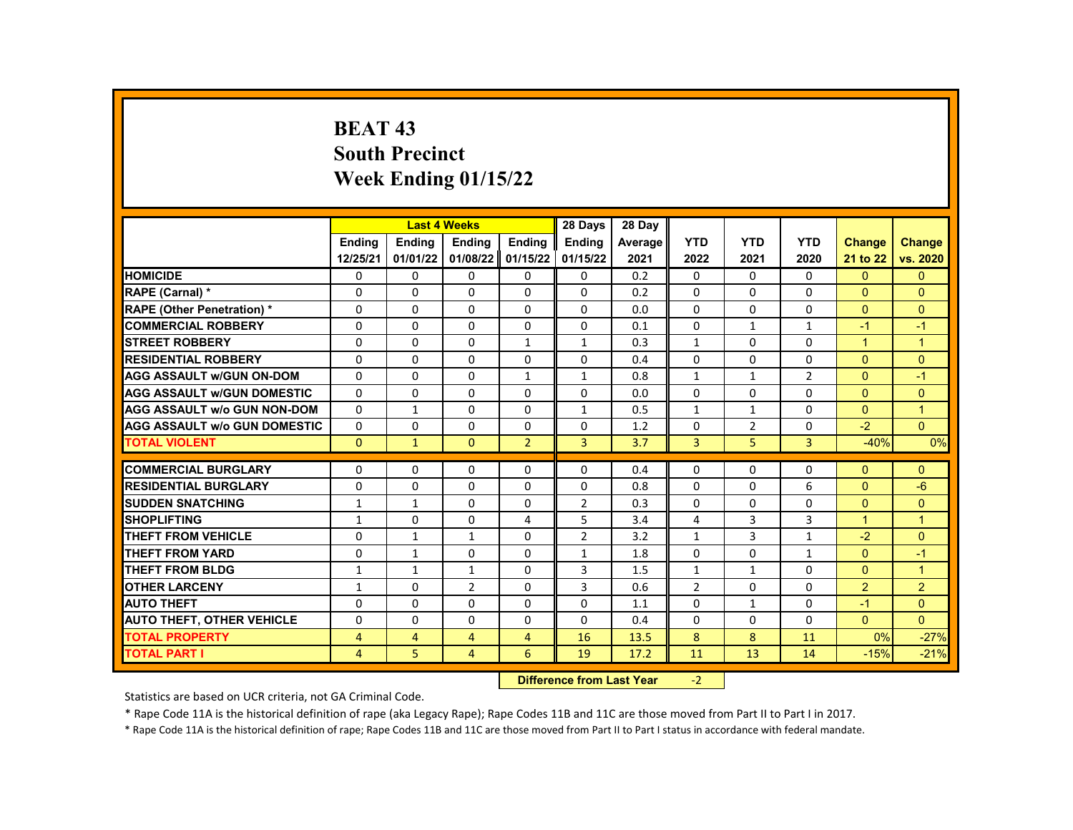# **BEAT 43 South Precinct Week Ending 01/15/22**

|                                     |                | <b>Last 4 Weeks</b> |                                  |                | 28 Days        | 28 Dav  |                |                |                |                      |                |
|-------------------------------------|----------------|---------------------|----------------------------------|----------------|----------------|---------|----------------|----------------|----------------|----------------------|----------------|
|                                     | <b>Endina</b>  | <b>Endina</b>       | <b>Ending</b>                    | Ending         | <b>Endina</b>  | Average | <b>YTD</b>     | <b>YTD</b>     | <b>YTD</b>     | <b>Change</b>        | Change         |
|                                     | 12/25/21       | 01/01/22            | 01/08/22                         | 01/15/22       | 01/15/22       | 2021    | 2022           | 2021           | 2020           | 21 to 22             | vs. 2020       |
| <b>HOMICIDE</b>                     | 0              | 0                   | 0                                | 0              | 0              | 0.2     | 0              | $\mathbf{0}$   | $\mathbf{0}$   | $\Omega$             | $\mathbf{0}$   |
| RAPE (Carnal) *                     | $\Omega$       | $\Omega$            | $\Omega$                         | $\Omega$       | $\Omega$       | 0.2     | $\Omega$       | $\Omega$       | $\Omega$       | $\Omega$             | $\Omega$       |
| <b>RAPE (Other Penetration) *</b>   | 0              | 0                   | 0                                | 0              | 0              | 0.0     | 0              | $\mathbf 0$    | 0              | $\overline{0}$       | $\overline{0}$ |
| <b>COMMERCIAL ROBBERY</b>           | $\Omega$       | $\Omega$            | $\Omega$                         | $\Omega$       | $\Omega$       | 0.1     | $\Omega$       | $\mathbf{1}$   | $\mathbf{1}$   | $-1$                 | $-1$           |
| <b>STREET ROBBERY</b>               | $\Omega$       | $\Omega$            | $\Omega$                         | $\mathbf{1}$   | $\mathbf{1}$   | 0.3     | $\mathbf{1}$   | $\Omega$       | $\Omega$       | $\blacktriangleleft$ | $\mathbf{1}$   |
| <b>RESIDENTIAL ROBBERY</b>          | 0              | 0                   | 0                                | 0              | 0              | 0.4     | $\Omega$       | $\mathbf{0}$   | 0              | $\overline{0}$       | $\mathbf{0}$   |
| <b>AGG ASSAULT W/GUN ON-DOM</b>     | $\Omega$       | 0                   | $\Omega$                         | $\mathbf{1}$   | $\mathbf{1}$   | 0.8     | $\mathbf{1}$   | $\mathbf{1}$   | 2              | $\Omega$             | $-1$           |
| <b>AGG ASSAULT W/GUN DOMESTIC</b>   | $\Omega$       | $\Omega$            | $\Omega$                         | $\Omega$       | $\Omega$       | 0.0     | $\Omega$       | $\Omega$       | $\Omega$       | $\Omega$             | $\Omega$       |
| <b>AGG ASSAULT W/o GUN NON-DOM</b>  | 0              | $\mathbf{1}$        | 0                                | $\Omega$       | $\mathbf{1}$   | 0.5     | $\mathbf{1}$   | $\mathbf{1}$   | $\Omega$       | $\Omega$             | $\overline{1}$ |
| <b>AGG ASSAULT w/o GUN DOMESTIC</b> | $\Omega$       | 0                   | 0                                | 0              | 0              | 1.2     | 0              | $\overline{2}$ | 0              | $-2$                 | $\overline{0}$ |
| <b>TOTAL VIOLENT</b>                | $\mathbf{0}$   | $\mathbf{1}$        | $\mathbf{0}$                     | $\overline{2}$ | 3              | 3.7     | 3              | 5              | $\overline{3}$ | $-40%$               | 0%             |
| <b>COMMERCIAL BURGLARY</b>          | $\Omega$       | $\Omega$            | $\Omega$                         | $\Omega$       | $\Omega$       | 0.4     | $\Omega$       | $\Omega$       | $\Omega$       | $\Omega$             | $\Omega$       |
| <b>RESIDENTIAL BURGLARY</b>         | 0              | $\Omega$            | $\Omega$                         | 0              | 0              | 0.8     | $\Omega$       | $\Omega$       | 6              | $\Omega$             | $-6$           |
| <b>SUDDEN SNATCHING</b>             | $\mathbf{1}$   | $\mathbf{1}$        | $\mathbf{0}$                     | 0              | $\overline{2}$ | 0.3     | $\Omega$       | $\mathbf{0}$   | $\Omega$       | $\Omega$             | $\overline{0}$ |
| <b>SHOPLIFTING</b>                  | $\mathbf{1}$   | $\Omega$            | $\Omega$                         | 4              | 5              | 3.4     | 4              | 3              | 3              | $\overline{1}$       | $\mathbf{1}$   |
| <b>THEFT FROM VEHICLE</b>           | 0              | $\mathbf{1}$        | $\mathbf{1}$                     | 0              | $\overline{2}$ | 3.2     | $\mathbf{1}$   | 3              | $\mathbf{1}$   | $-2$                 | $\Omega$       |
| <b>THEFT FROM YARD</b>              | 0              | $\mathbf{1}$        | 0                                | 0              | $\mathbf{1}$   | 1.8     | 0              | $\mathbf 0$    | $\mathbf{1}$   | $\Omega$             | $-1$           |
| THEFT FROM BLDG                     | $\mathbf{1}$   | $\mathbf{1}$        | $\mathbf{1}$                     | $\Omega$       | 3              | 1.5     | $\mathbf{1}$   | $\mathbf{1}$   | $\Omega$       | $\Omega$             | $\mathbf{1}$   |
| <b>OTHER LARCENY</b>                | $\mathbf{1}$   | $\Omega$            | $\overline{2}$                   | $\Omega$       | 3              | 0.6     | $\overline{2}$ | $\Omega$       | $\Omega$       | $\overline{2}$       | $\overline{2}$ |
| <b>AUTO THEFT</b>                   | $\Omega$       | 0                   | $\Omega$                         | $\Omega$       | $\Omega$       | 1.1     | $\Omega$       | $\mathbf{1}$   | $\Omega$       | $-1$                 | $\Omega$       |
| <b>AUTO THEFT, OTHER VEHICLE</b>    | $\Omega$       | $\Omega$            | $\Omega$                         | 0              | 0              | 0.4     | $\Omega$       | $\Omega$       | $\Omega$       | $\Omega$             | $\overline{0}$ |
| <b>TOTAL PROPERTY</b>               | 4              | 4                   | 4                                | 4              | 16             | 13.5    | 8              | 8              | 11             | 0%                   | $-27%$         |
| <b>TOTAL PART I</b>                 | $\overline{4}$ | 5                   | $\overline{4}$                   | 6              | 19             | 17.2    | 11             | 13             | 14             | $-15%$               | $-21%$         |
|                                     |                |                     | <b>Difference from Last Year</b> |                | $-2$           |         |                |                |                |                      |                |

Statistics are based on UCR criteria, not GA Criminal Code.

\* Rape Code 11A is the historical definition of rape (aka Legacy Rape); Rape Codes 11B and 11C are those moved from Part II to Part I in 2017.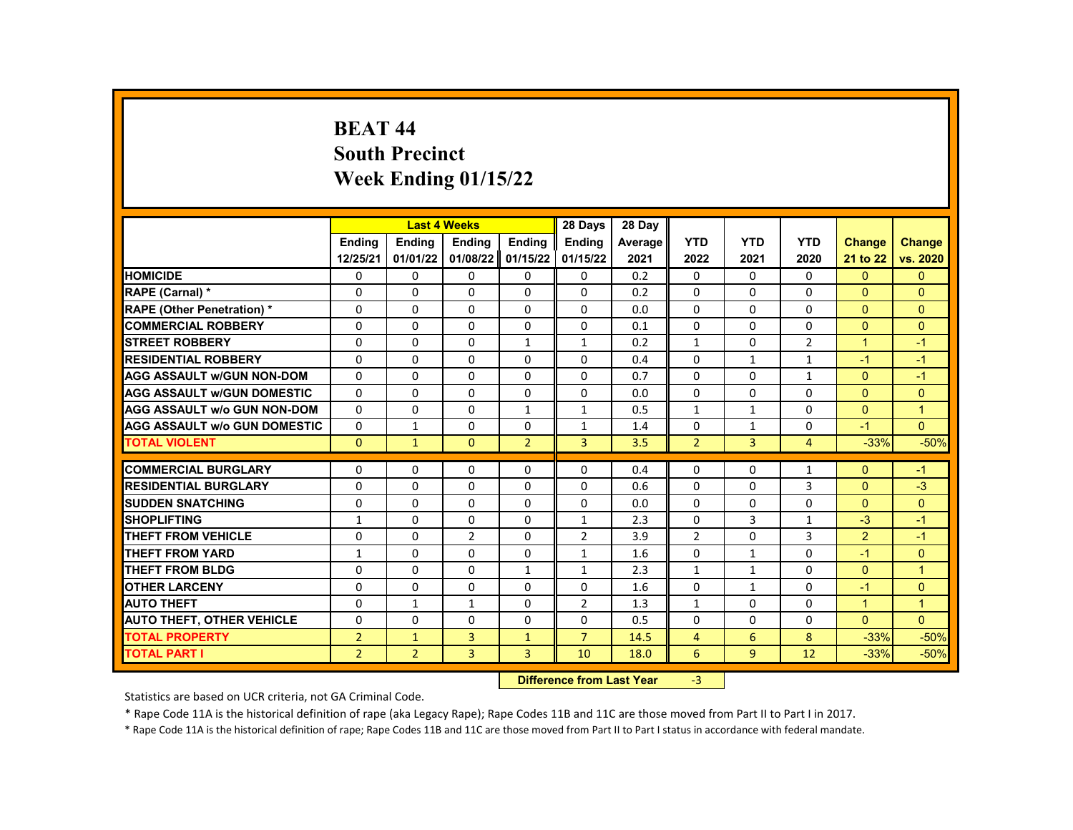# **BEAT 44 South Precinct Week Ending 01/15/22**

|                                                     |                |                | <b>Last 4 Weeks</b>  |                                            | 28 Days        | 28 Day  |                |              |                |                      |                      |
|-----------------------------------------------------|----------------|----------------|----------------------|--------------------------------------------|----------------|---------|----------------|--------------|----------------|----------------------|----------------------|
|                                                     | <b>Endina</b>  | <b>Endina</b>  | Ending               | Ending                                     | <b>Endina</b>  | Average | <b>YTD</b>     | <b>YTD</b>   | <b>YTD</b>     | <b>Change</b>        | <b>Change</b>        |
|                                                     | 12/25/21       | 01/01/22       | 01/08/22             | 01/15/22                                   | 01/15/22       | 2021    | 2022           | 2021         | 2020           | 21 to 22             | vs. 2020             |
| <b>HOMICIDE</b>                                     | 0              | 0              | 0                    | 0                                          | 0              | 0.2     | 0              | 0            | 0              | $\mathbf{0}$         | $\mathbf{0}$         |
| RAPE (Carnal) *                                     | $\Omega$       | $\Omega$       | $\Omega$             | $\Omega$                                   | $\Omega$       | 0.2     | $\Omega$       | $\Omega$     | $\Omega$       | $\Omega$             | $\Omega$             |
| <b>RAPE (Other Penetration) *</b>                   | $\Omega$       | $\Omega$       | $\Omega$             | $\Omega$                                   | $\Omega$       | 0.0     | $\Omega$       | $\Omega$     | $\Omega$       | $\Omega$             | $\Omega$             |
| <b>COMMERCIAL ROBBERY</b>                           | 0              | 0              | 0                    | 0                                          | 0              | 0.1     | $\mathbf{0}$   | 0            | $\Omega$       | $\Omega$             | $\Omega$             |
| <b>STREET ROBBERY</b>                               | $\Omega$       | $\Omega$       | $\Omega$             | $\mathbf{1}$                               | $\mathbf{1}$   | 0.2     | $\mathbf{1}$   | $\Omega$     | 2              | $\overline{1}$       | $-1$                 |
| <b>RESIDENTIAL ROBBERY</b>                          | $\Omega$       | $\Omega$       | $\Omega$             | $\Omega$                                   | $\Omega$       | 0.4     | $\Omega$       | $\mathbf{1}$ | $\mathbf{1}$   | $-1$                 | $-1$                 |
| <b>AGG ASSAULT w/GUN NON-DOM</b>                    | 0              | 0              | 0                    | 0                                          | 0              | 0.7     | 0              | 0            | $\mathbf{1}$   | $\Omega$             | $-1$                 |
| <b>AGG ASSAULT W/GUN DOMESTIC</b>                   | $\Omega$       | $\Omega$       | $\Omega$             | $\Omega$                                   | $\Omega$       | 0.0     | $\Omega$       | $\Omega$     | $\Omega$       | $\Omega$             | $\Omega$             |
| <b>AGG ASSAULT w/o GUN NON-DOM</b>                  | $\Omega$       | $\Omega$       | $\Omega$             | $\mathbf{1}$                               | $\mathbf{1}$   | 0.5     | $\mathbf{1}$   | $\mathbf{1}$ | $\Omega$       | $\Omega$             | $\mathbf{1}$         |
| <b>AGG ASSAULT w/o GUN DOMESTIC</b>                 | $\Omega$       | $\mathbf{1}$   | $\Omega$             | $\Omega$                                   | $\mathbf{1}$   | 1.4     | $\Omega$       | $\mathbf{1}$ | $\Omega$       | $-1$                 | $\overline{0}$       |
| <b>TOTAL VIOLENT</b>                                | $\mathbf{0}$   | $\mathbf{1}$   | $\mathbf{0}$         | $\overline{2}$                             | 3              | 3.5     | $\overline{2}$ | 3            | $\overline{4}$ | $-33%$               | $-50%$               |
| <b>COMMERCIAL BURGLARY</b>                          | 0              | 0              | 0                    | $\Omega$                                   | 0              | 0.4     | $\mathbf{0}$   | 0            |                | $\Omega$             |                      |
| <b>RESIDENTIAL BURGLARY</b>                         |                |                |                      |                                            |                |         |                |              | 1              |                      | $-1$                 |
| <b>SUDDEN SNATCHING</b>                             | 0              | 0<br>$\Omega$  | $\Omega$<br>$\Omega$ | 0                                          | 0              | 0.6     | 0              | 0            | 3<br>$\Omega$  | $\Omega$<br>$\Omega$ | $-3$<br>$\Omega$     |
|                                                     | $\Omega$       |                |                      | $\Omega$                                   | $\Omega$       | 0.0     | $\Omega$       | $\Omega$     |                |                      |                      |
| <b>SHOPLIFTING</b>                                  | $\mathbf{1}$   | $\Omega$       | 0                    | $\Omega$                                   | $\mathbf{1}$   | 2.3     | $\Omega$       | 3            | $\mathbf{1}$   | $-3$                 | $-1$                 |
| <b>THEFT FROM VEHICLE</b><br><b>THEFT FROM YARD</b> | $\Omega$       | $\Omega$       | $\overline{2}$       | $\Omega$                                   | $\overline{2}$ | 3.9     | $\overline{2}$ | $\Omega$     | $\overline{3}$ | 2                    | $-1$                 |
|                                                     | $\mathbf{1}$   | 0              | $\Omega$             | $\Omega$                                   | $\mathbf{1}$   | 1.6     | $\Omega$       | $\mathbf{1}$ | $\Omega$       | $-1$                 | $\Omega$             |
| <b>THEFT FROM BLDG</b>                              | $\Omega$       | $\Omega$       | $\Omega$             | $\mathbf{1}$                               | $\mathbf{1}$   | 2.3     | $\mathbf{1}$   | $\mathbf{1}$ | $\Omega$       | $\Omega$             | $\blacktriangleleft$ |
| <b>OTHER LARCENY</b>                                | $\Omega$       | $\Omega$       | $\Omega$             | $\Omega$                                   | $\Omega$       | 1.6     | $\Omega$       | $\mathbf{1}$ | $\Omega$       | $-1$                 | $\Omega$             |
| <b>AUTO THEFT</b>                                   | 0              | $\mathbf{1}$   | $\mathbf{1}$         | $\Omega$                                   | $\overline{2}$ | 1.3     | $\mathbf{1}$   | 0            | $\Omega$       | $\blacktriangleleft$ | $\blacktriangleleft$ |
| <b>AUTO THEFT, OTHER VEHICLE</b>                    | $\Omega$       | $\Omega$       | $\Omega$             | $\Omega$                                   | $\Omega$       | 0.5     | $\Omega$       | $\Omega$     | $\Omega$       | $\Omega$             | $\Omega$             |
| <b>TOTAL PROPERTY</b>                               | $\overline{2}$ | $\mathbf{1}$   | 3                    | $\mathbf{1}$                               | $\overline{7}$ | 14.5    | $\overline{4}$ | 6            | 8              | $-33%$               | $-50%$               |
| <b>TOTAL PART I</b>                                 | $\overline{2}$ | $\overline{2}$ | 3                    | 3                                          | 10             | 18.0    | 6              | 9            | 12             | $-33%$               | $-50%$               |
|                                                     |                |                |                      | Difference from Loot Voor<br>$\mathcal{L}$ |                |         |                |              |                |                      |                      |

**Difference from Last Year** 

Statistics are based on UCR criteria, not GA Criminal Code.

\* Rape Code 11A is the historical definition of rape (aka Legacy Rape); Rape Codes 11B and 11C are those moved from Part II to Part I in 2017.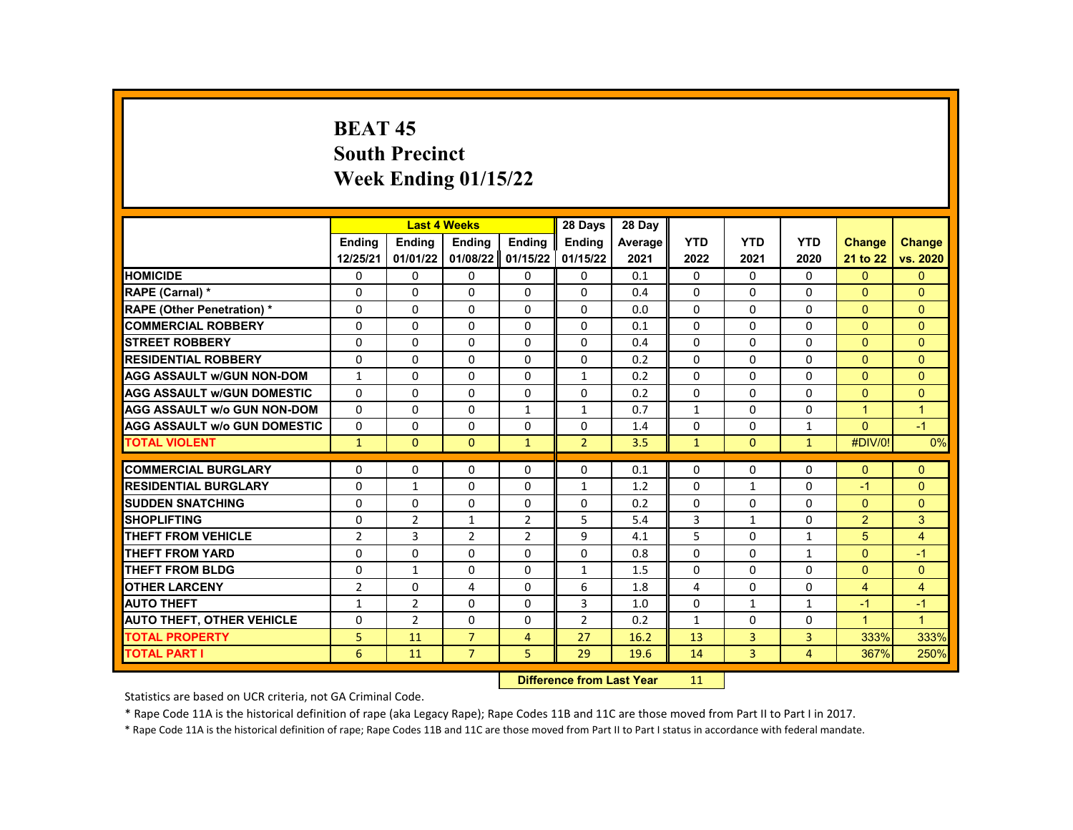# **BEAT 45 South Precinct Week Ending 01/15/22**

|                                     |                |                | <b>Last 4 Weeks</b> |                | 28 Days                   | 28 Day  |              |                |                |                      |                |
|-------------------------------------|----------------|----------------|---------------------|----------------|---------------------------|---------|--------------|----------------|----------------|----------------------|----------------|
|                                     | <b>Ending</b>  | <b>Ending</b>  | <b>Ending</b>       | <b>Ending</b>  | <b>Endina</b>             | Average | <b>YTD</b>   | <b>YTD</b>     | <b>YTD</b>     | <b>Change</b>        | <b>Change</b>  |
|                                     | 12/25/21       | 01/01/22       | 01/08/22            | 01/15/22       | 01/15/22                  | 2021    | 2022         | 2021           | 2020           | 21 to 22             | vs. 2020       |
| <b>HOMICIDE</b>                     | 0              | 0              | 0                   | 0              | 0                         | 0.1     | 0            | 0              | 0              | $\Omega$             | $\mathbf{0}$   |
| RAPE (Carnal) *                     | 0              | $\Omega$       | $\Omega$            | $\Omega$       | $\Omega$                  | 0.4     | $\Omega$     | $\Omega$       | $\Omega$       | $\mathbf{0}$         | $\Omega$       |
| <b>RAPE (Other Penetration) *</b>   | $\Omega$       | $\Omega$       | $\Omega$            | $\Omega$       | $\Omega$                  | 0.0     | $\Omega$     | $\Omega$       | $\Omega$       | $\Omega$             | $\Omega$       |
| <b>COMMERCIAL ROBBERY</b>           | 0              | 0              | 0                   | 0              | 0                         | 0.1     | 0            | $\mathbf{0}$   | $\Omega$       | $\Omega$             | $\Omega$       |
| <b>STREET ROBBERY</b>               | $\Omega$       | $\Omega$       | $\Omega$            | $\Omega$       | $\Omega$                  | 0.4     | $\Omega$     | $\Omega$       | $\Omega$       | $\Omega$             | $\Omega$       |
| <b>RESIDENTIAL ROBBERY</b>          | $\Omega$       | $\Omega$       | $\Omega$            | $\Omega$       | $\Omega$                  | 0.2     | $\Omega$     | $\Omega$       | $\Omega$       | $\Omega$             | $\Omega$       |
| <b>AGG ASSAULT W/GUN NON-DOM</b>    | $\mathbf{1}$   | 0              | 0                   | 0              | $\mathbf{1}$              | 0.2     | 0            | 0              | 0              | $\mathbf{0}$         | $\overline{0}$ |
| <b>AGG ASSAULT W/GUN DOMESTIC</b>   | $\Omega$       | $\Omega$       | $\Omega$            | $\Omega$       | $\Omega$                  | 0.2     | $\Omega$     | $\Omega$       | $\Omega$       | $\Omega$             | $\Omega$       |
| <b>AGG ASSAULT W/o GUN NON-DOM</b>  | $\Omega$       | $\Omega$       | $\Omega$            | $\mathbf{1}$   | $\mathbf{1}$              | 0.7     | $\mathbf{1}$ | $\Omega$       | $\Omega$       | $\overline{1}$       | $\mathbf{1}$   |
| <b>AGG ASSAULT W/o GUN DOMESTIC</b> | $\Omega$       | $\Omega$       | $\Omega$            | $\Omega$       | $\Omega$                  | 1.4     | $\Omega$     | $\Omega$       | $\mathbf{1}$   | $\Omega$             | $-1$           |
| <b>TOTAL VIOLENT</b>                | $\mathbf{1}$   | $\mathbf{0}$   | $\mathbf{0}$        | $\mathbf{1}$   | $\overline{2}$            | 3.5     | $\mathbf{1}$ | $\mathbf{0}$   | $\mathbf{1}$   | #DIV/0!              | 0%             |
|                                     |                |                |                     |                |                           |         |              |                |                |                      |                |
| <b>COMMERCIAL BURGLARY</b>          | 0              | $\Omega$       | 0                   | 0              | 0                         | 0.1     | $\Omega$     | 0              | $\Omega$       | $\Omega$             | $\Omega$       |
| <b>RESIDENTIAL BURGLARY</b>         | 0              | $\mathbf{1}$   | $\Omega$            | 0              | $\mathbf{1}$              | 1.2     | 0            | $\mathbf{1}$   | $\Omega$       | $-1$                 | $\mathbf{0}$   |
| <b>SUDDEN SNATCHING</b>             | $\Omega$       | $\Omega$       | $\Omega$            | $\Omega$       | $\Omega$                  | 0.2     | $\Omega$     | $\Omega$       | $\Omega$       | $\Omega$             | $\Omega$       |
| <b>SHOPLIFTING</b>                  | 0              | $\overline{2}$ | $\mathbf{1}$        | $\overline{2}$ | 5                         | 5.4     | 3            | $\mathbf{1}$   | $\Omega$       | $\overline{2}$       | 3              |
| <b>THEFT FROM VEHICLE</b>           | $\overline{2}$ | 3              | $\overline{2}$      | $\overline{2}$ | 9                         | 4.1     | 5            | $\Omega$       | $\mathbf{1}$   | 5                    | $\overline{4}$ |
| <b>THEFT FROM YARD</b>              | $\Omega$       | $\Omega$       | $\Omega$            | $\Omega$       | $\Omega$                  | 0.8     | $\Omega$     | $\Omega$       | $\mathbf{1}$   | $\Omega$             | $-1$           |
| <b>THEFT FROM BLDG</b>              | 0              | 1              | $\Omega$            | $\Omega$       | $\mathbf{1}$              | 1.5     | $\Omega$     | $\Omega$       | $\Omega$       | $\Omega$             | $\Omega$       |
| <b>OTHER LARCENY</b>                | $\overline{2}$ | $\Omega$       | 4                   | $\Omega$       | 6                         | 1.8     | 4            | $\Omega$       | $\Omega$       | $\overline{4}$       | $\overline{4}$ |
| <b>AUTO THEFT</b>                   | $\mathbf{1}$   | $\overline{2}$ | 0                   | 0              | 3                         | 1.0     | $\Omega$     | $\mathbf{1}$   | $\mathbf{1}$   | $-1$                 | $-1$           |
| <b>AUTO THEFT, OTHER VEHICLE</b>    | 0              | $\overline{2}$ | $\Omega$            | $\Omega$       | $\overline{2}$            | 0.2     | $\mathbf{1}$ | $\Omega$       | $\Omega$       | $\blacktriangleleft$ | $\overline{1}$ |
| <b>TOTAL PROPERTY</b>               | 5              | 11             | $\overline{7}$      | $\overline{4}$ | 27                        | 16.2    | 13           | $\overline{3}$ | 3              | 333%                 | 333%           |
| <b>TOTAL PART I</b>                 | 6              | 11             | $\overline{7}$      | 5              | 29                        | 19.6    | 14           | 3              | $\overline{4}$ | 367%                 | 250%           |
|                                     |                |                |                     |                | Difference from Loot Voor |         | 11           |                |                |                      |                |

**Difference from Last Year** 11

Statistics are based on UCR criteria, not GA Criminal Code.

\* Rape Code 11A is the historical definition of rape (aka Legacy Rape); Rape Codes 11B and 11C are those moved from Part II to Part I in 2017.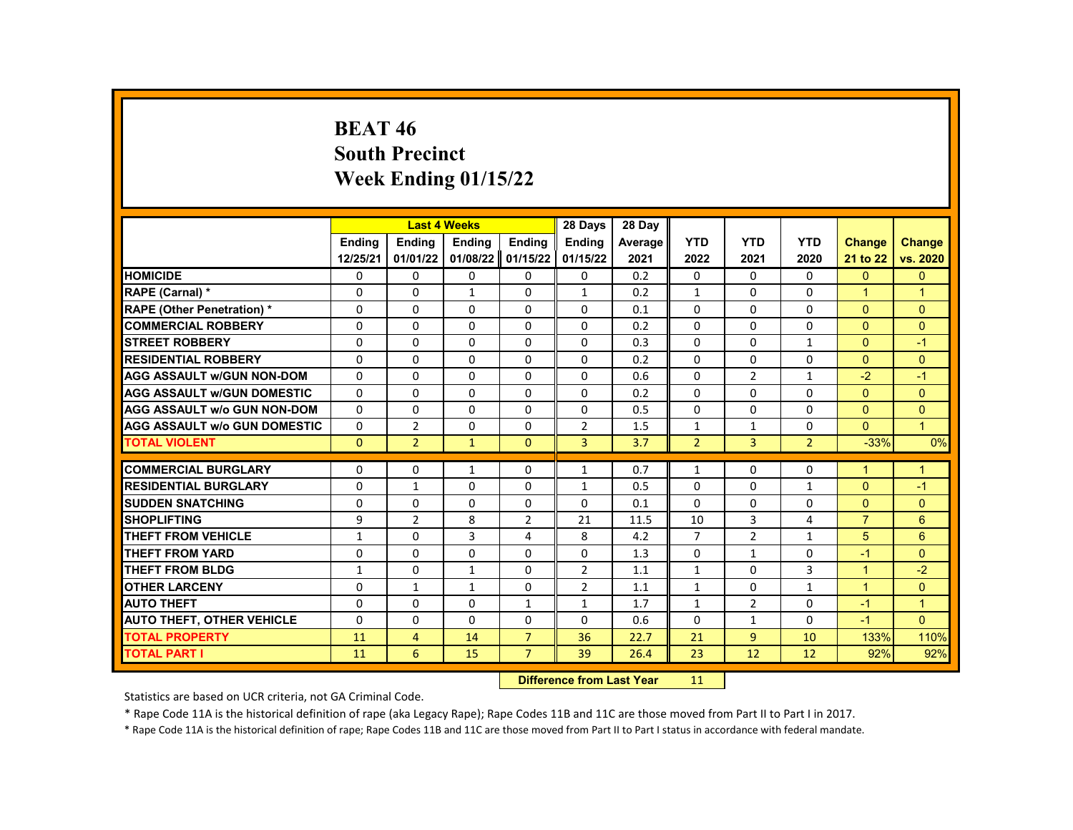# **BEAT 46 South Precinct Week Ending 01/15/22**

|                                     |               |                | <b>Last 4 Weeks</b> |                | 28 Days        | 28 Day                    |                |                |                |                |                |
|-------------------------------------|---------------|----------------|---------------------|----------------|----------------|---------------------------|----------------|----------------|----------------|----------------|----------------|
|                                     | <b>Endina</b> | <b>Ending</b>  | <b>Ending</b>       | <b>Ending</b>  | <b>Endina</b>  | Average                   | <b>YTD</b>     | <b>YTD</b>     | <b>YTD</b>     | <b>Change</b>  | <b>Change</b>  |
|                                     | 12/25/21      | 01/01/22       | 01/08/22            | 01/15/22       | 01/15/22       | 2021                      | 2022           | 2021           | 2020           | 21 to 22       | vs. 2020       |
| <b>HOMICIDE</b>                     | 0             | 0              | 0                   | 0              | 0              | 0.2                       | 0              | 0              | 0              | $\mathbf{0}$   | $\mathbf{0}$   |
| RAPE (Carnal) *                     | 0             | $\Omega$       | $\mathbf{1}$        | $\Omega$       | $\mathbf{1}$   | 0.2                       | $\mathbf{1}$   | $\Omega$       | $\Omega$       | $\mathbf{1}$   | $\overline{1}$ |
| RAPE (Other Penetration) *          | 0             | $\Omega$       | $\Omega$            | $\Omega$       | $\Omega$       | 0.1                       | $\Omega$       | $\Omega$       | $\Omega$       | $\Omega$       | $\Omega$       |
| <b>COMMERCIAL ROBBERY</b>           | 0             | 0              | $\Omega$            | 0              | 0              | 0.2                       | $\mathbf{0}$   | 0              | 0              | $\Omega$       | $\Omega$       |
| <b>STREET ROBBERY</b>               | $\Omega$      | $\Omega$       | $\Omega$            | $\Omega$       | $\Omega$       | 0.3                       | $\Omega$       | $\Omega$       | $\mathbf{1}$   | $\Omega$       | $-1$           |
| <b>RESIDENTIAL ROBBERY</b>          | 0             | $\Omega$       | $\Omega$            | $\Omega$       | $\Omega$       | 0.2                       | $\Omega$       | $\Omega$       | $\Omega$       | $\Omega$       | $\Omega$       |
| <b>AGG ASSAULT w/GUN NON-DOM</b>    | 0             | 0              | 0                   | 0              | 0              | 0.6                       | 0              | $\overline{2}$ | $\mathbf{1}$   | $-2$           | $-1$           |
| <b>AGG ASSAULT W/GUN DOMESTIC</b>   | $\Omega$      | $\Omega$       | $\Omega$            | $\Omega$       | $\Omega$       | 0.2                       | $\Omega$       | $\Omega$       | $\Omega$       | $\Omega$       | $\mathbf{0}$   |
| <b>AGG ASSAULT w/o GUN NON-DOM</b>  | $\Omega$      | $\Omega$       | $\Omega$            | $\Omega$       | $\Omega$       | 0.5                       | $\Omega$       | $\Omega$       | $\Omega$       | $\Omega$       | $\Omega$       |
| <b>AGG ASSAULT W/o GUN DOMESTIC</b> | $\Omega$      | $\overline{2}$ | $\Omega$            | $\Omega$       | $\overline{2}$ | 1.5                       | $\mathbf{1}$   | $\mathbf{1}$   | $\Omega$       | $\Omega$       | $\mathbf{1}$   |
| <b>TOTAL VIOLENT</b>                | $\mathbf{0}$  | $\overline{2}$ | $\mathbf{1}$        | $\mathbf{0}$   | 3              | 3.7                       | $\overline{2}$ | 3              | $\overline{2}$ | $-33%$         | 0%             |
|                                     |               |                |                     |                |                |                           |                |                |                |                |                |
| <b>COMMERCIAL BURGLARY</b>          | 0             | $\mathbf{0}$   | 1                   | 0              | $\mathbf{1}$   | 0.7                       | $\mathbf{1}$   | $\Omega$       | 0              | 1              | $\mathbf 1$    |
| <b>RESIDENTIAL BURGLARY</b>         | 0             | $\mathbf{1}$   | 0                   | 0              | $\mathbf{1}$   | 0.5                       | 0              | 0              | $\mathbf{1}$   | $\overline{0}$ | $-1$           |
| <b>SUDDEN SNATCHING</b>             | 0             | $\Omega$       | $\Omega$            | $\Omega$       | $\Omega$       | 0.1                       | $\Omega$       | $\Omega$       | $\Omega$       | $\Omega$       | $\Omega$       |
| <b>SHOPLIFTING</b>                  | 9             | $\overline{2}$ | 8                   | $\overline{2}$ | 21             | 11.5                      | 10             | 3              | 4              | $\overline{7}$ | 6              |
| <b>THEFT FROM VEHICLE</b>           | $\mathbf{1}$  | $\Omega$       | 3                   | 4              | 8              | 4.2                       | $\overline{7}$ | $\overline{2}$ | $\mathbf{1}$   | 5              | 6              |
| <b>THEFT FROM YARD</b>              | 0             | $\Omega$       | $\Omega$            | $\Omega$       | $\Omega$       | 1.3                       | $\Omega$       | $\mathbf{1}$   | $\Omega$       | $-1$           | $\Omega$       |
| <b>THEFT FROM BLDG</b>              | $\mathbf{1}$  | $\Omega$       | $\mathbf{1}$        | $\Omega$       | $\overline{2}$ | 1.1                       | $\mathbf{1}$   | $\Omega$       | 3              | $\mathbf{1}$   | $-2$           |
| <b>OTHER LARCENY</b>                | $\mathbf 0$   | $\mathbf{1}$   | $\mathbf{1}$        | $\Omega$       | $\overline{2}$ | 1.1                       | $\mathbf{1}$   | $\Omega$       | $\mathbf{1}$   | $\mathbf{1}$   | $\mathbf{0}$   |
| <b>AUTO THEFT</b>                   | 0             | $\Omega$       | $\Omega$            | $\mathbf{1}$   | $\mathbf{1}$   | 1.7                       | $\mathbf{1}$   | $\overline{2}$ | $\Omega$       | $-1$           | $\mathbf{1}$   |
| <b>AUTO THEFT, OTHER VEHICLE</b>    | $\Omega$      | $\Omega$       | $\Omega$            | $\Omega$       | $\Omega$       | 0.6                       | $\Omega$       | $\mathbf{1}$   | $\Omega$       | $-1$           | $\Omega$       |
| <b>TOTAL PROPERTY</b>               | 11            | $\overline{4}$ | 14                  | $\overline{7}$ | 36             | 22.7                      | 21             | 9              | 10             | 133%           | 110%           |
| <b>TOTAL PART I</b>                 | 11            | 6              | 15                  | $\overline{7}$ | 39             | 26.4                      | 23             | 12             | 12             | 92%            | 92%            |
|                                     |               |                |                     |                |                | Difference from Loot Voor | 111            |                |                |                |                |

**Difference from Last Year** 11

Statistics are based on UCR criteria, not GA Criminal Code.

\* Rape Code 11A is the historical definition of rape (aka Legacy Rape); Rape Codes 11B and 11C are those moved from Part II to Part I in 2017.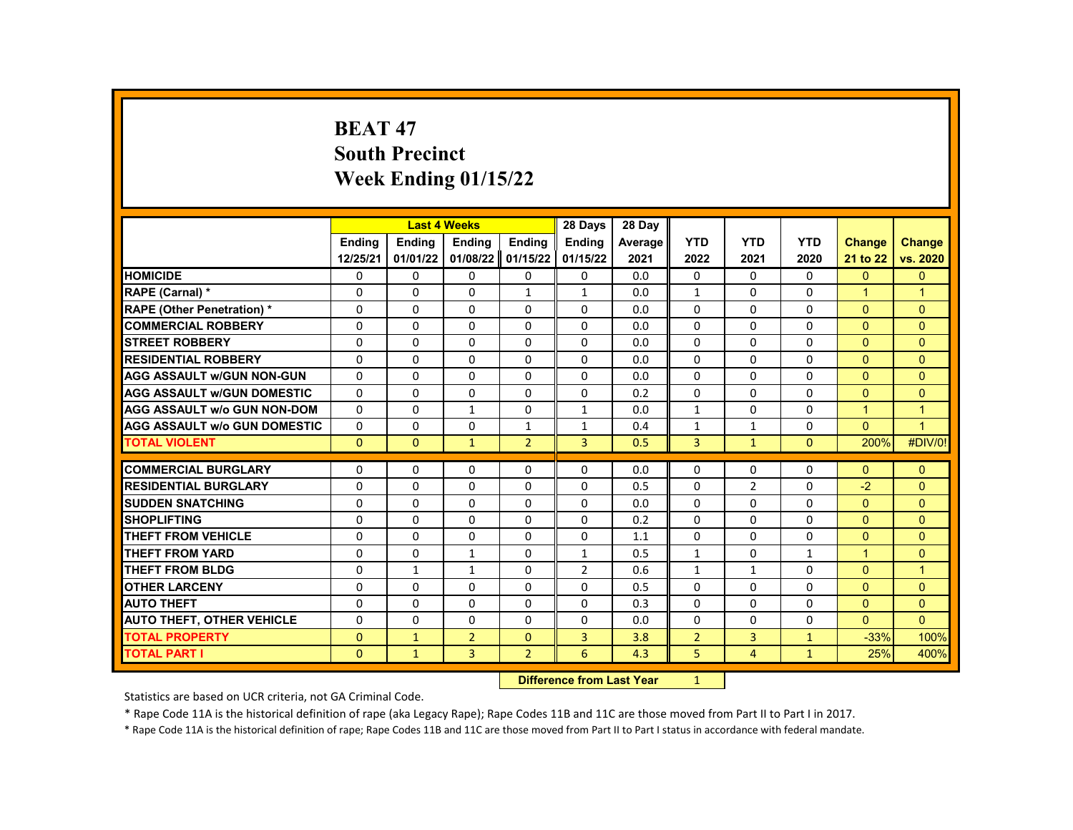# **BEAT 47 South Precinct Week Ending 01/15/22**

|                                     |               | <b>Last 4 Weeks</b> |                |                            | 28 Days        | 28 Day  |                |                |              |                      |                |
|-------------------------------------|---------------|---------------------|----------------|----------------------------|----------------|---------|----------------|----------------|--------------|----------------------|----------------|
|                                     | <b>Endina</b> | <b>Ending</b>       | <b>Ending</b>  | Ending                     | <b>Ending</b>  | Average | <b>YTD</b>     | <b>YTD</b>     | <b>YTD</b>   | <b>Change</b>        | <b>Change</b>  |
|                                     | 12/25/21      | 01/01/22            | 01/08/22       | 01/15/22                   | 01/15/22       | 2021    | 2022           | 2021           | 2020         | 21 to 22             | vs. 2020       |
| <b>HOMICIDE</b>                     | 0             | 0                   | 0              | 0                          | 0              | 0.0     | 0              | 0              | 0            | $\mathbf{0}$         | $\mathbf{0}$   |
| RAPE (Carnal) *                     | $\Omega$      | $\Omega$            | $\Omega$       | $\mathbf{1}$               | $\mathbf{1}$   | 0.0     | $\mathbf{1}$   | $\Omega$       | $\Omega$     | $\blacktriangleleft$ | $\mathbf{1}$   |
| RAPE (Other Penetration) *          | 0             | $\Omega$            | $\Omega$       | $\Omega$                   | $\Omega$       | 0.0     | $\Omega$       | $\Omega$       | $\Omega$     | $\Omega$             | $\Omega$       |
| <b>COMMERCIAL ROBBERY</b>           | 0             | $\Omega$            | $\Omega$       | $\Omega$                   | 0              | 0.0     | $\Omega$       | $\Omega$       | 0            | $\Omega$             | $\Omega$       |
| <b>STREET ROBBERY</b>               | 0             | $\Omega$            | $\Omega$       | $\Omega$                   | $\Omega$       | 0.0     | $\Omega$       | $\Omega$       | $\Omega$     | $\Omega$             | $\Omega$       |
| <b>RESIDENTIAL ROBBERY</b>          | $\Omega$      | $\Omega$            | $\Omega$       | $\Omega$                   | $\Omega$       | 0.0     | $\Omega$       | $\Omega$       | $\Omega$     | $\Omega$             | $\Omega$       |
| <b>AGG ASSAULT W/GUN NON-GUN</b>    | $\Omega$      | $\Omega$            | $\Omega$       | $\Omega$                   | 0              | 0.0     | $\Omega$       | $\Omega$       | $\Omega$     | $\Omega$             | $\mathbf{0}$   |
| <b>AGG ASSAULT W/GUN DOMESTIC</b>   | $\Omega$      | $\Omega$            | $\Omega$       | $\Omega$                   | $\Omega$       | 0.2     | $\Omega$       | $\Omega$       | $\Omega$     | $\Omega$             | $\Omega$       |
| <b>AGG ASSAULT w/o GUN NON-DOM</b>  | $\Omega$      | $\Omega$            | $\mathbf{1}$   | $\Omega$                   | $\mathbf{1}$   | 0.0     | $\mathbf{1}$   | $\Omega$       | $\Omega$     | $\overline{1}$       | $\overline{1}$ |
| <b>AGG ASSAULT W/o GUN DOMESTIC</b> | $\Omega$      | 0                   | $\Omega$       | $\mathbf{1}$               | $\mathbf{1}$   | 0.4     | $\mathbf{1}$   | $\mathbf{1}$   | 0            | $\Omega$             | $\overline{1}$ |
| <b>TOTAL VIOLENT</b>                | $\mathbf{0}$  | $\mathbf{0}$        | $\mathbf{1}$   | $\overline{2}$             | 3              | 0.5     | 3              | $\mathbf{1}$   | $\mathbf{0}$ | 200%                 | #DIV/0!        |
|                                     |               |                     |                |                            |                |         |                |                |              |                      |                |
| <b>COMMERCIAL BURGLARY</b>          | 0             | $\Omega$            | 0              | 0                          | 0              | 0.0     | $\Omega$       | $\Omega$       | 0            | $\mathbf{0}$         | $\Omega$       |
| <b>RESIDENTIAL BURGLARY</b>         | $\Omega$      | $\Omega$            | $\Omega$       | $\Omega$                   | $\Omega$       | 0.5     | $\Omega$       | $\overline{2}$ | $\Omega$     | $-2$                 | $\Omega$       |
| <b>SUDDEN SNATCHING</b>             | 0             | $\Omega$            | $\Omega$       | $\Omega$                   | $\Omega$       | 0.0     | $\Omega$       | $\Omega$       | $\Omega$     | $\Omega$             | $\Omega$       |
| <b>SHOPLIFTING</b>                  | 0             | $\mathbf{0}$        | $\Omega$       | 0                          | 0              | 0.2     | $\Omega$       | $\Omega$       | 0            | $\Omega$             | $\Omega$       |
| <b>THEFT FROM VEHICLE</b>           | 0             | $\Omega$            | $\Omega$       | $\Omega$                   | $\Omega$       | 1.1     | $\Omega$       | $\Omega$       | $\Omega$     | $\Omega$             | $\Omega$       |
| <b>THEFT FROM YARD</b>              | $\Omega$      | $\Omega$            | $\mathbf{1}$   | $\Omega$                   | $\mathbf{1}$   | 0.5     | $\mathbf{1}$   | $\Omega$       | $\mathbf{1}$ | $\mathbf{1}$         | $\Omega$       |
| <b>THEFT FROM BLDG</b>              | 0             | $\mathbf{1}$        | $\mathbf{1}$   | 0                          | $\overline{2}$ | 0.6     | $\mathbf{1}$   | $\mathbf{1}$   | 0            | $\Omega$             | $\mathbf{1}$   |
| <b>OTHER LARCENY</b>                | 0             | $\Omega$            | $\Omega$       | $\Omega$                   | $\Omega$       | 0.5     | $\Omega$       | $\Omega$       | $\Omega$     | $\Omega$             | $\mathbf{0}$   |
| <b>AUTO THEFT</b>                   | 0             | $\Omega$            | $\Omega$       | $\Omega$                   | $\Omega$       | 0.3     | $\Omega$       | $\Omega$       | $\Omega$     | $\Omega$             | $\Omega$       |
| <b>AUTO THEFT, OTHER VEHICLE</b>    | 0             | $\mathbf{0}$        | 0              | 0                          | 0              | 0.0     | $\mathbf{0}$   | $\Omega$       | 0            | $\Omega$             | $\Omega$       |
| <b>TOTAL PROPERTY</b>               | $\mathbf{0}$  | $\mathbf{1}$        | $\overline{2}$ | $\mathbf{0}$               | 3              | 3.8     | $\overline{2}$ | 3              | $\mathbf{1}$ | $-33%$               | 100%           |
| <b>TOTAL PART I</b>                 | $\mathbf{0}$  | $\mathbf{1}$        | 3              | $\overline{2}$             | 6              | 4.3     | 5              | $\overline{4}$ | $\mathbf{1}$ | 25%                  | 400%           |
|                                     |               |                     |                | Difference from Look Vance | $\sim$         |         |                |                |              |                      |                |

**Difference from Last Year** 1

Statistics are based on UCR criteria, not GA Criminal Code.

\* Rape Code 11A is the historical definition of rape (aka Legacy Rape); Rape Codes 11B and 11C are those moved from Part II to Part I in 2017.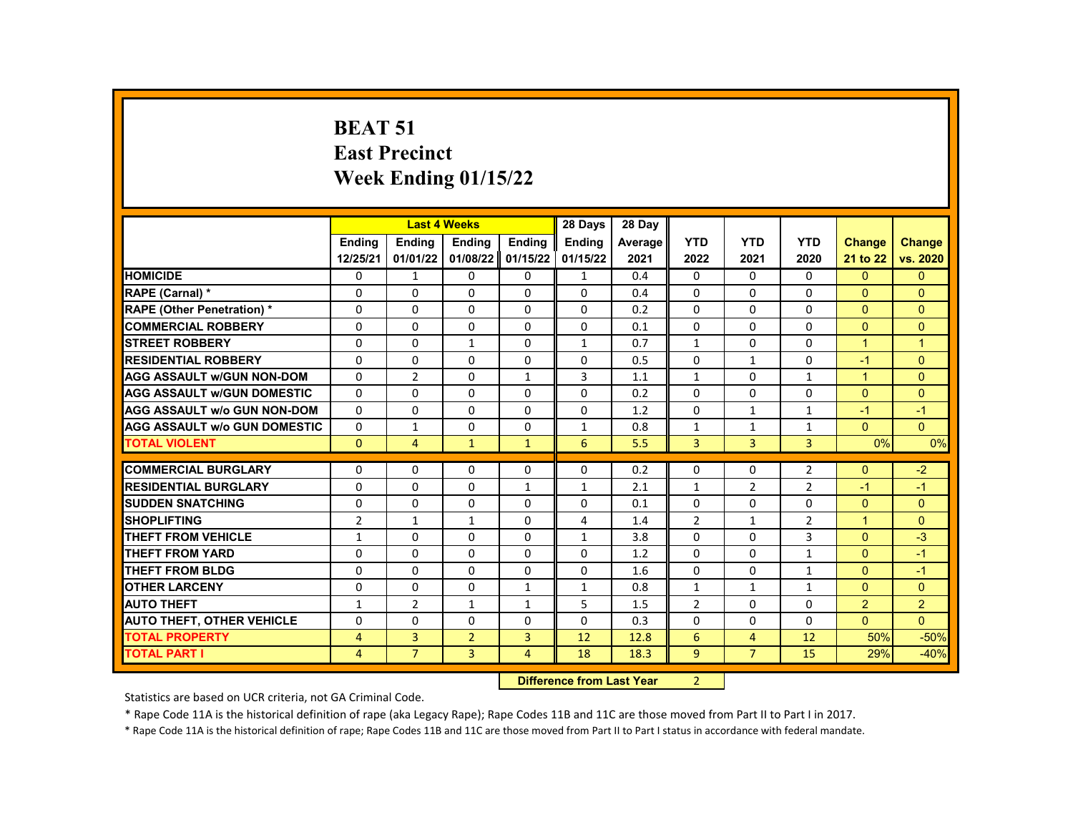#### **BEAT 51 East Precinct Week Ending 01/15/22**

|                                     |                | <b>Last 4 Weeks</b> |                |                | 28 Days                   | 28 Day  |                |                |              |                      |                |
|-------------------------------------|----------------|---------------------|----------------|----------------|---------------------------|---------|----------------|----------------|--------------|----------------------|----------------|
|                                     | <b>Endina</b>  | Ending              | <b>Ending</b>  | Ending         | <b>Ending</b>             | Average | <b>YTD</b>     | <b>YTD</b>     | <b>YTD</b>   | <b>Change</b>        | <b>Change</b>  |
|                                     | 12/25/21       | 01/01/22            | 01/08/22       | 01/15/22       | 01/15/22                  | 2021    | 2022           | 2021           | 2020         | 21 to 22             | vs. 2020       |
| <b>HOMICIDE</b>                     | 0              | $\mathbf{1}$        | 0              | 0              | $\mathbf{1}$              | 0.4     | $\mathbf{0}$   | 0              | $\mathbf{0}$ | $\Omega$             | $\mathbf{0}$   |
| RAPE (Carnal) *                     | $\Omega$       | $\mathbf{0}$        | $\Omega$       | $\Omega$       | $\Omega$                  | 0.4     | $\Omega$       | $\Omega$       | $\Omega$     | $\Omega$             | $\Omega$       |
| RAPE (Other Penetration) *          | $\Omega$       | $\Omega$            | $\Omega$       | $\Omega$       | $\Omega$                  | 0.2     | $\Omega$       | $\Omega$       | $\Omega$     | $\Omega$             | $\Omega$       |
| <b>COMMERCIAL ROBBERY</b>           | $\Omega$       | $\Omega$            | $\Omega$       | $\Omega$       | $\Omega$                  | 0.1     | $\Omega$       | $\Omega$       | $\Omega$     | $\Omega$             | $\Omega$       |
| <b>STREET ROBBERY</b>               | 0              | $\Omega$            | $\mathbf{1}$   | $\Omega$       | $\mathbf{1}$              | 0.7     | $\mathbf{1}$   | $\Omega$       | $\Omega$     | $\blacktriangleleft$ | $\overline{1}$ |
| <b>RESIDENTIAL ROBBERY</b>          | $\Omega$       | $\Omega$            | $\Omega$       | $\Omega$       | $\Omega$                  | 0.5     | $\Omega$       | $\mathbf{1}$   | $\Omega$     | $-1$                 | $\Omega$       |
| <b>AGG ASSAULT w/GUN NON-DOM</b>    | $\Omega$       | $\overline{2}$      | $\Omega$       | $\mathbf{1}$   | 3                         | 1.1     | $\mathbf{1}$   | $\Omega$       | $\mathbf{1}$ | $\overline{1}$       | $\Omega$       |
| <b>AGG ASSAULT W/GUN DOMESTIC</b>   | $\Omega$       | $\Omega$            | $\Omega$       | $\Omega$       | $\Omega$                  | 0.2     | $\Omega$       | $\Omega$       | $\Omega$     | $\Omega$             | $\Omega$       |
| <b>AGG ASSAULT w/o GUN NON-DOM</b>  | $\Omega$       | $\Omega$            | $\Omega$       | $\Omega$       | $\Omega$                  | 1.2     | $\Omega$       | $\mathbf{1}$   | $\mathbf{1}$ | $-1$                 | $-1$           |
| <b>AGG ASSAULT w/o GUN DOMESTIC</b> | $\Omega$       | $\mathbf{1}$        | $\Omega$       | $\Omega$       | $\mathbf{1}$              | 0.8     | $\mathbf 1$    | $\mathbf{1}$   | $\mathbf{1}$ | $\Omega$             | $\overline{0}$ |
| <b>TOTAL VIOLENT</b>                | $\mathbf{0}$   | $\overline{4}$      | $\mathbf{1}$   | $\mathbf{1}$   | 6                         | 5.5     | 3              | 3              | 3            | 0%                   | 0%             |
|                                     |                |                     |                |                |                           |         |                |                |              |                      |                |
| <b>COMMERCIAL BURGLARY</b>          | 0              | 0                   | 0              | $\Omega$       | $\Omega$                  | 0.2     | $\Omega$       | 0              | 2            | $\Omega$             | $-2$           |
| <b>RESIDENTIAL BURGLARY</b>         | $\Omega$       | $\Omega$            | $\Omega$       | $\mathbf{1}$   | $\mathbf{1}$              | 2.1     | $\mathbf{1}$   | $\overline{2}$ | 2            | $-1$                 | $-1$           |
| <b>SUDDEN SNATCHING</b>             | 0              | $\Omega$            | $\Omega$       | $\Omega$       | $\Omega$                  | 0.1     | $\Omega$       | $\Omega$       | $\Omega$     | $\Omega$             | $\Omega$       |
| <b>SHOPLIFTING</b>                  | $\overline{2}$ | $\mathbf{1}$        | $\mathbf{1}$   | $\Omega$       | 4                         | 1.4     | $\overline{2}$ | $\mathbf{1}$   | 2            | $\blacktriangleleft$ | $\Omega$       |
| <b>THEFT FROM VEHICLE</b>           | $\mathbf{1}$   | $\Omega$            | $\Omega$       | $\Omega$       | $\mathbf{1}$              | 3.8     | $\Omega$       | $\Omega$       | 3            | $\Omega$             | $-3$           |
| <b>THEFT FROM YARD</b>              | $\Omega$       | $\Omega$            | $\Omega$       | $\Omega$       | $\Omega$                  | 1.2     | $\Omega$       | $\Omega$       | $\mathbf{1}$ | $\Omega$             | $-1$           |
| <b>THEFT FROM BLDG</b>              | 0              | 0                   | 0              | $\Omega$       | 0                         | 1.6     | $\Omega$       | 0              | $\mathbf{1}$ | $\Omega$             | $-1$           |
| <b>OTHER LARCENY</b>                | $\Omega$       | $\Omega$            | $\Omega$       | $\mathbf{1}$   | $\mathbf{1}$              | 0.8     | $\mathbf{1}$   | $\mathbf{1}$   | $\mathbf{1}$ | $\Omega$             | $\overline{0}$ |
| <b>AUTO THEFT</b>                   | $\mathbf{1}$   | $\overline{2}$      | $\mathbf{1}$   | $\mathbf{1}$   | 5                         | 1.5     | $\overline{2}$ | $\Omega$       | $\Omega$     | $\overline{2}$       | $\overline{2}$ |
| <b>AUTO THEFT, OTHER VEHICLE</b>    | 0              | 0                   | 0              | $\Omega$       | $\Omega$                  | 0.3     | $\Omega$       | 0              | $\Omega$     | $\mathbf{0}$         | $\Omega$       |
| <b>TOTAL PROPERTY</b>               | $\overline{4}$ | 3                   | $\overline{2}$ | 3              | 12                        | 12.8    | 6              | $\overline{4}$ | 12           | 50%                  | $-50%$         |
| <b>TOTAL PART I</b>                 | $\overline{4}$ | $\overline{7}$      | 3              | $\overline{4}$ | 18                        | 18.3    | $\overline{9}$ | $\overline{7}$ | 15           | 29%                  | $-40%$         |
|                                     |                |                     |                |                | Difference from Load Vaca |         | $\sim$         |                |              |                      |                |

**Difference from Last Year** 2

Statistics are based on UCR criteria, not GA Criminal Code.

\* Rape Code 11A is the historical definition of rape (aka Legacy Rape); Rape Codes 11B and 11C are those moved from Part II to Part I in 2017.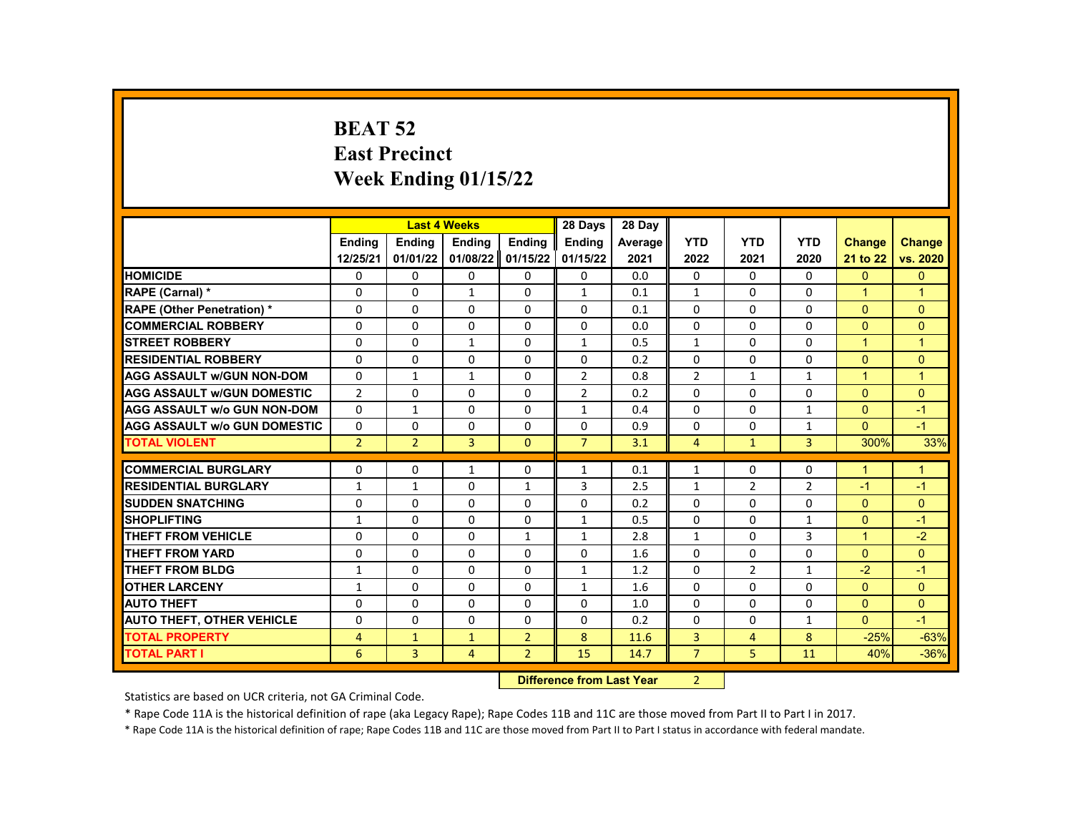# **BEAT 52 East Precinct Week Ending 01/15/22**

|                                     |                |                | <b>Last 4 Weeks</b> |                | 28 Days                | 28 Day  |                |                |                |                      |                |
|-------------------------------------|----------------|----------------|---------------------|----------------|------------------------|---------|----------------|----------------|----------------|----------------------|----------------|
|                                     | Ending         | Ending         | Ending              | Ending         | <b>Endina</b>          | Average | <b>YTD</b>     | <b>YTD</b>     | <b>YTD</b>     | <b>Change</b>        | <b>Change</b>  |
|                                     | 12/25/21       | 01/01/22       | 01/08/22            | 01/15/22       | 01/15/22               | 2021    | 2022           | 2021           | 2020           | 21 to 22             | vs. 2020       |
| <b>HOMICIDE</b>                     | 0              | $\mathbf{0}$   | $\mathbf{0}$        | 0              | $\mathbf{0}$           | 0.0     | 0              | $\mathbf{0}$   | $\mathbf{0}$   | $\mathbf{0}$         | $\Omega$       |
| RAPE (Carnal) *                     | $\Omega$       | $\Omega$       | $\mathbf{1}$        | $\Omega$       | $\mathbf{1}$           | 0.1     | $\mathbf{1}$   | $\Omega$       | $\Omega$       | $\blacktriangleleft$ | $\overline{1}$ |
| <b>RAPE (Other Penetration) *</b>   | $\Omega$       | $\Omega$       | $\Omega$            | $\Omega$       | $\Omega$               | 0.1     | $\Omega$       | $\Omega$       | $\Omega$       | $\Omega$             | $\Omega$       |
| <b>COMMERCIAL ROBBERY</b>           | 0              | $\mathbf{0}$   | $\mathbf{0}$        | 0              | $\mathbf{0}$           | 0.0     | $\Omega$       | 0              | $\Omega$       | $\Omega$             | $\Omega$       |
| <b>STREET ROBBERY</b>               | $\Omega$       | $\Omega$       | $\mathbf{1}$        | $\Omega$       | $\mathbf{1}$           | 0.5     | $\mathbf{1}$   | $\Omega$       | $\Omega$       | $\overline{1}$       | $\overline{1}$ |
| <b>RESIDENTIAL ROBBERY</b>          | $\Omega$       | $\Omega$       | $\Omega$            | $\Omega$       | 0                      | 0.2     | $\Omega$       | $\Omega$       | $\Omega$       | $\Omega$             | $\Omega$       |
| <b>AGG ASSAULT w/GUN NON-DOM</b>    | $\Omega$       | $\mathbf{1}$   | $\mathbf{1}$        | 0              | $\overline{2}$         | 0.8     | $\overline{2}$ | $\mathbf{1}$   | $\mathbf{1}$   | $\blacktriangleleft$ | $\overline{1}$ |
| <b>AGG ASSAULT W/GUN DOMESTIC</b>   | $\overline{2}$ | $\Omega$       | $\Omega$            | $\Omega$       | $\overline{2}$         | 0.2     | 0              | $\Omega$       | $\Omega$       | $\Omega$             | $\Omega$       |
| <b>AGG ASSAULT W/o GUN NON-DOM</b>  | $\Omega$       | $\mathbf{1}$   | $\Omega$            | $\Omega$       | $\mathbf{1}$           | 0.4     | $\Omega$       | $\Omega$       | $\mathbf{1}$   | $\Omega$             | $-1$           |
| <b>AGG ASSAULT W/o GUN DOMESTIC</b> | $\Omega$       | 0              | 0                   | 0              | 0                      | 0.9     | 0              | 0              | $\mathbf{1}$   | $\Omega$             | $-1$           |
| <b>TOTAL VIOLENT</b>                | $\overline{2}$ | $\overline{2}$ | 3                   | $\Omega$       | $\overline{7}$         | 3.1     | $\overline{4}$ | $\mathbf{1}$   | $\overline{3}$ | 300%                 | 33%            |
|                                     |                |                |                     |                |                        |         |                |                |                |                      |                |
| <b>COMMERCIAL BURGLARY</b>          | 0              | 0              | 1                   | 0              | $\mathbf{1}$           | 0.1     | $\mathbf{1}$   | 0              | $\Omega$       | $\mathbf 1$          | $\mathbf 1$    |
| <b>RESIDENTIAL BURGLARY</b>         | $\mathbf{1}$   | $\mathbf{1}$   | $\Omega$            | $\mathbf{1}$   | 3                      | 2.5     | $\mathbf{1}$   | $\overline{2}$ | $\overline{2}$ | $-1$                 | $-1$           |
| <b>SUDDEN SNATCHING</b>             | $\Omega$       | $\Omega$       | $\Omega$            | $\Omega$       | $\Omega$               | 0.2     | $\Omega$       | $\Omega$       | $\Omega$       | $\Omega$             | $\Omega$       |
| <b>SHOPLIFTING</b>                  | $\mathbf{1}$   | $\mathbf{0}$   | 0                   | 0              | $\mathbf{1}$           | 0.5     | 0              | 0              | $\mathbf{1}$   | $\Omega$             | $-1$           |
| <b>THEFT FROM VEHICLE</b>           | $\Omega$       | $\Omega$       | $\Omega$            | $\mathbf{1}$   | $\mathbf{1}$           | 2.8     | $\mathbf{1}$   | $\Omega$       | 3              | $\overline{1}$       | $-2$           |
| <b>THEFT FROM YARD</b>              | $\Omega$       | $\Omega$       | $\Omega$            | $\Omega$       | $\Omega$               | 1.6     | $\Omega$       | $\Omega$       | $\Omega$       | $\Omega$             | $\Omega$       |
| <b>THEFT FROM BLDG</b>              | 1              | $\mathbf{0}$   | 0                   | 0              | $\mathbf{1}$           | 1.2     | 0              | $\overline{2}$ | $\mathbf{1}$   | $-2$                 | $-1$           |
| <b>OTHER LARCENY</b>                | $\mathbf{1}$   | $\Omega$       | $\Omega$            | $\Omega$       | $\mathbf{1}$           | 1.6     | $\Omega$       | $\Omega$       | $\Omega$       | $\Omega$             | $\Omega$       |
| <b>AUTO THEFT</b>                   | 0              | $\Omega$       | $\Omega$            | $\Omega$       | 0                      | 1.0     | $\Omega$       | $\Omega$       | $\Omega$       | $\Omega$             | $\Omega$       |
| <b>AUTO THEFT, OTHER VEHICLE</b>    | 0              | $\Omega$       | 0                   | 0              | 0                      | 0.2     | 0              | 0              | $\mathbf{1}$   | $\mathbf{0}$         | $-1$           |
| <b>TOTAL PROPERTY</b>               | $\overline{4}$ | $\mathbf{1}$   | 1                   | $\overline{2}$ | 8                      | 11.6    | 3              | 4              | 8              | $-25%$               | $-63%$         |
| <b>TOTAL PART I</b>                 | 6              | 3              | 4                   | $\overline{2}$ | 15                     | 14.7    | $\overline{7}$ | 5              | 11             | 40%                  | $-36%$         |
|                                     |                |                |                     | <b>INSTERN</b> | ومركلا كموار مصممتك وم |         | $\sim$         |                |                |                      |                |

**Difference from Last Year** 2 |

Statistics are based on UCR criteria, not GA Criminal Code.

\* Rape Code 11A is the historical definition of rape (aka Legacy Rape); Rape Codes 11B and 11C are those moved from Part II to Part I in 2017.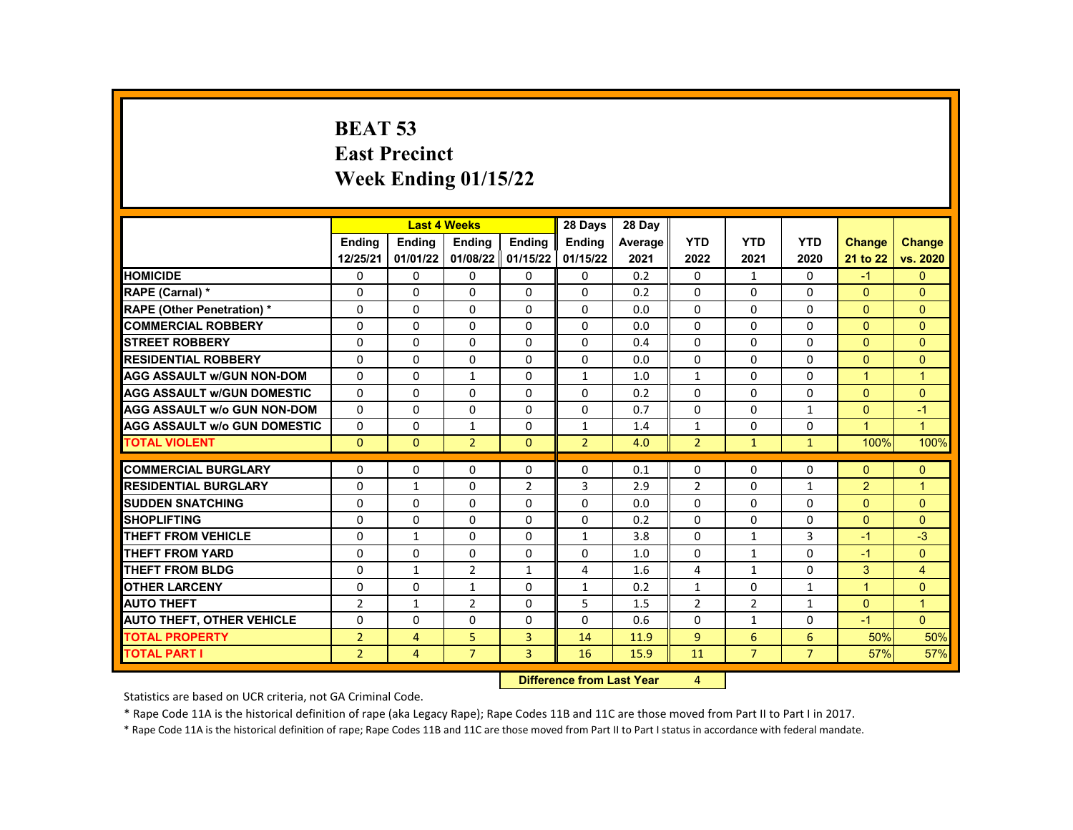# **BEAT 53 East Precinct Week Ending 01/15/22**

|                                     |                | <b>Last 4 Weeks</b>       |                |                | 28 Days        | 28 Dav  |                |                |                |                      |                      |
|-------------------------------------|----------------|---------------------------|----------------|----------------|----------------|---------|----------------|----------------|----------------|----------------------|----------------------|
|                                     | <b>Endina</b>  | Ending                    | Ending         | Ending         | <b>Ending</b>  | Average | <b>YTD</b>     | <b>YTD</b>     | <b>YTD</b>     | <b>Change</b>        | <b>Change</b>        |
|                                     | 12/25/21       | 01/01/22                  | 01/08/22       | 01/15/22       | 01/15/22       | 2021    | 2022           | 2021           | 2020           | 21 to 22             | vs. 2020             |
| <b>HOMICIDE</b>                     | 0              | 0                         | 0              | 0              | 0              | 0.2     | $\mathbf{0}$   | $\mathbf{1}$   | $\mathbf{0}$   | $-1$                 | $\mathbf{0}$         |
| RAPE (Carnal) *                     | 0              | $\Omega$                  | $\Omega$       | $\Omega$       | 0              | 0.2     | $\Omega$       | $\Omega$       | $\Omega$       | $\Omega$             | $\Omega$             |
| <b>RAPE (Other Penetration) *</b>   | 0              | $\Omega$                  | $\Omega$       | $\Omega$       | 0              | 0.0     | $\Omega$       | $\Omega$       | $\Omega$       | $\Omega$             | $\Omega$             |
| <b>COMMERCIAL ROBBERY</b>           | 0              | 0                         | 0              | $\mathbf{0}$   | 0              | 0.0     | $\mathbf{0}$   | $\mathbf{0}$   | $\mathbf{0}$   | $\mathbf{0}$         | $\overline{0}$       |
| <b>STREET ROBBERY</b>               | $\Omega$       | $\Omega$                  | $\Omega$       | $\Omega$       | 0              | 0.4     | $\Omega$       | $\Omega$       | $\Omega$       | $\Omega$             | $\Omega$             |
| <b>RESIDENTIAL ROBBERY</b>          | 0              | $\Omega$                  | $\Omega$       | $\Omega$       | 0              | 0.0     | $\Omega$       | $\Omega$       | $\Omega$       | $\Omega$             | $\Omega$             |
| <b>AGG ASSAULT w/GUN NON-DOM</b>    | $\mathbf{0}$   | $\Omega$                  | $\mathbf{1}$   | $\mathbf{0}$   | $\mathbf{1}$   | 1.0     | 1              | $\mathbf{0}$   | $\mathbf{0}$   | $\blacktriangleleft$ | $\overline{1}$       |
| <b>AGG ASSAULT W/GUN DOMESTIC</b>   | $\Omega$       | $\Omega$                  | $\Omega$       | $\Omega$       | $\Omega$       | 0.2     | $\Omega$       | $\Omega$       | $\Omega$       | $\Omega$             | $\Omega$             |
| <b>AGG ASSAULT w/o GUN NON-DOM</b>  | 0              | $\mathbf{0}$              | $\Omega$       | $\Omega$       | 0              | 0.7     | $\Omega$       | $\Omega$       | $\mathbf{1}$   | $\Omega$             | $-1$                 |
| <b>AGG ASSAULT W/o GUN DOMESTIC</b> | $\mathbf{0}$   | 0                         | $\mathbf{1}$   | $\mathbf{0}$   | $\mathbf{1}$   | 1.4     | 1              | $\mathbf{0}$   | $\mathbf{0}$   | $\mathbf{1}$         | $\blacktriangleleft$ |
| <b>TOTAL VIOLENT</b>                | $\mathbf{0}$   | $\Omega$                  | $\overline{2}$ | $\Omega$       | $\overline{2}$ | 4.0     | $\overline{2}$ | $\mathbf{1}$   | $\mathbf{1}$   | 100%                 | 100%                 |
|                                     |                |                           |                |                |                |         |                |                |                |                      |                      |
| <b>COMMERCIAL BURGLARY</b>          | 0              | 0                         | 0              | $\mathbf{0}$   | 0              | 0.1     | $\mathbf{0}$   | $\mathbf{0}$   | $\mathbf{0}$   | $\mathbf{0}$         | $\mathbf{0}$         |
| <b>RESIDENTIAL BURGLARY</b>         | 0              | $\mathbf{1}$              | $\Omega$       | $\overline{2}$ | 3              | 2.9     | $\overline{2}$ | $\Omega$       | $\mathbf{1}$   | 2                    | $\overline{1}$       |
| <b>SUDDEN SNATCHING</b>             | 0              | $\Omega$                  | $\Omega$       | $\mathbf{0}$   | 0              | 0.0     | $\Omega$       | $\Omega$       | $\Omega$       | $\Omega$             | $\mathbf{0}$         |
| <b>SHOPLIFTING</b>                  | 0              | 0                         | 0              | $\mathbf{0}$   | 0              | 0.2     | $\Omega$       | $\Omega$       | $\Omega$       | $\Omega$             | $\Omega$             |
| <b>THEFT FROM VEHICLE</b>           | 0              | $\mathbf{1}$              | $\Omega$       | $\mathbf{0}$   | $\mathbf{1}$   | 3.8     | $\mathbf{0}$   | $\mathbf{1}$   | 3              | $-1$                 | $-3$                 |
| <b>THEFT FROM YARD</b>              | 0              | $\Omega$                  | $\Omega$       | $\mathbf{0}$   | 0              | 1.0     | $\Omega$       | $\mathbf{1}$   | $\Omega$       | $-1$                 | $\mathbf{0}$         |
| THEFT FROM BLDG                     | 0              | $\mathbf{1}$              | $\overline{2}$ | $\mathbf{1}$   | 4              | 1.6     | 4              | $\mathbf{1}$   | $\Omega$       | 3                    | $\overline{4}$       |
| <b>OTHER LARCENY</b>                | $\mathbf 0$    | $\Omega$                  | $\mathbf{1}$   | $\mathbf{0}$   | $\mathbf{1}$   | 0.2     | $\mathbf{1}$   | $\mathbf{0}$   | $\mathbf{1}$   | $\overline{1}$       | $\overline{0}$       |
| <b>AUTO THEFT</b>                   | $\overline{2}$ | $\mathbf{1}$              | $\overline{2}$ | 0              | 5              | 1.5     | $\overline{2}$ | $\overline{2}$ | $\mathbf{1}$   | $\Omega$             | $\overline{1}$       |
| <b>AUTO THEFT, OTHER VEHICLE</b>    | 0              | $\Omega$                  | $\Omega$       | $\Omega$       | 0              | 0.6     | $\Omega$       | $\mathbf{1}$   | $\Omega$       | $-1$                 | $\Omega$             |
| <b>TOTAL PROPERTY</b>               | $\overline{2}$ | $\overline{4}$            | 5              | 3              | 14             | 11.9    | $\overline{9}$ | 6              | 6              | 50%                  | 50%                  |
| <b>TOTAL PART I</b>                 | $\overline{2}$ | $\overline{4}$            | $\overline{7}$ | 3              | 16             | 15.9    | 11             | $\overline{7}$ | $\overline{7}$ | 57%                  | 57%                  |
|                                     |                | Difference from Loot Voor |                | $\mathbf{A}$   |                |         |                |                |                |                      |                      |

**Difference from Last Year** 

Statistics are based on UCR criteria, not GA Criminal Code.

\* Rape Code 11A is the historical definition of rape (aka Legacy Rape); Rape Codes 11B and 11C are those moved from Part II to Part I in 2017.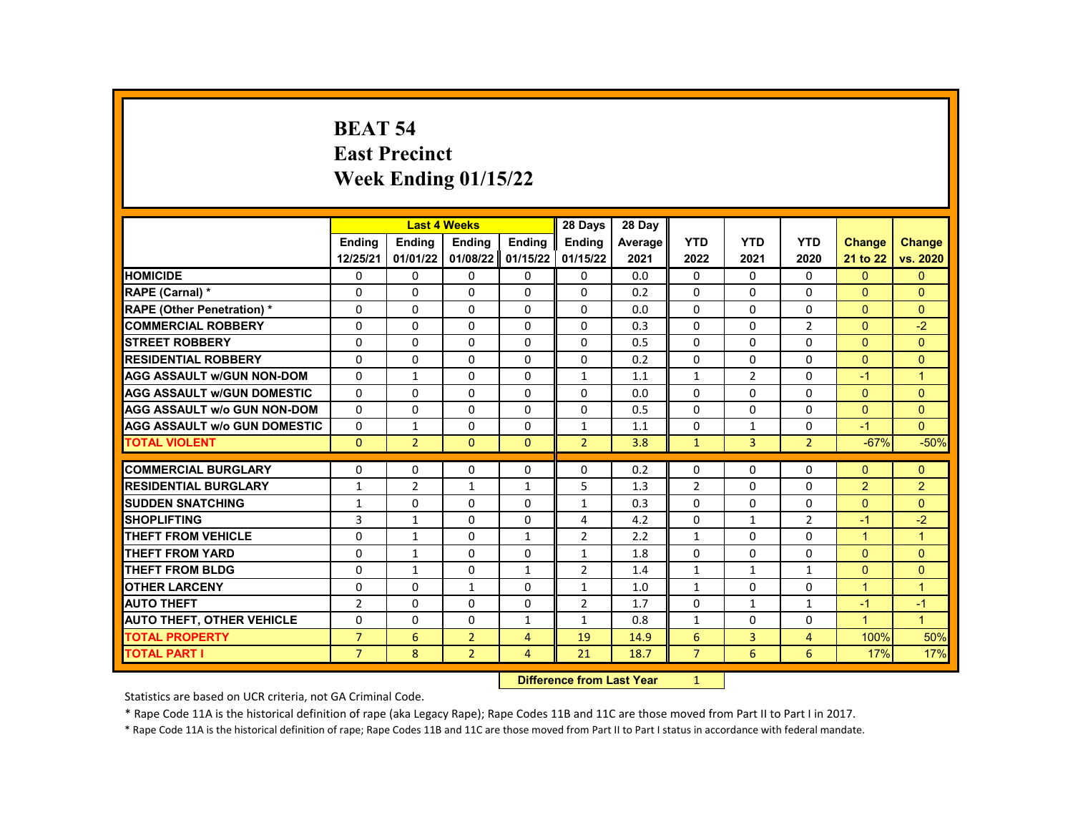# **BEAT 54 East Precinct Week Ending 01/15/22**

|                                     |                |                | <b>Last 4 Weeks</b> |                | 28 Days             | 28 Day  |                |              |                |                      |                      |
|-------------------------------------|----------------|----------------|---------------------|----------------|---------------------|---------|----------------|--------------|----------------|----------------------|----------------------|
|                                     | <b>Endina</b>  | Ending         | Ending              | Ending         | Ending              | Average | <b>YTD</b>     | <b>YTD</b>   | <b>YTD</b>     | <b>Change</b>        | <b>Change</b>        |
|                                     | 12/25/21       | 01/01/22       | 01/08/22            | 01/15/22       | 01/15/22            | 2021    | 2022           | 2021         | 2020           | 21 to 22             | vs. 2020             |
| <b>HOMICIDE</b>                     | 0              | $\mathbf{0}$   | 0                   | 0              | 0                   | 0.0     | $\mathbf{0}$   | 0            | $\mathbf{0}$   | $\mathbf{0}$         | $\mathbf{0}$         |
| RAPE (Carnal) *                     | $\Omega$       | $\Omega$       | $\Omega$            | $\Omega$       | $\Omega$            | 0.2     | $\Omega$       | $\Omega$     | $\Omega$       | $\Omega$             | $\Omega$             |
| RAPE (Other Penetration) *          | $\Omega$       | $\Omega$       | $\Omega$            | $\Omega$       | $\Omega$            | 0.0     | $\Omega$       | $\Omega$     | $\Omega$       | $\Omega$             | $\Omega$             |
| <b>COMMERCIAL ROBBERY</b>           | 0              | 0              | 0                   | $\Omega$       | 0                   | 0.3     | $\mathbf{0}$   | 0            | 2              | $\Omega$             | $-2$                 |
| <b>STREET ROBBERY</b>               | $\Omega$       | $\Omega$       | $\Omega$            | $\Omega$       | $\Omega$            | 0.5     | $\Omega$       | $\Omega$     | $\Omega$       | $\Omega$             | $\Omega$             |
| <b>RESIDENTIAL ROBBERY</b>          | $\Omega$       | $\Omega$       | $\Omega$            | $\Omega$       | $\Omega$            | 0.2     | $\Omega$       | $\Omega$     | $\Omega$       | $\Omega$             | $\Omega$             |
| <b>AGG ASSAULT w/GUN NON-DOM</b>    | 0              | $\mathbf{1}$   | 0                   | 0              | $\mathbf{1}$        | 1.1     | $\mathbf{1}$   | 2            | 0              | $-1$                 | $\mathbf{1}$         |
| <b>AGG ASSAULT w/GUN DOMESTIC</b>   | $\Omega$       | $\Omega$       | $\Omega$            | $\Omega$       | $\Omega$            | 0.0     | $\Omega$       | $\Omega$     | $\Omega$       | $\Omega$             | $\Omega$             |
| <b>AGG ASSAULT w/o GUN NON-DOM</b>  | $\Omega$       | $\Omega$       | $\Omega$            | $\Omega$       | $\Omega$            | 0.5     | $\Omega$       | $\Omega$     | $\Omega$       | $\Omega$             | $\Omega$             |
| <b>AGG ASSAULT w/o GUN DOMESTIC</b> | $\Omega$       | $\mathbf{1}$   | $\Omega$            | 0              | $\mathbf{1}$        | 1.1     | 0              | $\mathbf{1}$ | 0              | $-1$                 | $\Omega$             |
| <b>TOTAL VIOLENT</b>                | $\mathbf{0}$   | $\overline{2}$ | $\mathbf{0}$        | $\mathbf{0}$   | $\overline{2}$      | 3.8     | $\mathbf{1}$   | 3            | $\overline{2}$ | $-67%$               | $-50%$               |
|                                     |                |                |                     |                |                     |         |                |              |                |                      |                      |
| <b>COMMERCIAL BURGLARY</b>          | 0              | 0              | 0                   | $\Omega$       | 0                   | 0.2     | $\Omega$       | 0            | $\Omega$       | $\Omega$             | $\Omega$             |
| <b>RESIDENTIAL BURGLARY</b>         | $\mathbf{1}$   | $\overline{2}$ | $\mathbf{1}$        | $\mathbf{1}$   | 5                   | 1.3     | $\overline{2}$ | $\Omega$     | $\Omega$       | 2                    | $\overline{2}$       |
| <b>SUDDEN SNATCHING</b>             | $\mathbf{1}$   | $\Omega$       | $\Omega$            | $\Omega$       | $\mathbf{1}$        | 0.3     | $\Omega$       | $\Omega$     | $\Omega$       | $\Omega$             | $\Omega$             |
| <b>SHOPLIFTING</b>                  | 3              | $\mathbf{1}$   | 0                   | $\Omega$       | 4                   | 4.2     | $\mathbf{0}$   | $\mathbf{1}$ | $\overline{2}$ | $-1$                 | $-2$                 |
| <b>THEFT FROM VEHICLE</b>           | $\Omega$       | $\mathbf{1}$   | $\Omega$            | 1              | $\overline{2}$      | 2.2     | $\mathbf{1}$   | $\Omega$     | $\Omega$       | $\overline{1}$       | $\mathbf{1}$         |
| <b>THEFT FROM YARD</b>              | $\Omega$       | $\mathbf{1}$   | $\Omega$            | $\Omega$       | $\mathbf{1}$        | 1.8     | $\Omega$       | $\Omega$     | $\Omega$       | $\Omega$             | $\Omega$             |
| <b>THEFT FROM BLDG</b>              | 0              | $\mathbf{1}$   | 0                   | $\mathbf{1}$   | $\overline{2}$      | 1.4     | $\mathbf{1}$   | $\mathbf{1}$ | $\mathbf{1}$   | $\Omega$             | $\Omega$             |
| <b>OTHER LARCENY</b>                | $\Omega$       | $\Omega$       | $\mathbf{1}$        | $\Omega$       | $\mathbf{1}$        | 1.0     | $\mathbf{1}$   | $\Omega$     | $\Omega$       | $\overline{1}$       | $\overline{1}$       |
| <b>AUTO THEFT</b>                   | $\overline{2}$ | $\Omega$       | $\Omega$            | $\Omega$       | $\overline{2}$      | 1.7     | $\Omega$       | $\mathbf{1}$ | $\mathbf{1}$   | $-1$                 | $-1$                 |
| <b>AUTO THEFT, OTHER VEHICLE</b>    | 0              | 0              | 0                   | 1              | $\mathbf{1}$        | 0.8     | $\mathbf{1}$   | 0            | 0              | $\blacktriangleleft$ | $\blacktriangleleft$ |
| <b>TOTAL PROPERTY</b>               | $\overline{7}$ | 6              | $\overline{2}$      | $\overline{4}$ | 19                  | 14.9    | 6              | 3            | 4              | 100%                 | 50%                  |
| <b>TOTAL PART I</b>                 | $\overline{7}$ | 8              | $\overline{2}$      | $\overline{4}$ | 21                  | 18.7    | $\overline{7}$ | 6            | 6              | 17%                  | 17%                  |
|                                     |                |                |                     | <b>INSECUL</b> | an dan an India Man |         | $\overline{A}$ |              |                |                      |                      |

**Difference from Last Year** 1

Statistics are based on UCR criteria, not GA Criminal Code.

\* Rape Code 11A is the historical definition of rape (aka Legacy Rape); Rape Codes 11B and 11C are those moved from Part II to Part I in 2017.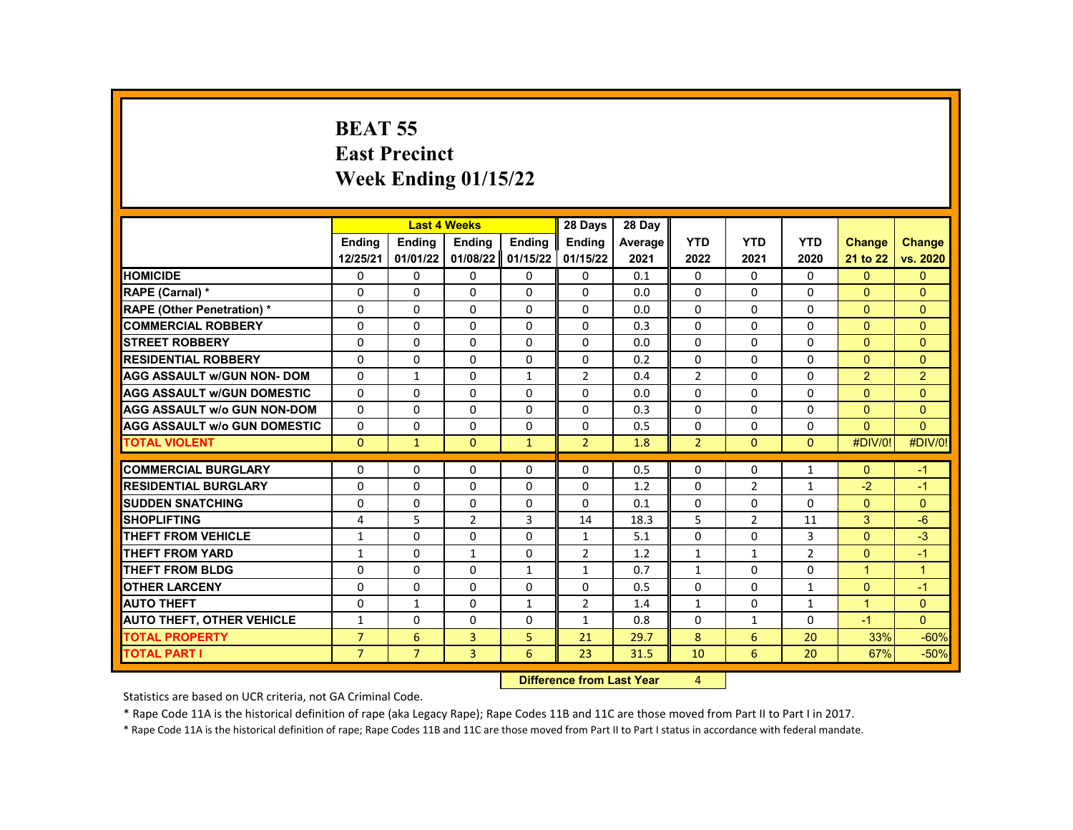# **BEAT 55 East Precinct Week Ending 01/15/22**

|                                     |                | <b>Last 4 Weeks</b> |                |                   | 28 Days        | 28 Day  |                |                |                |                      |                      |
|-------------------------------------|----------------|---------------------|----------------|-------------------|----------------|---------|----------------|----------------|----------------|----------------------|----------------------|
|                                     | <b>Endina</b>  | <b>Endina</b>       | <b>Endina</b>  | <b>Endina</b>     | <b>Endina</b>  | Average | <b>YTD</b>     | <b>YTD</b>     | <b>YTD</b>     | <b>Change</b>        | <b>Change</b>        |
|                                     | 12/25/21       | 01/01/22            | 01/08/22       | 01/15/22          | 01/15/22       | 2021    | 2022           | 2021           | 2020           | 21 to 22             | vs. 2020             |
| <b>HOMICIDE</b>                     | 0              | $\Omega$            | $\Omega$       | $\Omega$          | $\mathbf{0}$   | 0.1     | $\Omega$       | $\Omega$       | $\Omega$       | $\Omega$             | $\overline{0}$       |
| RAPE (Carnal) *                     | 0              | $\Omega$            | $\Omega$       | $\Omega$          | $\Omega$       | 0.0     | $\Omega$       | $\Omega$       | $\Omega$       | $\Omega$             | $\Omega$             |
| <b>RAPE (Other Penetration) *</b>   | 0              | 0                   | 0              | $\Omega$          | $\Omega$       | 0.0     | $\Omega$       | $\Omega$       | $\Omega$       | $\mathbf{0}$         | $\mathbf{0}$         |
| <b>COMMERCIAL ROBBERY</b>           | 0              | $\mathbf{0}$        | $\Omega$       | $\Omega$          | 0              | 0.3     | 0              | 0              | $\Omega$       | $\Omega$             | $\Omega$             |
| <b>STREET ROBBERY</b>               | 0              | 0                   | $\Omega$       | $\Omega$          | $\Omega$       | 0.0     | 0              | 0              | 0              | $\Omega$             | $\Omega$             |
| <b>RESIDENTIAL ROBBERY</b>          | $\Omega$       | $\Omega$            | $\Omega$       | $\Omega$          | $\Omega$       | 0.2     | $\Omega$       | $\Omega$       | $\Omega$       | $\Omega$             | $\mathbf{0}$         |
| <b>AGG ASSAULT w/GUN NON- DOM</b>   | $\Omega$       | $\mathbf{1}$        | $\Omega$       | $\mathbf{1}$      | $\overline{2}$ | 0.4     | $\overline{2}$ | $\Omega$       | $\Omega$       | $\overline{2}$       | $\overline{2}$       |
| <b>AGG ASSAULT W/GUN DOMESTIC</b>   | 0              | 0                   | 0              | $\Omega$          | $\Omega$       | 0.0     | $\Omega$       | 0              | $\Omega$       | $\Omega$             | $\Omega$             |
| <b>AGG ASSAULT W/o GUN NON-DOM</b>  | 0              | 0                   | 0              | $\Omega$          | $\Omega$       | 0.3     | $\Omega$       | $\Omega$       | $\Omega$       | $\Omega$             | $\Omega$             |
| <b>AGG ASSAULT W/o GUN DOMESTIC</b> | $\Omega$       | 0                   | 0              | $\Omega$          | $\Omega$       | 0.5     | $\Omega$       | $\Omega$       | $\Omega$       | $\Omega$             | $\Omega$             |
| <b>TOTAL VIOLENT</b>                | $\mathbf{0}$   | $\mathbf{1}$        | $\overline{0}$ | $\mathbf{1}$      | $\overline{2}$ | 1.8     | $\overline{2}$ | $\mathbf{0}$   | $\mathbf{0}$   | #DIV/0!              | #DIV/0!              |
|                                     |                |                     |                |                   |                |         |                |                |                |                      |                      |
| <b>COMMERCIAL BURGLARY</b>          | 0              | 0                   | 0              | $\Omega$          | $\Omega$       | 0.5     | $\Omega$       | 0              | $\mathbf{1}$   | $\Omega$             | $-1$                 |
| <b>RESIDENTIAL BURGLARY</b>         | 0              | 0                   | $\Omega$       | $\Omega$          | 0              | 1.2     | $\mathbf{0}$   | $\overline{2}$ | $\mathbf{1}$   | $-2$                 | $-1$                 |
| <b>SUDDEN SNATCHING</b>             | 0              | 0                   | 0              | $\Omega$          | $\Omega$       | 0.1     | $\Omega$       | $\Omega$       | $\Omega$       | $\Omega$             | $\Omega$             |
| <b>SHOPLIFTING</b>                  | 4              | 5                   | $\overline{2}$ | 3                 | 14             | 18.3    | 5              | $\overline{2}$ | 11             | 3                    | $-6$                 |
| <b>THEFT FROM VEHICLE</b>           | $\mathbf{1}$   | $\Omega$            | $\Omega$       | $\Omega$          | $\mathbf{1}$   | 5.1     | $\Omega$       | $\Omega$       | 3              | $\Omega$             | $-3$                 |
| <b>THEFT FROM YARD</b>              | 1              | 0                   | $\mathbf{1}$   | $\Omega$          | $\overline{2}$ | 1.2     | $\mathbf{1}$   | $\mathbf{1}$   | $\overline{2}$ | $\mathbf{0}$         | $-1$                 |
| THEFT FROM BLDG                     | $\Omega$       | $\Omega$            | $\Omega$       | $\mathbf{1}$      | $\mathbf{1}$   | 0.7     | $\mathbf{1}$   | $\Omega$       | $\Omega$       | $\blacktriangleleft$ | $\blacktriangleleft$ |
| <b>OTHER LARCENY</b>                | 0              | 0                   | $\Omega$       | $\Omega$          | 0              | 0.5     | $\Omega$       | 0              | $\mathbf{1}$   | $\Omega$             | $-1$                 |
| <b>AUTO THEFT</b>                   | 0              | $\mathbf{1}$        | $\Omega$       | $\mathbf{1}$      | $\overline{2}$ | 1.4     | $\mathbf{1}$   | $\Omega$       | $\mathbf{1}$   | $\overline{1}$       | $\mathbf{0}$         |
| <b>AUTO THEFT, OTHER VEHICLE</b>    | $\mathbf{1}$   | $\Omega$            | 0              | $\Omega$          | $\mathbf{1}$   | 0.8     | $\Omega$       | $\mathbf{1}$   | $\Omega$       | $-1$                 | $\Omega$             |
| <b>TOTAL PROPERTY</b>               | $\overline{7}$ | 6                   | $\overline{3}$ | 5.                | 21             | 29.7    | 8              | 6              | 20             | 33%                  | $-60%$               |
| <b>TOTAL PART I</b>                 | $\overline{7}$ | $\overline{7}$      | 3              | 6                 | 23             | 31.5    | 10             | 6              | 20             | 67%                  | $-50%$               |
|                                     |                |                     |                | <b>CONTRACTOR</b> |                |         |                |                |                |                      |                      |

**Difference from Last Year** 4

Statistics are based on UCR criteria, not GA Criminal Code.

\* Rape Code 11A is the historical definition of rape (aka Legacy Rape); Rape Codes 11B and 11C are those moved from Part II to Part I in 2017.